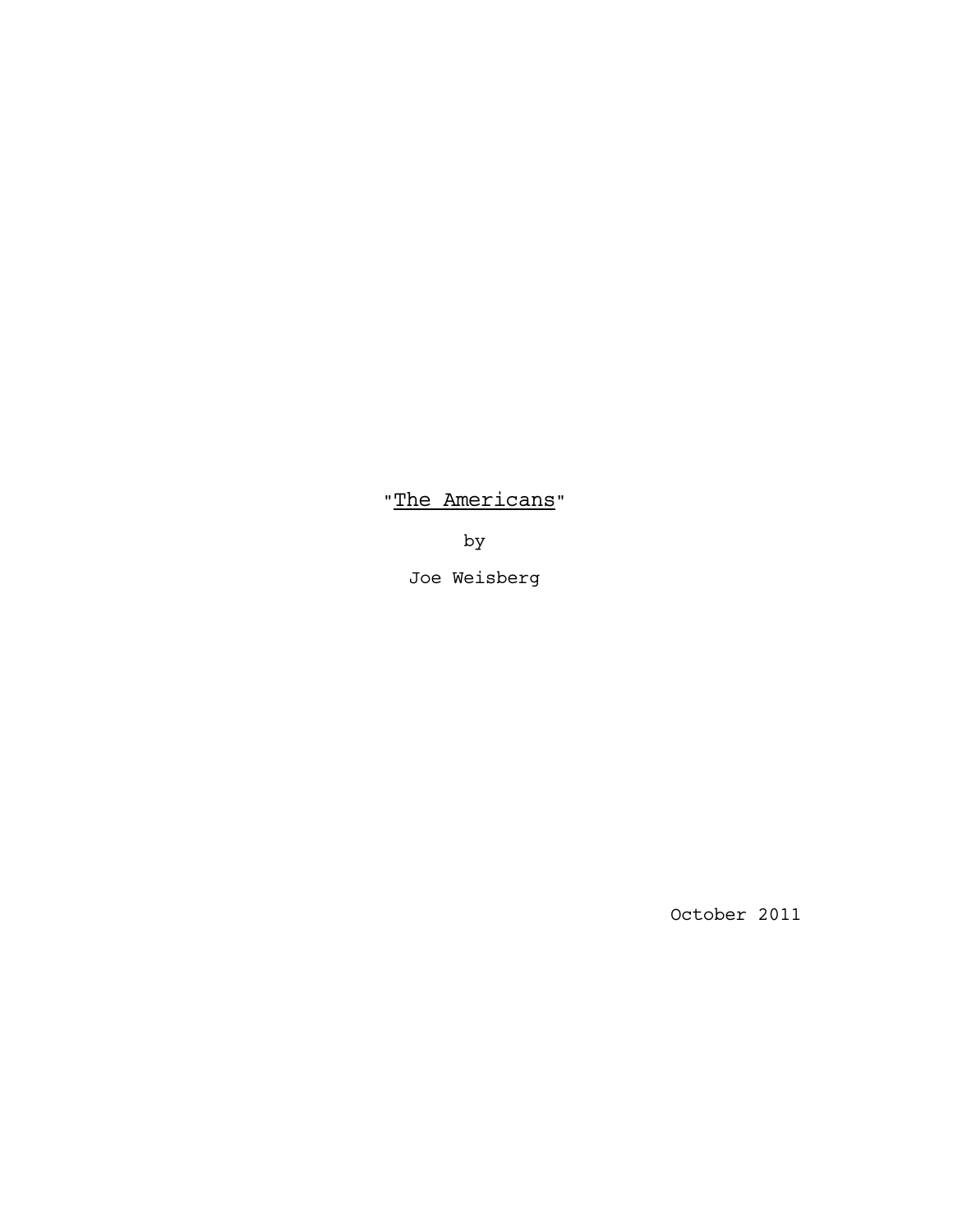# "The Americans"

by

Joe Weisberg

October 2011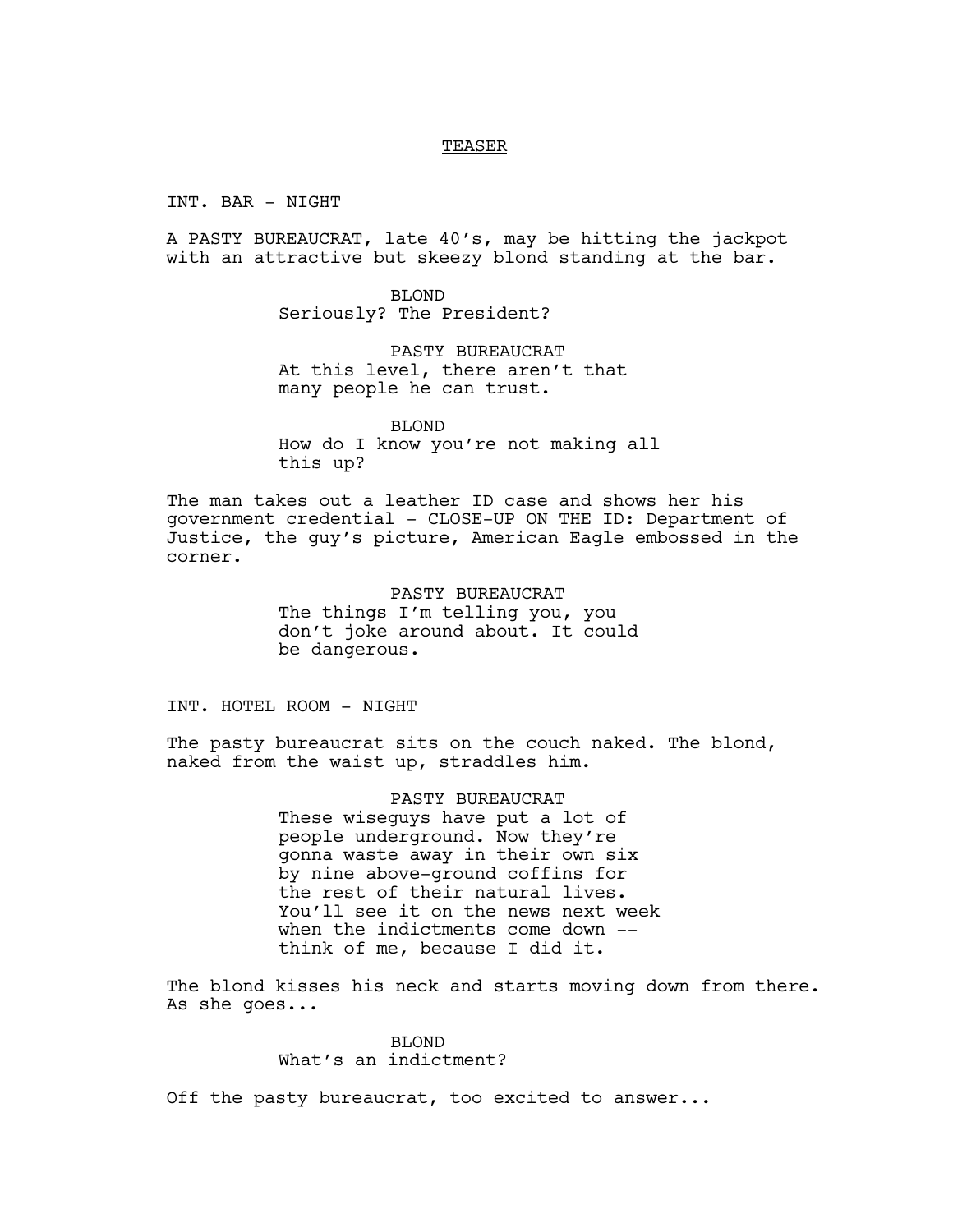#### TEASER

INT. BAR - NIGHT

A PASTY BUREAUCRAT, late 40's, may be hitting the jackpot with an attractive but skeezy blond standing at the bar.

> BLOND Seriously? The President?

PASTY BUREAUCRAT At this level, there aren't that many people he can trust.

BLOND How do I know you're not making all this up?

The man takes out a leather ID case and shows her his government credential - CLOSE-UP ON THE ID: Department of Justice, the guy's picture, American Eagle embossed in the corner.

> PASTY BUREAUCRAT The things I'm telling you, you don't joke around about. It could be dangerous.

INT. HOTEL ROOM - NIGHT

The pasty bureaucrat sits on the couch naked. The blond, naked from the waist up, straddles him.

> PASTY BUREAUCRAT These wiseguys have put a lot of people underground. Now they're gonna waste away in their own six by nine above-ground coffins for the rest of their natural lives. You'll see it on the news next week when the indictments come down - think of me, because I did it.

The blond kisses his neck and starts moving down from there. As she goes...

> BLOND What's an indictment?

Off the pasty bureaucrat, too excited to answer...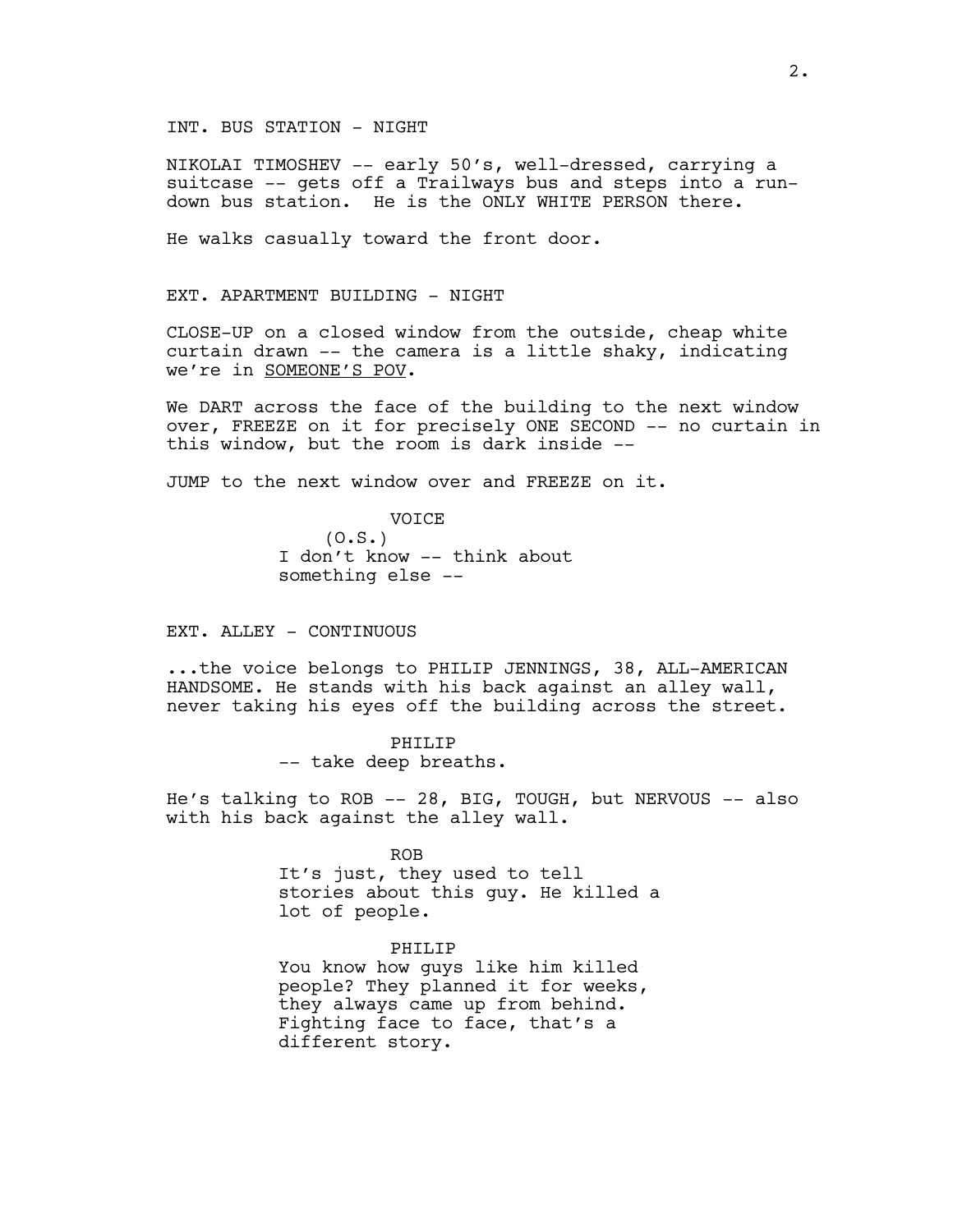# INT. BUS STATION - NIGHT

NIKOLAI TIMOSHEV -- early 50's, well-dressed, carrying a suitcase -- gets off a Trailways bus and steps into a rundown bus station. He is the ONLY WHITE PERSON there.

He walks casually toward the front door.

#### EXT. APARTMENT BUILDING - NIGHT

CLOSE-UP on a closed window from the outside, cheap white curtain drawn -- the camera is a little shaky, indicating we're in SOMEONE'S POV.

We DART across the face of the building to the next window over, FREEZE on it for precisely ONE SECOND -- no curtain in this window, but the room is dark inside --

JUMP to the next window over and FREEZE on it.

VOICE  $(0.S.)$ I don't know -- think about something else --

#### EXT. ALLEY - CONTINUOUS

...the voice belongs to PHILIP JENNINGS, 38, ALL-AMERICAN HANDSOME. He stands with his back against an alley wall, never taking his eyes off the building across the street.

PHILIP

-- take deep breaths.

He's talking to ROB -- 28, BIG, TOUGH, but NERVOUS -- also with his back against the alley wall.

> ROB It's just, they used to tell stories about this guy. He killed a lot of people.

#### PHILIP

You know how guys like him killed people? They planned it for weeks, they always came up from behind. Fighting face to face, that's a different story.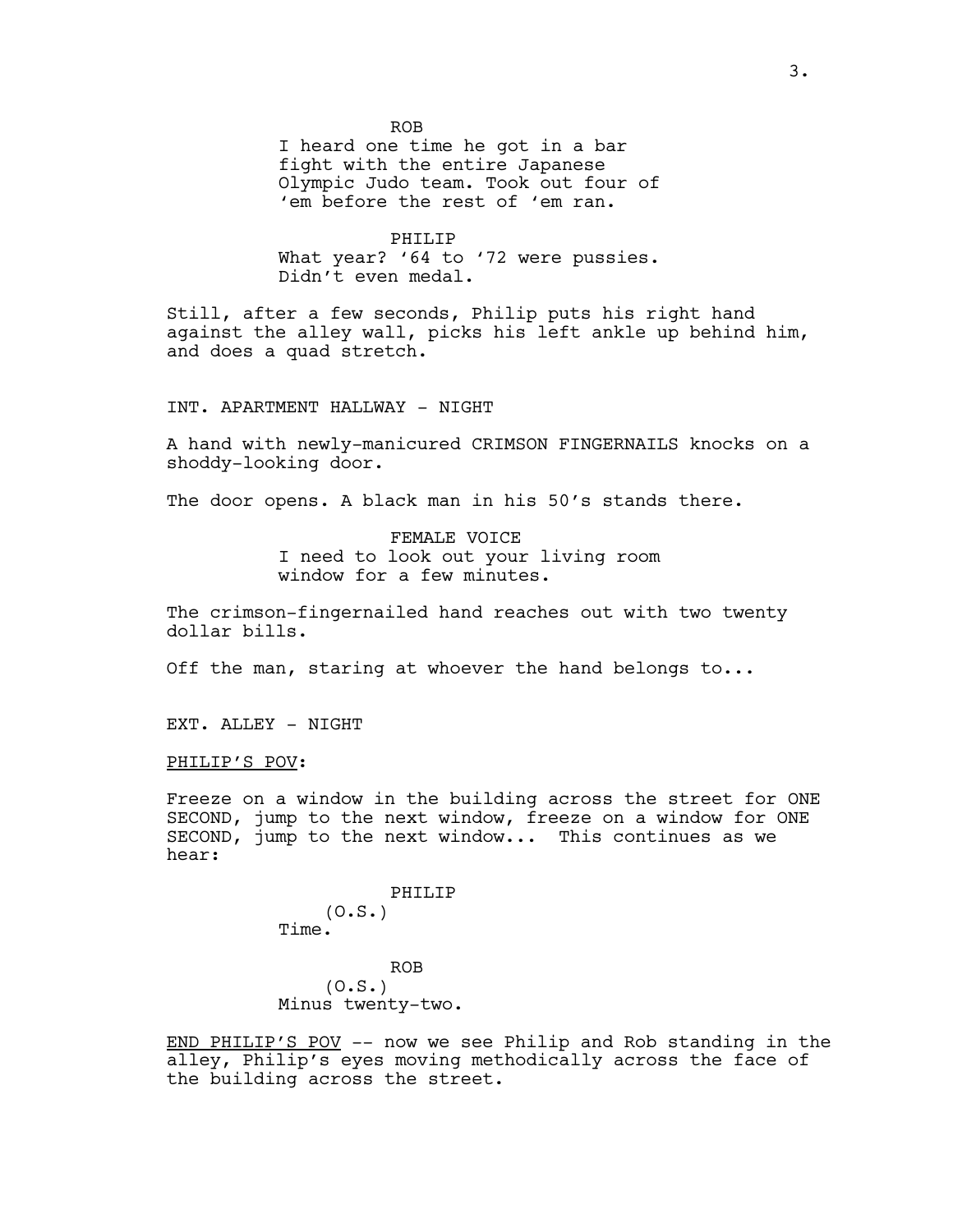ROB

I heard one time he got in a bar fight with the entire Japanese Olympic Judo team. Took out four of 'em before the rest of 'em ran.

PHILIP What year? '64 to '72 were pussies. Didn't even medal.

Still, after a few seconds, Philip puts his right hand against the alley wall, picks his left ankle up behind him, and does a quad stretch.

INT. APARTMENT HALLWAY - NIGHT

A hand with newly-manicured CRIMSON FINGERNAILS knocks on a shoddy-looking door.

The door opens. A black man in his 50's stands there.

FEMALE VOICE I need to look out your living room window for a few minutes.

The crimson-fingernailed hand reaches out with two twenty dollar bills.

Off the man, staring at whoever the hand belongs to...

EXT. ALLEY - NIGHT

PHILIP'S POV:

Freeze on a window in the building across the street for ONE SECOND, jump to the next window, freeze on a window for ONE SECOND, jump to the next window... This continues as we hear:

> PHILIP  $(0.S.)$ Time.

ROB  $(0.S.)$ Minus twenty-two.

END PHILIP'S POV -- now we see Philip and Rob standing in the alley, Philip's eyes moving methodically across the face of the building across the street.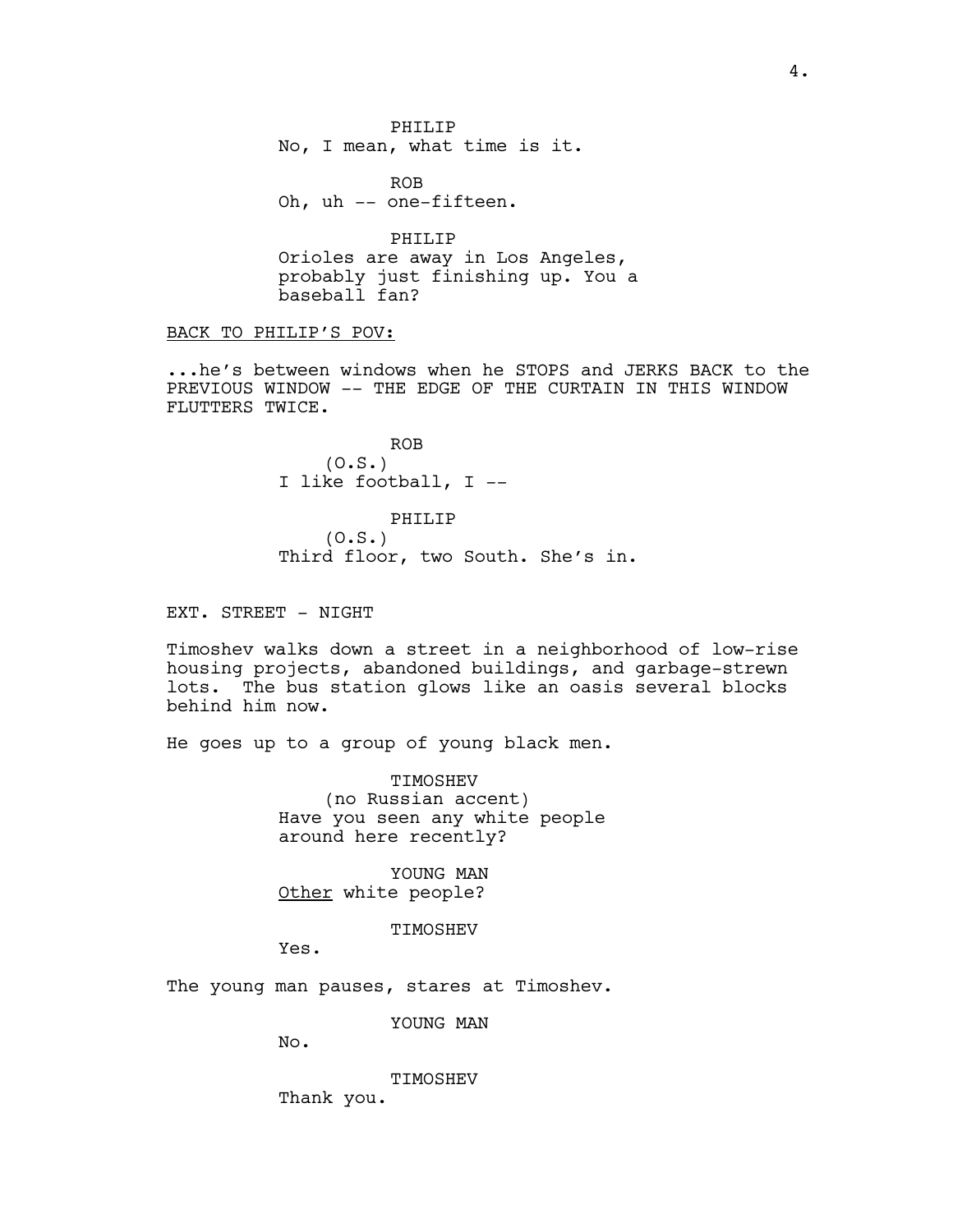PHILIP No, I mean, what time is it.

ROB Oh, uh -- one-fifteen.

PHILIP Orioles are away in Los Angeles, probably just finishing up. You a baseball fan?

BACK TO PHILIP'S POV:

...he's between windows when he STOPS and JERKS BACK to the PREVIOUS WINDOW -- THE EDGE OF THE CURTAIN IN THIS WINDOW FLUTTERS TWICE.

> ROB  $(0.S.)$ I like football, I --

PHILIP  $(0.S.)$ Third floor, two South. She's in.

EXT. STREET - NIGHT

Timoshev walks down a street in a neighborhood of low-rise housing projects, abandoned buildings, and garbage-strewn lots. The bus station glows like an oasis several blocks behind him now.

He goes up to a group of young black men.

TIMOSHEV (no Russian accent) Have you seen any white people around here recently?

YOUNG MAN Other white people?

TIMOSHEV

Yes.

The young man pauses, stares at Timoshev.

YOUNG MAN

No.

TIMOSHEV

Thank you.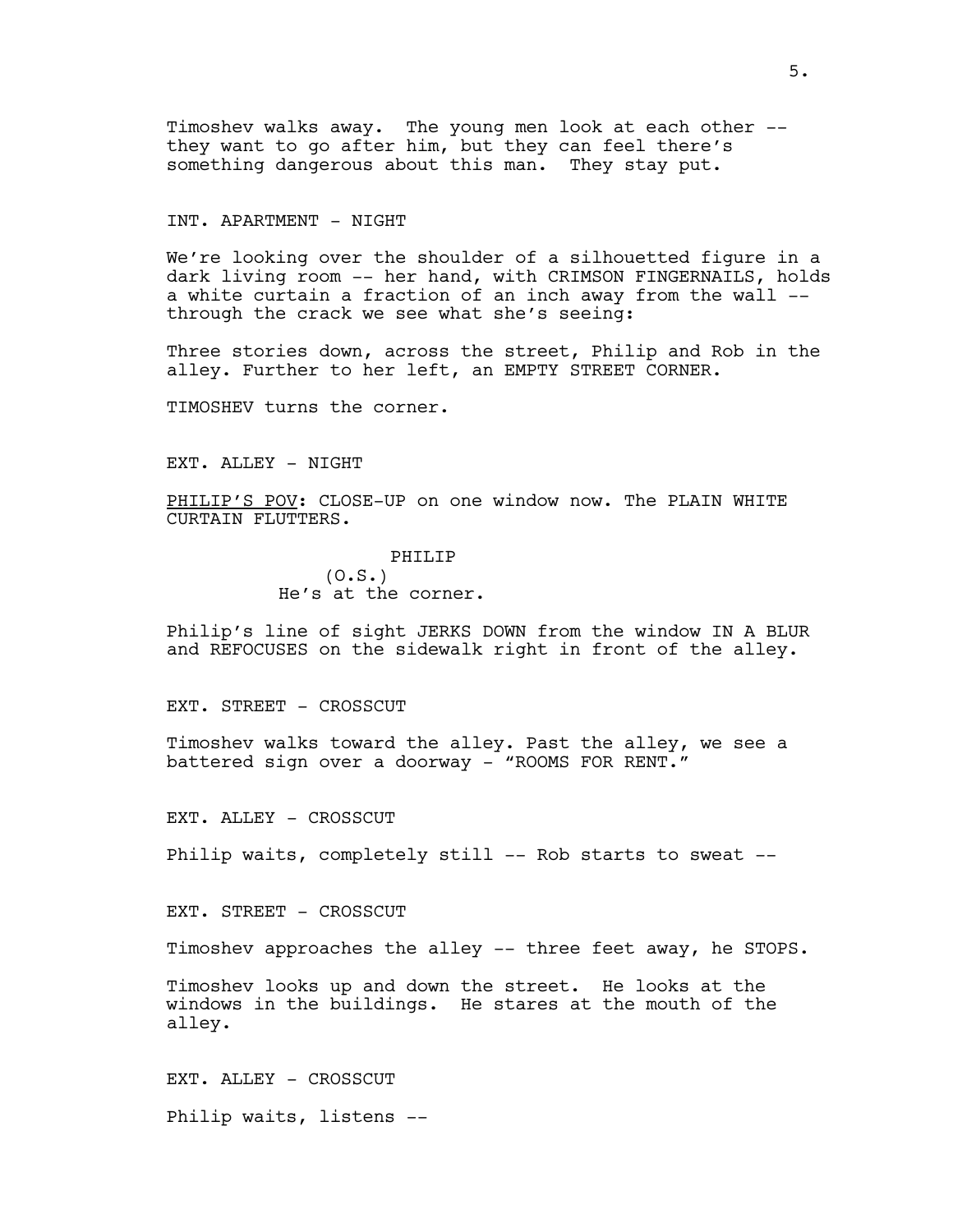Timoshev walks away. The young men look at each other - they want to go after him, but they can feel there's something dangerous about this man. They stay put.

INT. APARTMENT - NIGHT

We're looking over the shoulder of a silhouetted figure in a dark living room -- her hand, with CRIMSON FINGERNAILS, holds a white curtain a fraction of an inch away from the wall - through the crack we see what she's seeing:

Three stories down, across the street, Philip and Rob in the alley. Further to her left, an EMPTY STREET CORNER.

TIMOSHEV turns the corner.

EXT. ALLEY - NIGHT

PHILIP'S POV: CLOSE-UP on one window now. The PLAIN WHITE CURTAIN FLUTTERS.

> PHILIP  $(0.S.)$ He's at the corner.

Philip's line of sight JERKS DOWN from the window IN A BLUR and REFOCUSES on the sidewalk right in front of the alley.

EXT. STREET - CROSSCUT

Timoshev walks toward the alley. Past the alley, we see a battered sign over a doorway - "ROOMS FOR RENT."

EXT. ALLEY - CROSSCUT

Philip waits, completely still -- Rob starts to sweat --

EXT. STREET - CROSSCUT

Timoshev approaches the alley -- three feet away, he STOPS.

Timoshev looks up and down the street. He looks at the windows in the buildings. He stares at the mouth of the alley.

EXT. ALLEY - CROSSCUT

Philip waits, listens --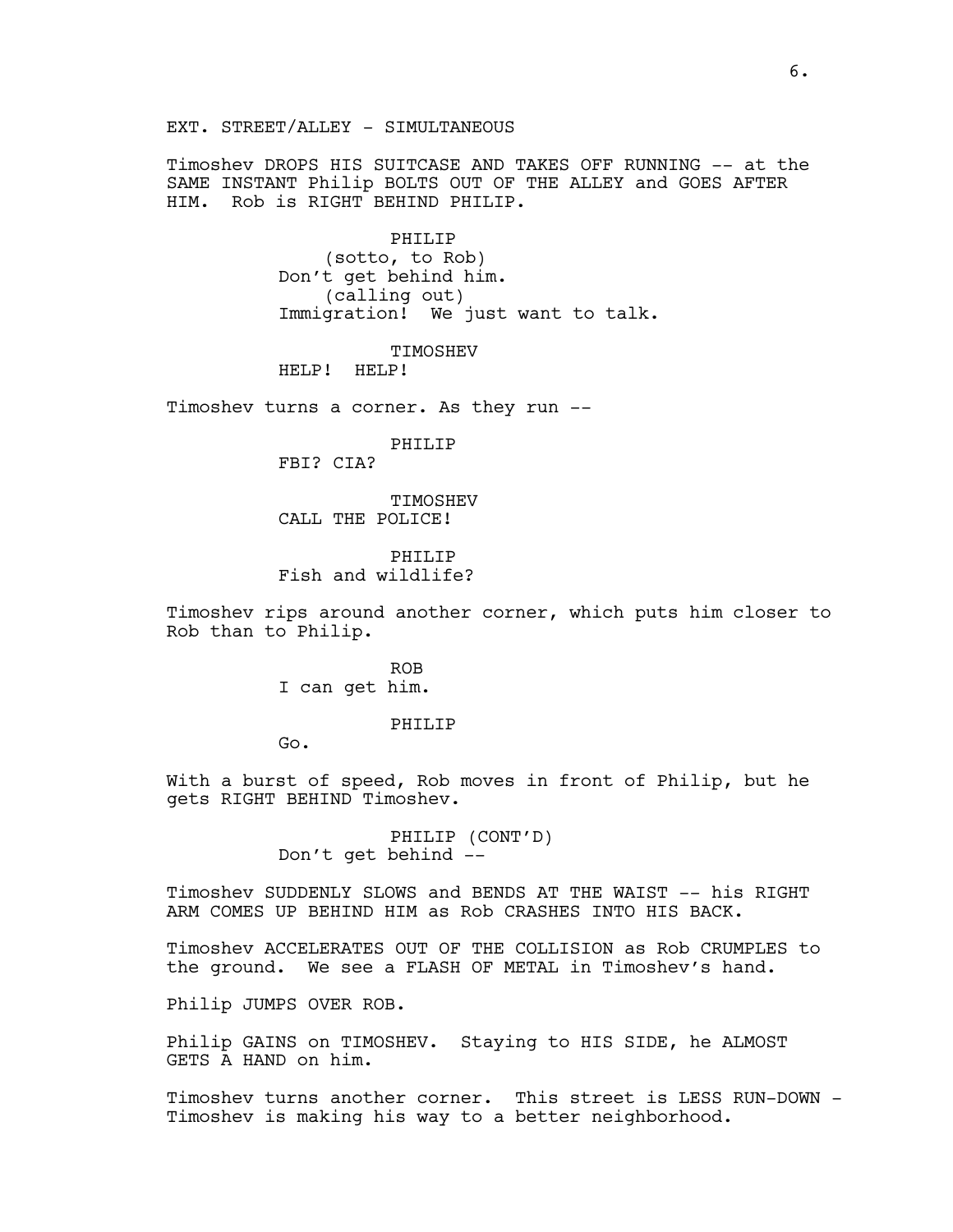EXT. STREET/ALLEY - SIMULTANEOUS

Timoshev DROPS HIS SUITCASE AND TAKES OFF RUNNING -- at the SAME INSTANT Philip BOLTS OUT OF THE ALLEY and GOES AFTER HIM. Rob is RIGHT BEHIND PHILIP.

> PHILIP (sotto, to Rob) Don't get behind him. (calling out) Immigration! We just want to talk.

> > TIMOSHEV

HELP! HELP!

Timoshev turns a corner. As they run --

PHILIP

FBI? CIA?

TIMOSHEV CALL THE POLICE!

PHILIP Fish and wildlife?

Timoshev rips around another corner, which puts him closer to Rob than to Philip.

> ROB I can get him.

> > PHILIP

Go.

With a burst of speed, Rob moves in front of Philip, but he gets RIGHT BEHIND Timoshev.

> PHILIP (CONT'D) Don't get behind --

Timoshev SUDDENLY SLOWS and BENDS AT THE WAIST -- his RIGHT ARM COMES UP BEHIND HIM as Rob CRASHES INTO HIS BACK.

Timoshev ACCELERATES OUT OF THE COLLISION as Rob CRUMPLES to the ground. We see a FLASH OF METAL in Timoshev's hand.

Philip JUMPS OVER ROB.

Philip GAINS on TIMOSHEV. Staying to HIS SIDE, he ALMOST GETS A HAND on him.

Timoshev turns another corner. This street is LESS RUN-DOWN - Timoshev is making his way to a better neighborhood.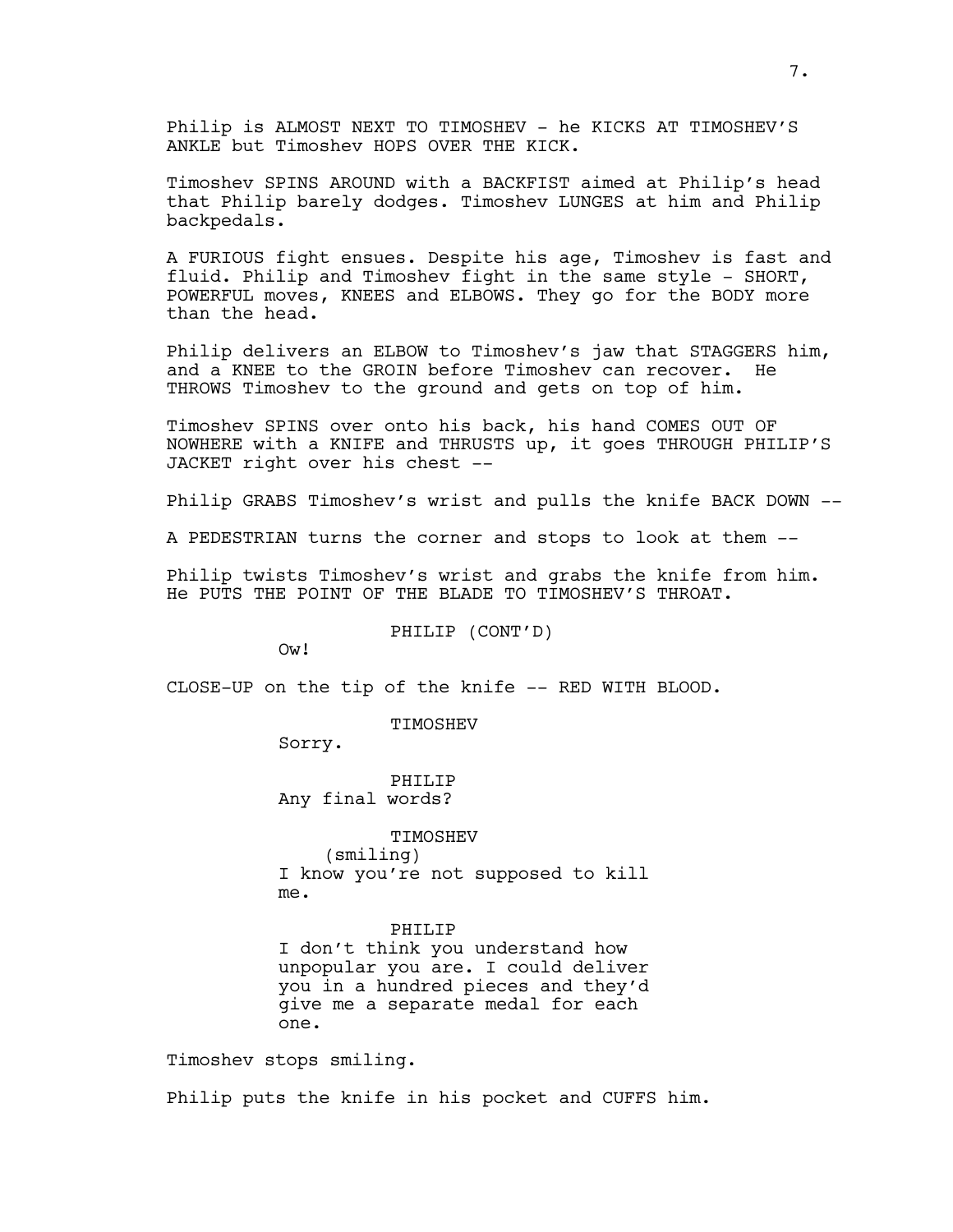Philip is ALMOST NEXT TO TIMOSHEV - he KICKS AT TIMOSHEV'S ANKLE but Timoshev HOPS OVER THE KICK.

Timoshev SPINS AROUND with a BACKFIST aimed at Philip's head that Philip barely dodges. Timoshev LUNGES at him and Philip backpedals.

A FURIOUS fight ensues. Despite his age, Timoshev is fast and fluid. Philip and Timoshev fight in the same style - SHORT, POWERFUL moves, KNEES and ELBOWS. They go for the BODY more than the head.

Philip delivers an ELBOW to Timoshev's jaw that STAGGERS him, and a KNEE to the GROIN before Timoshev can recover. He THROWS Timoshev to the ground and gets on top of him.

Timoshev SPINS over onto his back, his hand COMES OUT OF NOWHERE with a KNIFE and THRUSTS up, it goes THROUGH PHILIP'S JACKET right over his chest --

Philip GRABS Timoshev's wrist and pulls the knife BACK DOWN --

A PEDESTRIAN turns the corner and stops to look at them --

Philip twists Timoshev's wrist and grabs the knife from him. He PUTS THE POINT OF THE BLADE TO TIMOSHEV'S THROAT.

PHILIP (CONT'D)

Ow!

CLOSE-UP on the tip of the knife -- RED WITH BLOOD.

TIMOSHEV

Sorry.

PHILIP Any final words?

TIMOSHEV (smiling) I know you're not supposed to kill me.

PHILIP

I don't think you understand how unpopular you are. I could deliver you in a hundred pieces and they'd give me a separate medal for each one.

Timoshev stops smiling.

Philip puts the knife in his pocket and CUFFS him.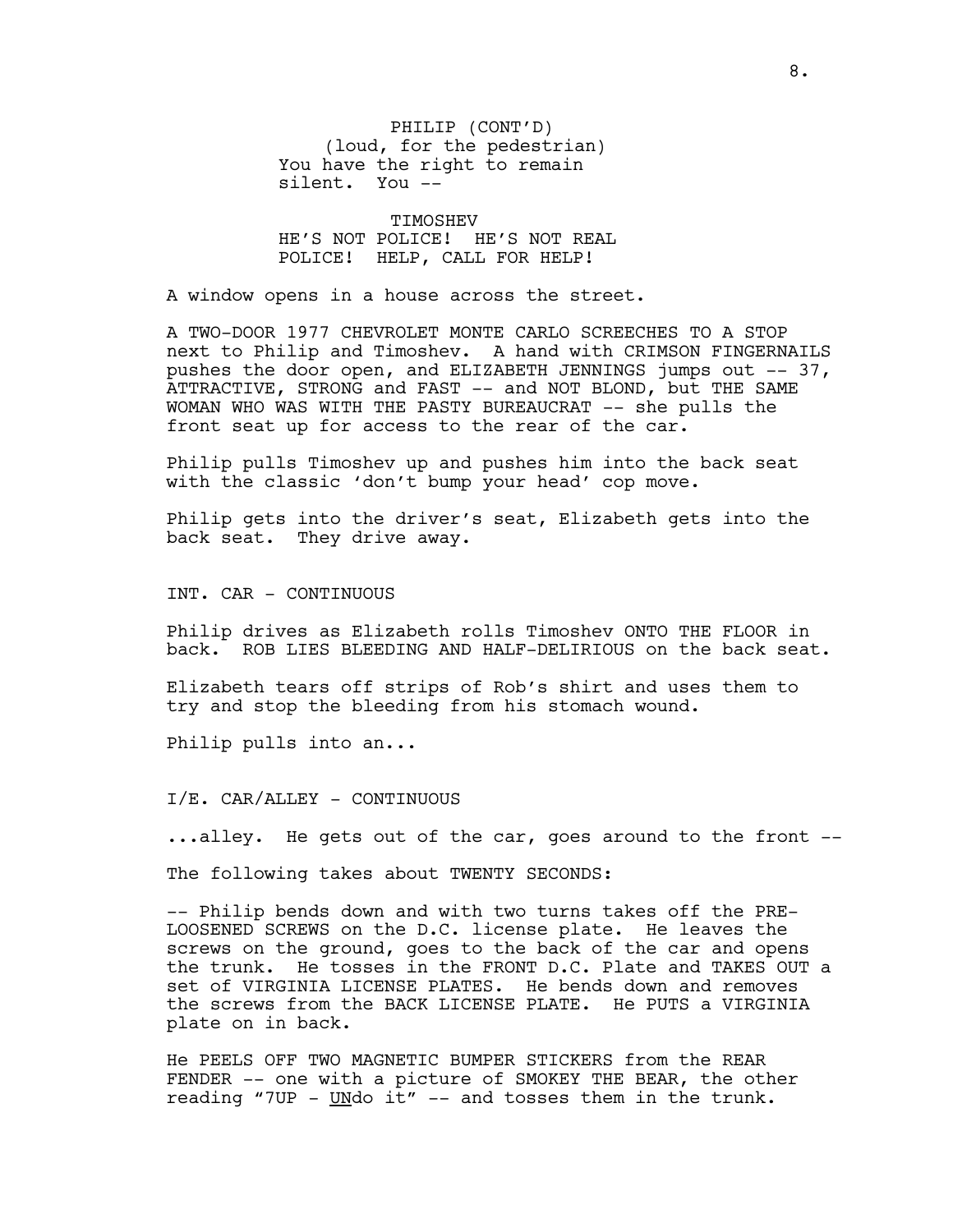PHILIP (CONT'D) (loud, for the pedestrian) You have the right to remain silent. You --

TIMOSHEV HE'S NOT POLICE! HE'S NOT REAL POLICE! HELP, CALL FOR HELP!

A window opens in a house across the street.

A TWO-DOOR 1977 CHEVROLET MONTE CARLO SCREECHES TO A STOP next to Philip and Timoshev. A hand with CRIMSON FINGERNAILS pushes the door open, and ELIZABETH JENNINGS jumps out  $-- 37$ , ATTRACTIVE, STRONG and FAST -- and NOT BLOND, but THE SAME WOMAN WHO WAS WITH THE PASTY BUREAUCRAT -- she pulls the front seat up for access to the rear of the car.

Philip pulls Timoshev up and pushes him into the back seat with the classic 'don't bump your head' cop move.

Philip gets into the driver's seat, Elizabeth gets into the back seat. They drive away.

INT. CAR - CONTINUOUS

Philip drives as Elizabeth rolls Timoshev ONTO THE FLOOR in back. ROB LIES BLEEDING AND HALF-DELIRIOUS on the back seat.

Elizabeth tears off strips of Rob's shirt and uses them to try and stop the bleeding from his stomach wound.

Philip pulls into an...

I/E. CAR/ALLEY - CONTINUOUS

...alley. He gets out of the car, goes around to the front --

The following takes about TWENTY SECONDS:

-- Philip bends down and with two turns takes off the PRE-LOOSENED SCREWS on the D.C. license plate. He leaves the screws on the ground, goes to the back of the car and opens the trunk. He tosses in the FRONT D.C. Plate and TAKES OUT a set of VIRGINIA LICENSE PLATES. He bends down and removes the screws from the BACK LICENSE PLATE. He PUTS a VIRGINIA plate on in back.

He PEELS OFF TWO MAGNETIC BUMPER STICKERS from the REAR FENDER -- one with a picture of SMOKEY THE BEAR, the other reading "7UP - UNdo it" -- and tosses them in the trunk.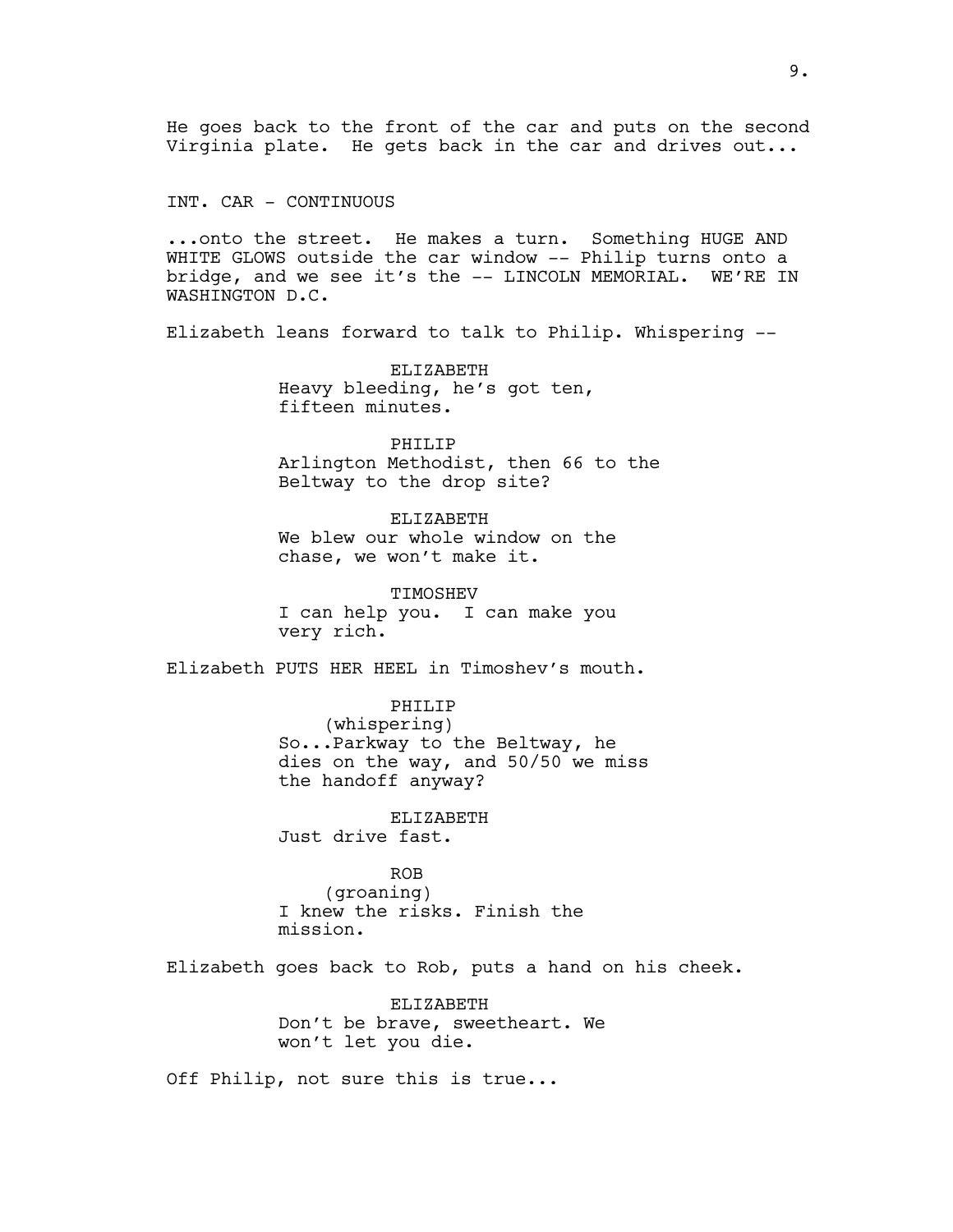He goes back to the front of the car and puts on the second Virginia plate. He gets back in the car and drives out...

INT. CAR - CONTINUOUS

...onto the street. He makes a turn. Something HUGE AND WHITE GLOWS outside the car window -- Philip turns onto a bridge, and we see it's the -- LINCOLN MEMORIAL. WE'RE IN WASHINGTON D.C.

Elizabeth leans forward to talk to Philip. Whispering --

ELIZABETH Heavy bleeding, he's got ten, fifteen minutes.

PHTLTP Arlington Methodist, then 66 to the Beltway to the drop site?

ELIZABETH We blew our whole window on the chase, we won't make it.

TIMOSHEV I can help you. I can make you very rich.

Elizabeth PUTS HER HEEL in Timoshev's mouth.

PHILIP (whispering) So...Parkway to the Beltway, he dies on the way, and 50/50 we miss the handoff anyway?

ELIZABETH Just drive fast.

ROB (groaning) I knew the risks. Finish the mission.

Elizabeth goes back to Rob, puts a hand on his cheek.

ELIZABETH Don't be brave, sweetheart. We won't let you die.

Off Philip, not sure this is true...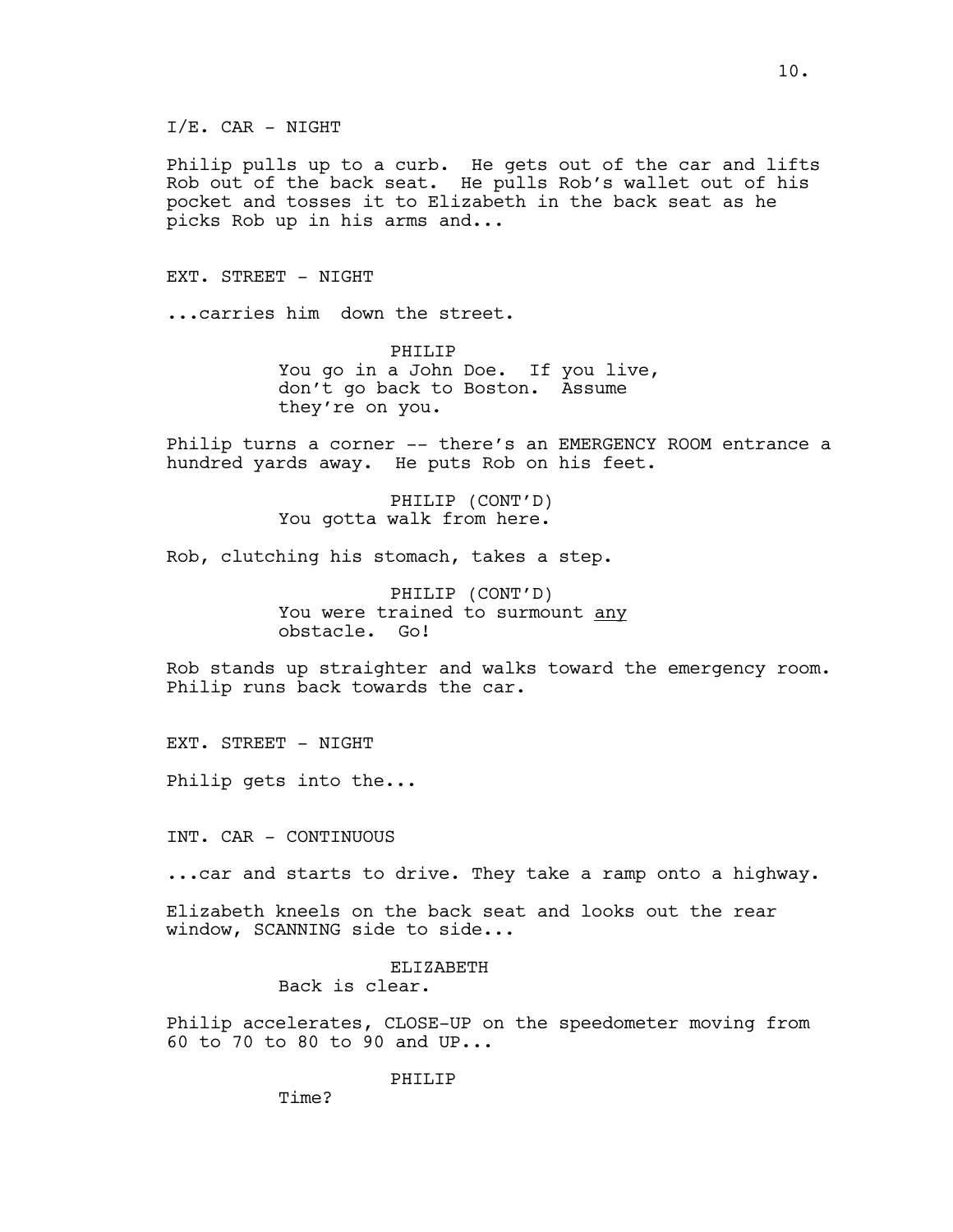$I/E$ . CAR - NIGHT

Philip pulls up to a curb. He gets out of the car and lifts Rob out of the back seat. He pulls Rob's wallet out of his pocket and tosses it to Elizabeth in the back seat as he picks Rob up in his arms and...

EXT. STREET - NIGHT

...carries him down the street.

PHILIP You go in a John Doe. If you live, don't go back to Boston. Assume they're on you.

Philip turns a corner -- there's an EMERGENCY ROOM entrance a hundred yards away. He puts Rob on his feet.

> PHILIP (CONT'D) You gotta walk from here.

Rob, clutching his stomach, takes a step.

PHILIP (CONT'D) You were trained to surmount any obstacle. Go!

Rob stands up straighter and walks toward the emergency room. Philip runs back towards the car.

EXT. STREET - NIGHT

Philip gets into the...

INT. CAR - CONTINUOUS

...car and starts to drive. They take a ramp onto a highway.

Elizabeth kneels on the back seat and looks out the rear window, SCANNING side to side...

# ELIZABETH Back is clear.

Philip accelerates, CLOSE-UP on the speedometer moving from 60 to 70 to 80 to 90 and UP...

PHILIP

Time?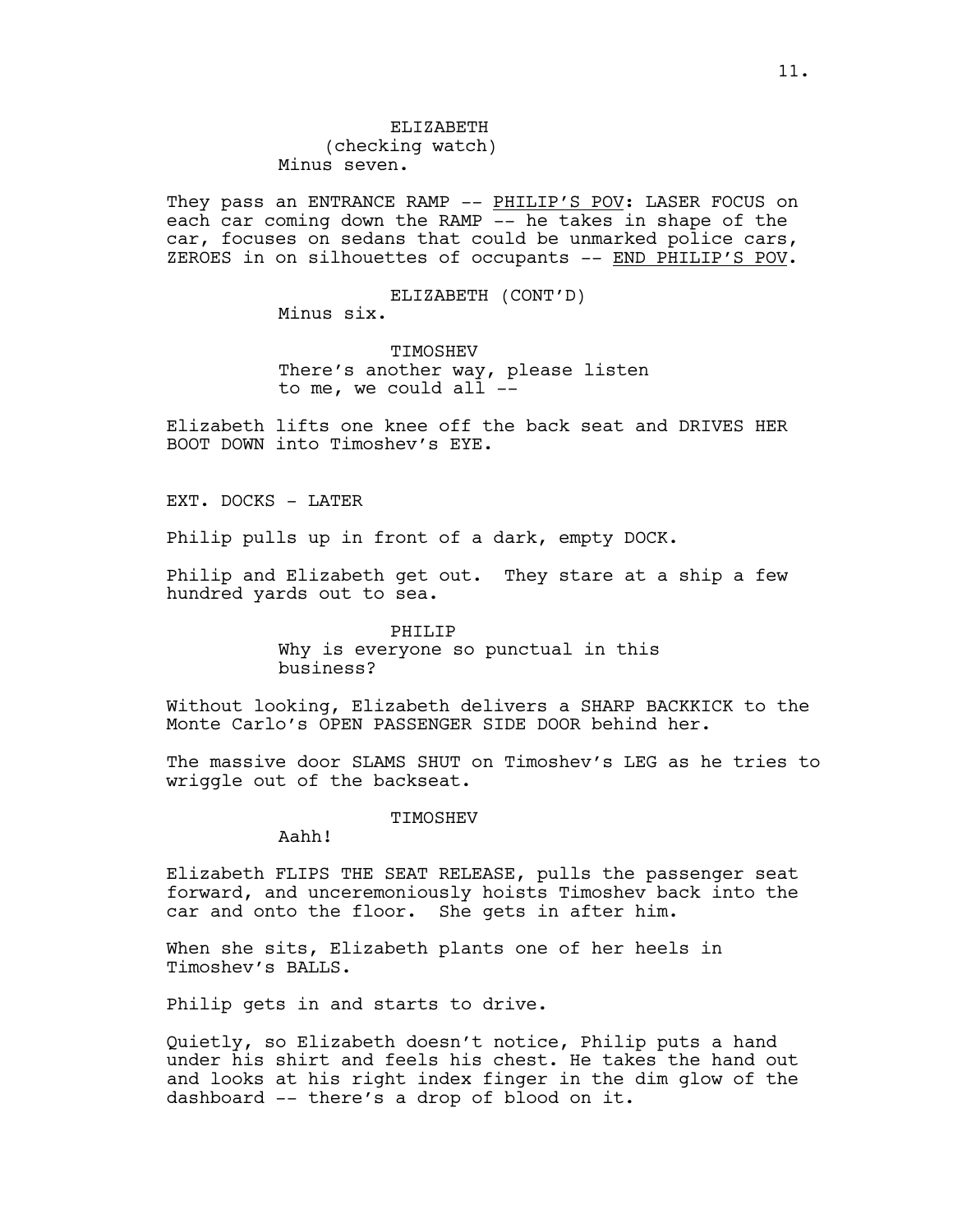They pass an ENTRANCE RAMP -- PHILIP'S POV: LASER FOCUS on each car coming down the RAMP -- he takes in shape of the car, focuses on sedans that could be unmarked police cars, ZEROES in on silhouettes of occupants -- END PHILIP'S POV.

ELIZABETH (CONT'D)

Minus six.

TIMOSHEV There's another way, please listen to me, we could all --

Elizabeth lifts one knee off the back seat and DRIVES HER BOOT DOWN into Timoshev's EYE.

EXT. DOCKS - LATER

Philip pulls up in front of a dark, empty DOCK.

Philip and Elizabeth get out. They stare at a ship a few hundred yards out to sea.

# PHILIP

Why is everyone so punctual in this business?

Without looking, Elizabeth delivers a SHARP BACKKICK to the Monte Carlo's OPEN PASSENGER SIDE DOOR behind her.

The massive door SLAMS SHUT on Timoshev's LEG as he tries to wriggle out of the backseat.

#### TIMOSHEV

Aahh!

Elizabeth FLIPS THE SEAT RELEASE, pulls the passenger seat forward, and unceremoniously hoists Timoshev back into the car and onto the floor. She gets in after him.

When she sits, Elizabeth plants one of her heels in Timoshev's BALLS.

Philip gets in and starts to drive.

Quietly, so Elizabeth doesn't notice, Philip puts a hand under his shirt and feels his chest. He takes the hand out and looks at his right index finger in the dim glow of the dashboard -- there's a drop of blood on it.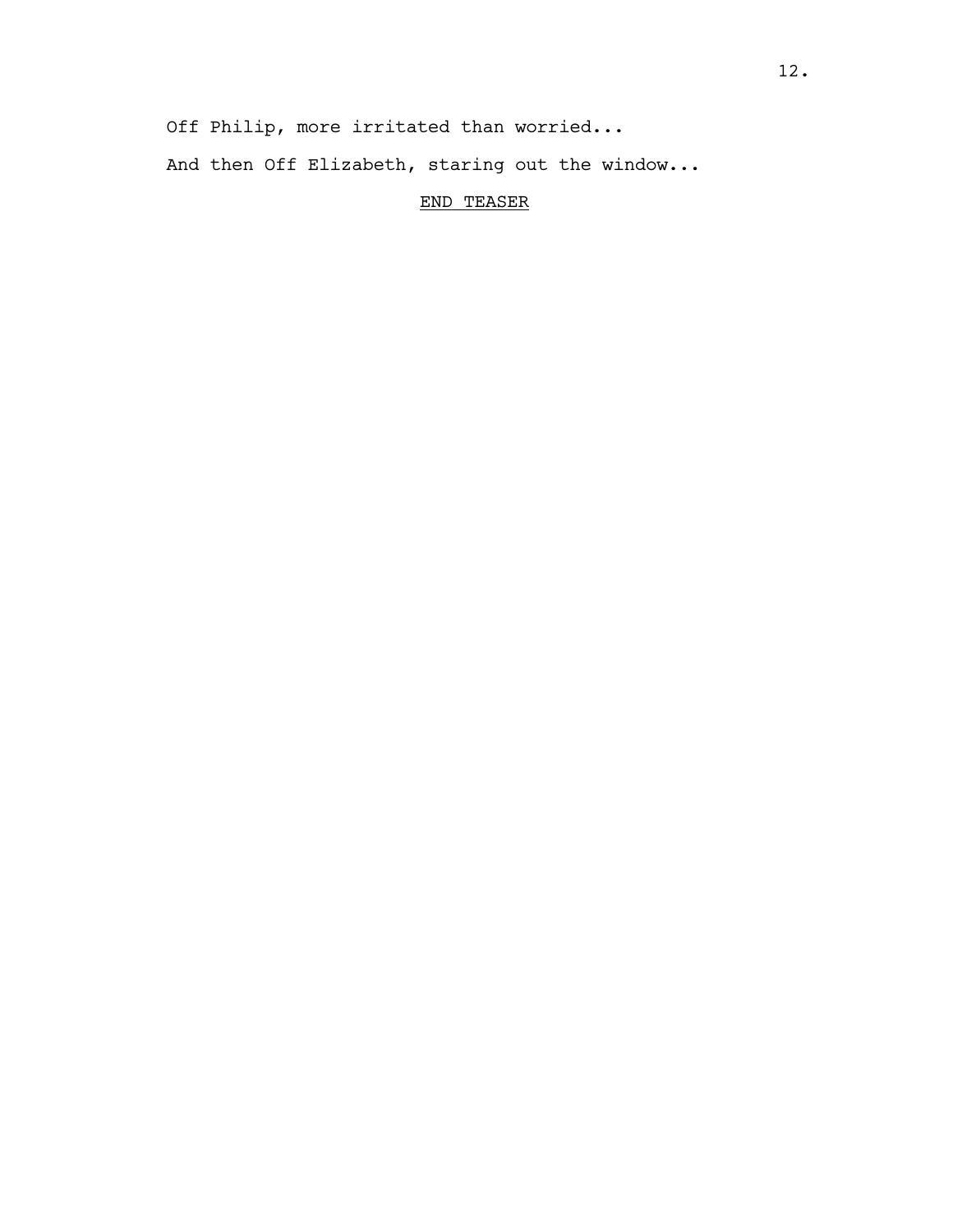Off Philip, more irritated than worried...

And then Off Elizabeth, staring out the window...

# END TEASER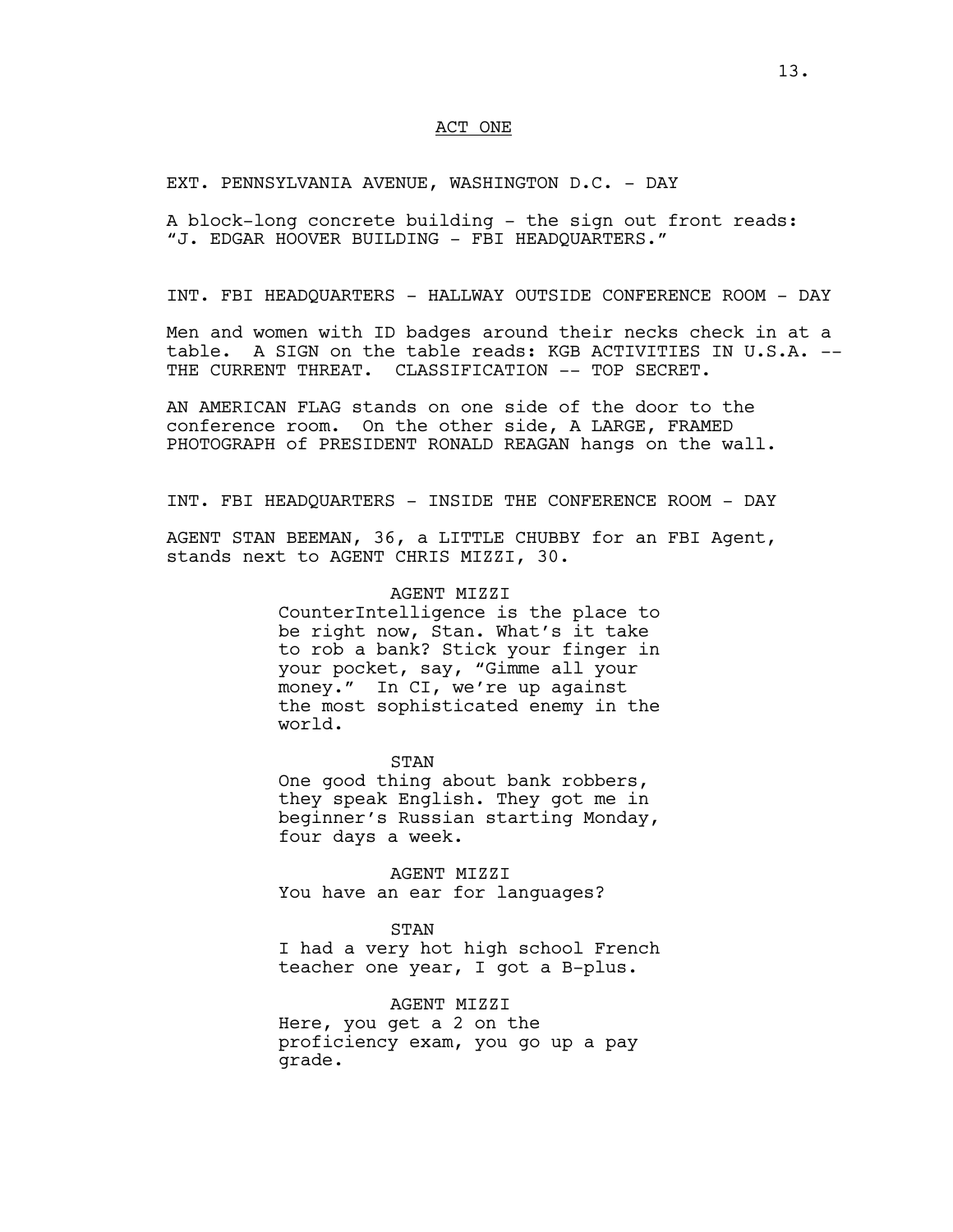# ACT ONE

EXT. PENNSYLVANIA AVENUE, WASHINGTON D.C. - DAY

A block-long concrete building - the sign out front reads: "J. EDGAR HOOVER BUILDING - FBI HEADQUARTERS."

INT. FBI HEADQUARTERS - HALLWAY OUTSIDE CONFERENCE ROOM - DAY

Men and women with ID badges around their necks check in at a table. A SIGN on the table reads: KGB ACTIVITIES IN U.S.A. -- THE CURRENT THREAT. CLASSIFICATION -- TOP SECRET.

AN AMERICAN FLAG stands on one side of the door to the conference room. On the other side, A LARGE, FRAMED PHOTOGRAPH of PRESIDENT RONALD REAGAN hangs on the wall.

INT. FBI HEADQUARTERS - INSIDE THE CONFERENCE ROOM - DAY

AGENT STAN BEEMAN, 36, a LITTLE CHUBBY for an FBI Agent, stands next to AGENT CHRIS MIZZI, 30.

# AGENT MIZZI

CounterIntelligence is the place to be right now, Stan. What's it take to rob a bank? Stick your finger in your pocket, say, "Gimme all your money." In CI, we're up against the most sophisticated enemy in the world.

STAN

One good thing about bank robbers, they speak English. They got me in beginner's Russian starting Monday, four days a week.

AGENT MIZZI You have an ear for languages?

STAN I had a very hot high school French teacher one year, I got a B-plus.

AGENT MIZZI Here, you get a 2 on the proficiency exam, you go up a pay grade.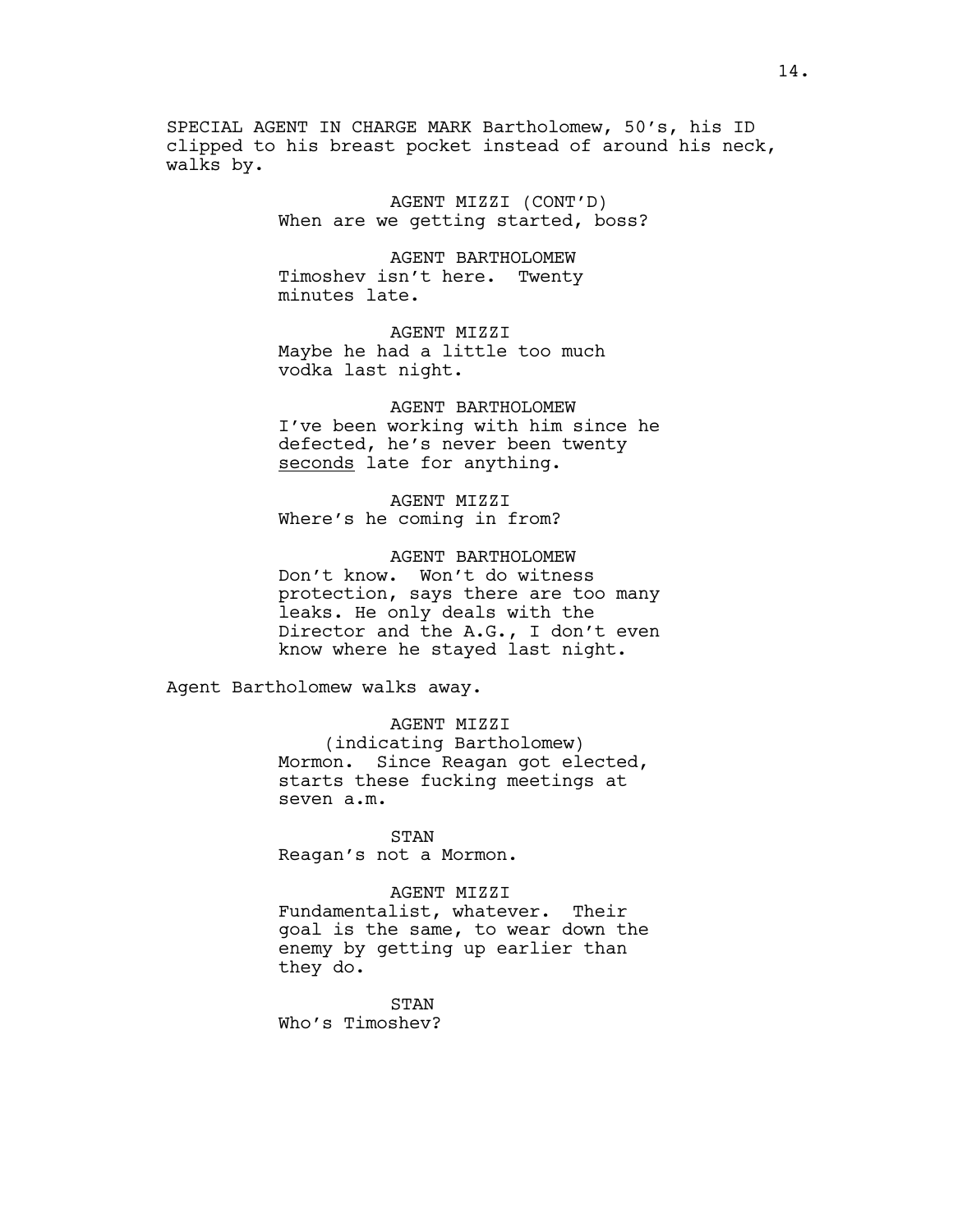SPECIAL AGENT IN CHARGE MARK Bartholomew, 50's, his ID clipped to his breast pocket instead of around his neck, walks by.

> AGENT MIZZI (CONT'D) When are we getting started, boss?

AGENT BARTHOLOMEW Timoshev isn't here. Twenty minutes late.

AGENT MIZZI Maybe he had a little too much vodka last night.

AGENT BARTHOLOMEW I've been working with him since he defected, he's never been twenty seconds late for anything.

AGENT MIZZI Where's he coming in from?

AGENT BARTHOLOMEW Don't know. Won't do witness protection, says there are too many leaks. He only deals with the Director and the A.G., I don't even know where he stayed last night.

Agent Bartholomew walks away.

AGENT MIZZI

(indicating Bartholomew) Mormon. Since Reagan got elected, starts these fucking meetings at seven a.m.

STAN Reagan's not a Mormon.

## AGENT MIZZI

Fundamentalist, whatever. Their goal is the same, to wear down the enemy by getting up earlier than they do.

STAN Who's Timoshev?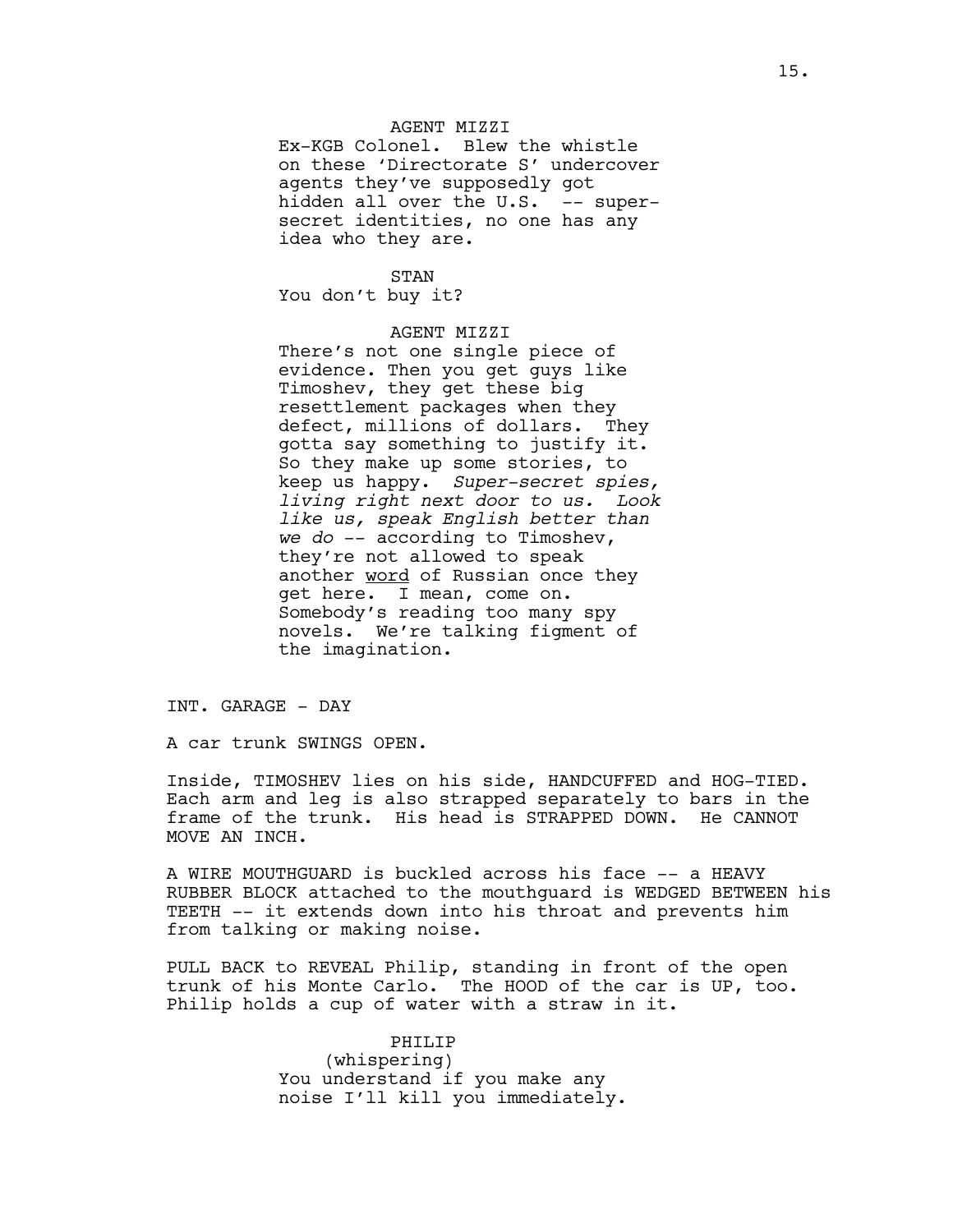# AGENT MIZZI

Ex-KGB Colonel. Blew the whistle on these 'Directorate S' undercover agents they've supposedly got hidden all over the U.S. -- supersecret identities, no one has any idea who they are.

STAN You don't buy it?

# AGENT MIZZI

There's not one single piece of evidence. Then you get guys like Timoshev, they get these big resettlement packages when they defect, millions of dollars. They gotta say something to justify it. So they make up some stories, to keep us happy. *Super-secret spies, living right next door to us. Look like us, speak English better than we do* -- according to Timoshev, they're not allowed to speak another word of Russian once they get here. I mean, come on. Somebody's reading too many spy novels. We're talking figment of the imagination.

INT. GARAGE - DAY

A car trunk SWINGS OPEN.

Inside, TIMOSHEV lies on his side, HANDCUFFED and HOG-TIED. Each arm and leg is also strapped separately to bars in the frame of the trunk. His head is STRAPPED DOWN. He CANNOT MOVE AN INCH.

A WIRE MOUTHGUARD is buckled across his face -- a HEAVY RUBBER BLOCK attached to the mouthguard is WEDGED BETWEEN his TEETH -- it extends down into his throat and prevents him from talking or making noise.

PULL BACK to REVEAL Philip, standing in front of the open trunk of his Monte Carlo. The HOOD of the car is UP, too. Philip holds a cup of water with a straw in it.

PHILIP

(whispering) You understand if you make any noise I'll kill you immediately.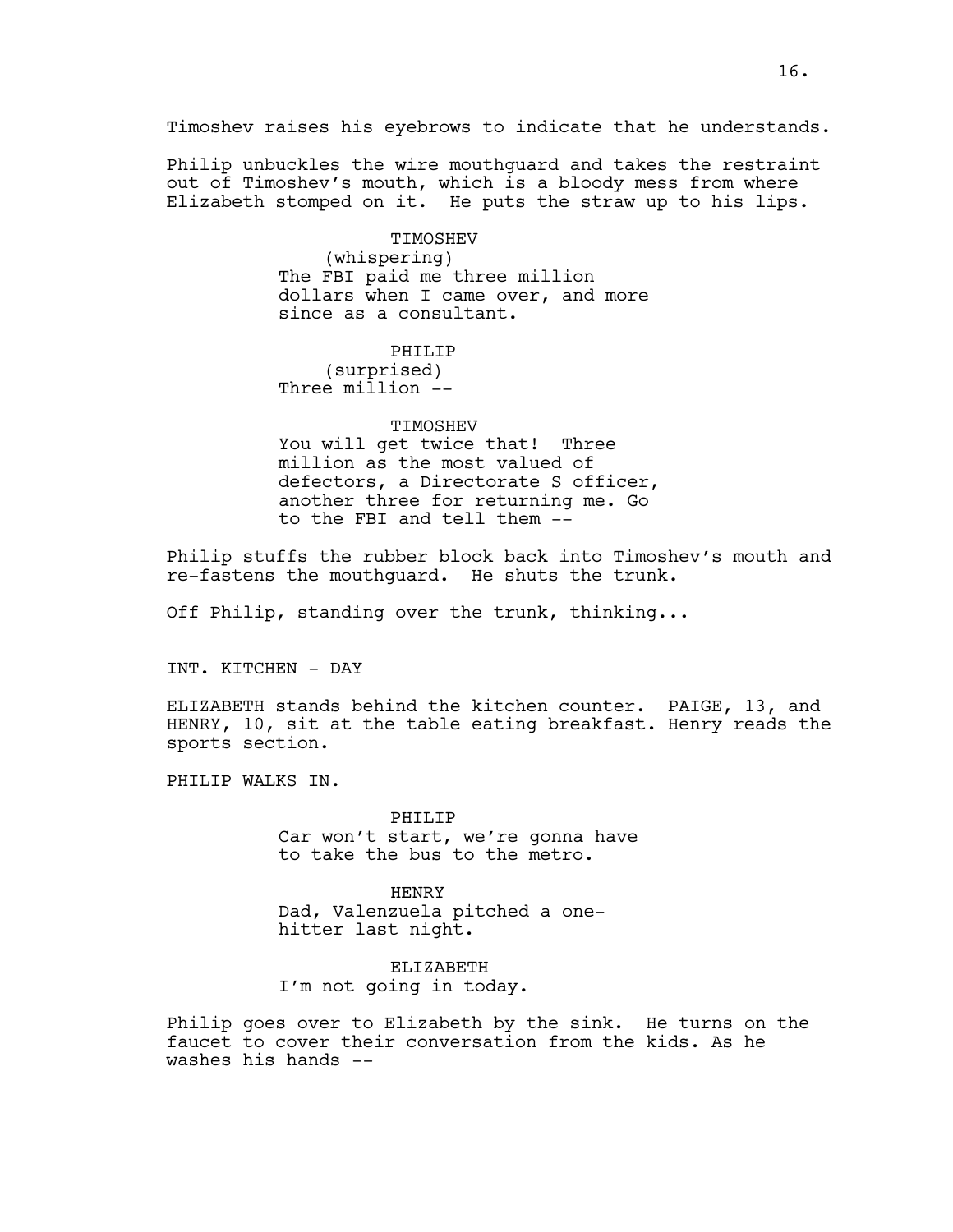Timoshev raises his eyebrows to indicate that he understands.

Philip unbuckles the wire mouthguard and takes the restraint out of Timoshev's mouth, which is a bloody mess from where Elizabeth stomped on it. He puts the straw up to his lips.

# TIMOSHEV (whispering) The FBI paid me three million dollars when I came over, and more since as a consultant.

# PHILIP

(surprised) Three million --

## TIMOSHEV

You will get twice that! Three million as the most valued of defectors, a Directorate S officer, another three for returning me. Go to the FBI and tell them --

Philip stuffs the rubber block back into Timoshev's mouth and re-fastens the mouthguard. He shuts the trunk.

Off Philip, standing over the trunk, thinking...

INT. KITCHEN - DAY

ELIZABETH stands behind the kitchen counter. PAIGE, 13, and HENRY, 10, sit at the table eating breakfast. Henry reads the sports section.

PHILIP WALKS IN.

PHILIP Car won't start, we're gonna have to take the bus to the metro.

HENRY Dad, Valenzuela pitched a onehitter last night.

ELIZABETH I'm not going in today.

Philip goes over to Elizabeth by the sink. He turns on the faucet to cover their conversation from the kids. As he washes his hands --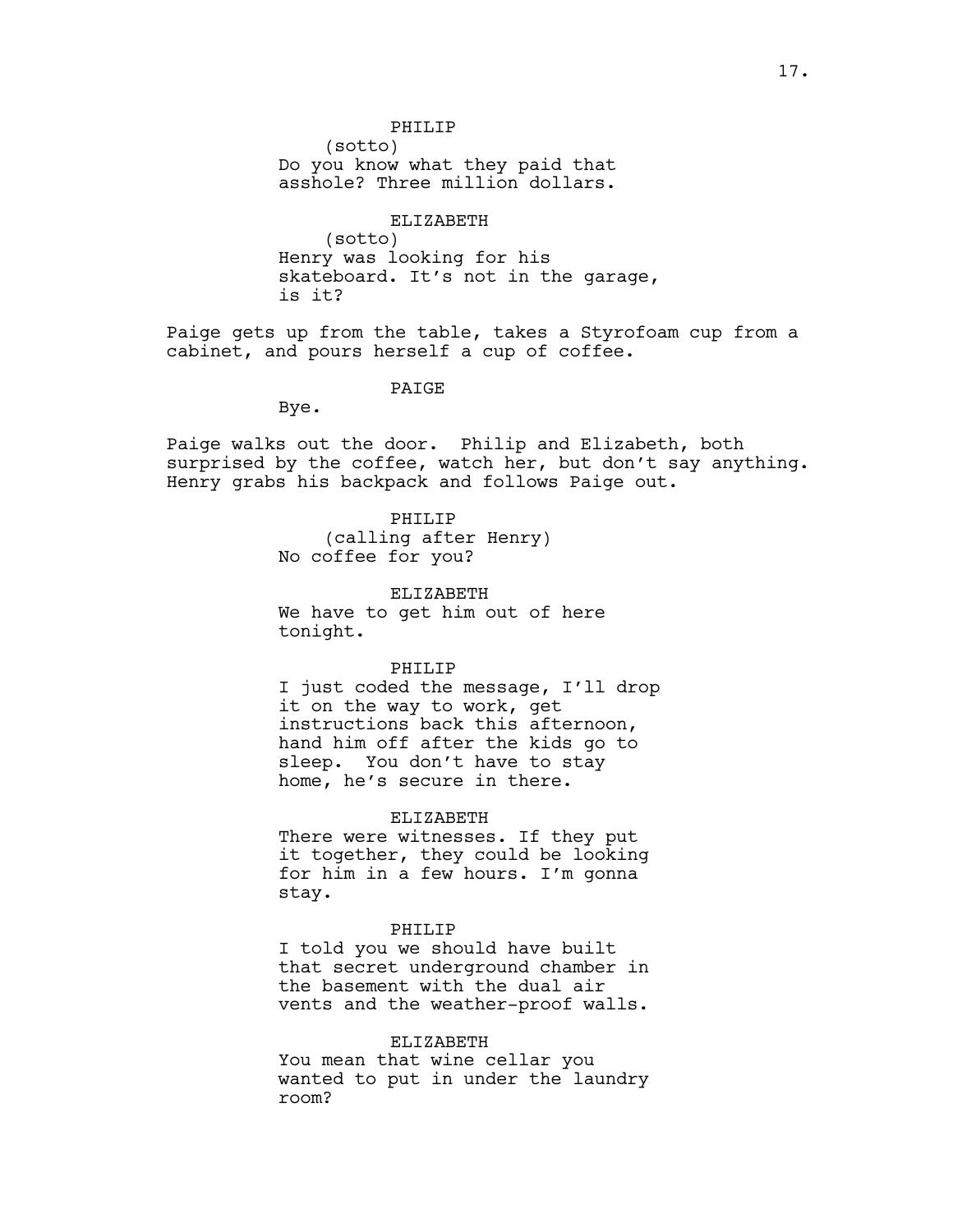## PHILIP

(sotto) Do you know what they paid that asshole? Three million dollars.

ELIZABETH (sotto) Henry was looking for his skateboard. It's not in the garage, is it?

Paige gets up from the table, takes a Styrofoam cup from a cabinet, and pours herself a cup of coffee.

#### PAIGE

Bye.

Paige walks out the door. Philip and Elizabeth, both surprised by the coffee, watch her, but don't say anything. Henry grabs his backpack and follows Paige out.

> PHILIP (calling after Henry) No coffee for you?

ELIZABETH We have to get him out of here tonight.

#### PHILIP

I just coded the message, I'll drop it on the way to work, get instructions back this afternoon, hand him off after the kids go to sleep. You don't have to stay home, he's secure in there.

#### ELIZABETH

There were witnesses. If they put it together, they could be looking for him in a few hours. I'm gonna stay.

#### PHILIP

I told you we should have built that secret underground chamber in the basement with the dual air vents and the weather-proof walls.

### ELIZABETH

You mean that wine cellar you wanted to put in under the laundry room?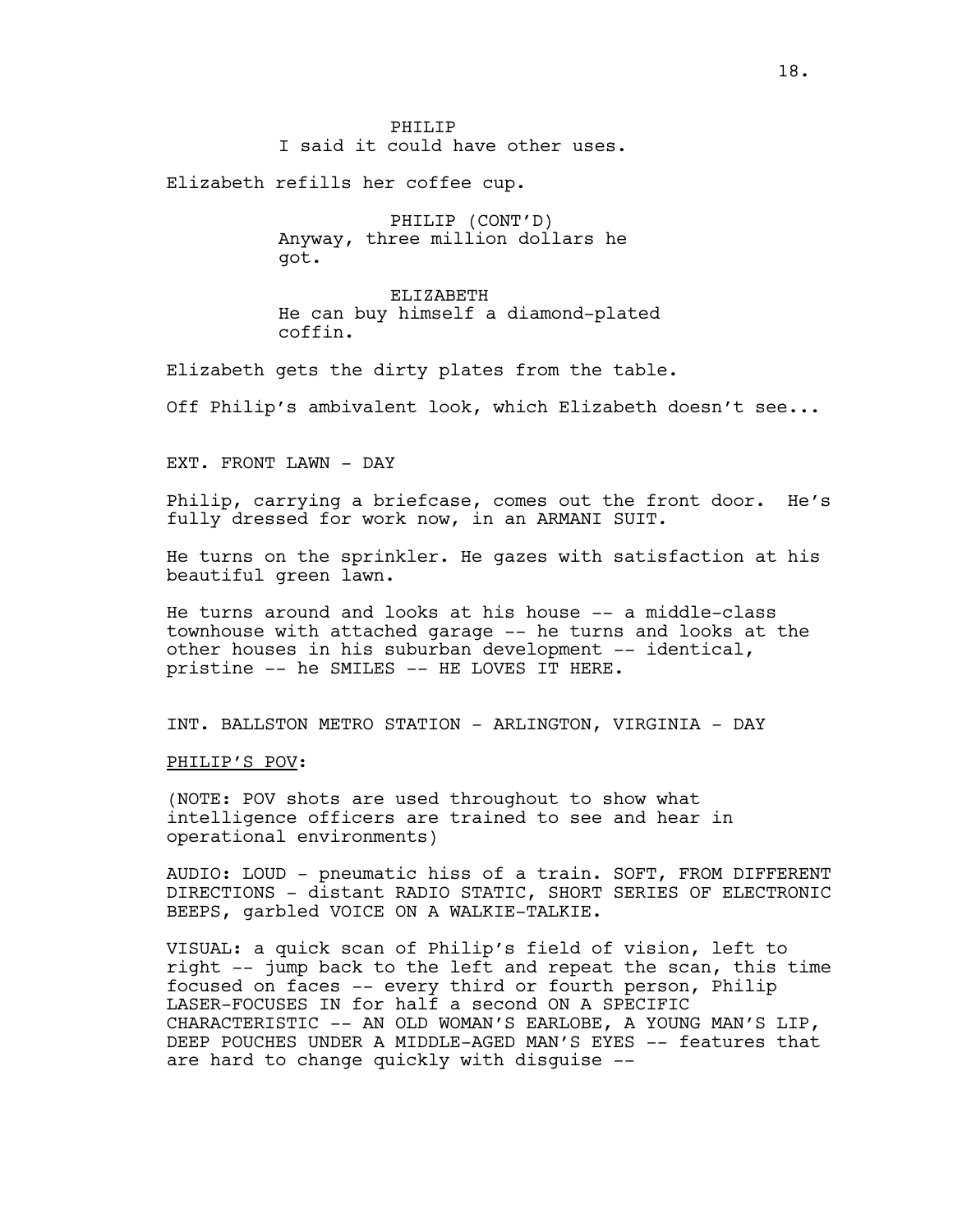I said it could have other uses.

Elizabeth refills her coffee cup.

PHILIP (CONT'D) Anyway, three million dollars he got.

ELIZABETH He can buy himself a diamond-plated coffin.

Elizabeth gets the dirty plates from the table.

Off Philip's ambivalent look, which Elizabeth doesn't see...

EXT. FRONT LAWN - DAY

Philip, carrying a briefcase, comes out the front door. He's fully dressed for work now, in an ARMANI SUIT.

He turns on the sprinkler. He gazes with satisfaction at his beautiful green lawn.

He turns around and looks at his house -- a middle-class townhouse with attached garage -- he turns and looks at the other houses in his suburban development -- identical, pristine -- he SMILES -- HE LOVES IT HERE.

INT. BALLSTON METRO STATION - ARLINGTON, VIRGINIA - DAY

PHILIP'S POV:

(NOTE: POV shots are used throughout to show what intelligence officers are trained to see and hear in operational environments)

AUDIO: LOUD - pneumatic hiss of a train. SOFT, FROM DIFFERENT DIRECTIONS - distant RADIO STATIC, SHORT SERIES OF ELECTRONIC BEEPS, garbled VOICE ON A WALKIE-TALKIE.

VISUAL: a quick scan of Philip's field of vision, left to right -- jump back to the left and repeat the scan, this time focused on faces -- every third or fourth person, Philip LASER-FOCUSES IN for half a second ON A SPECIFIC CHARACTERISTIC -- AN OLD WOMAN'S EARLOBE, A YOUNG MAN'S LIP, DEEP POUCHES UNDER A MIDDLE-AGED MAN'S EYES -- features that are hard to change quickly with disguise --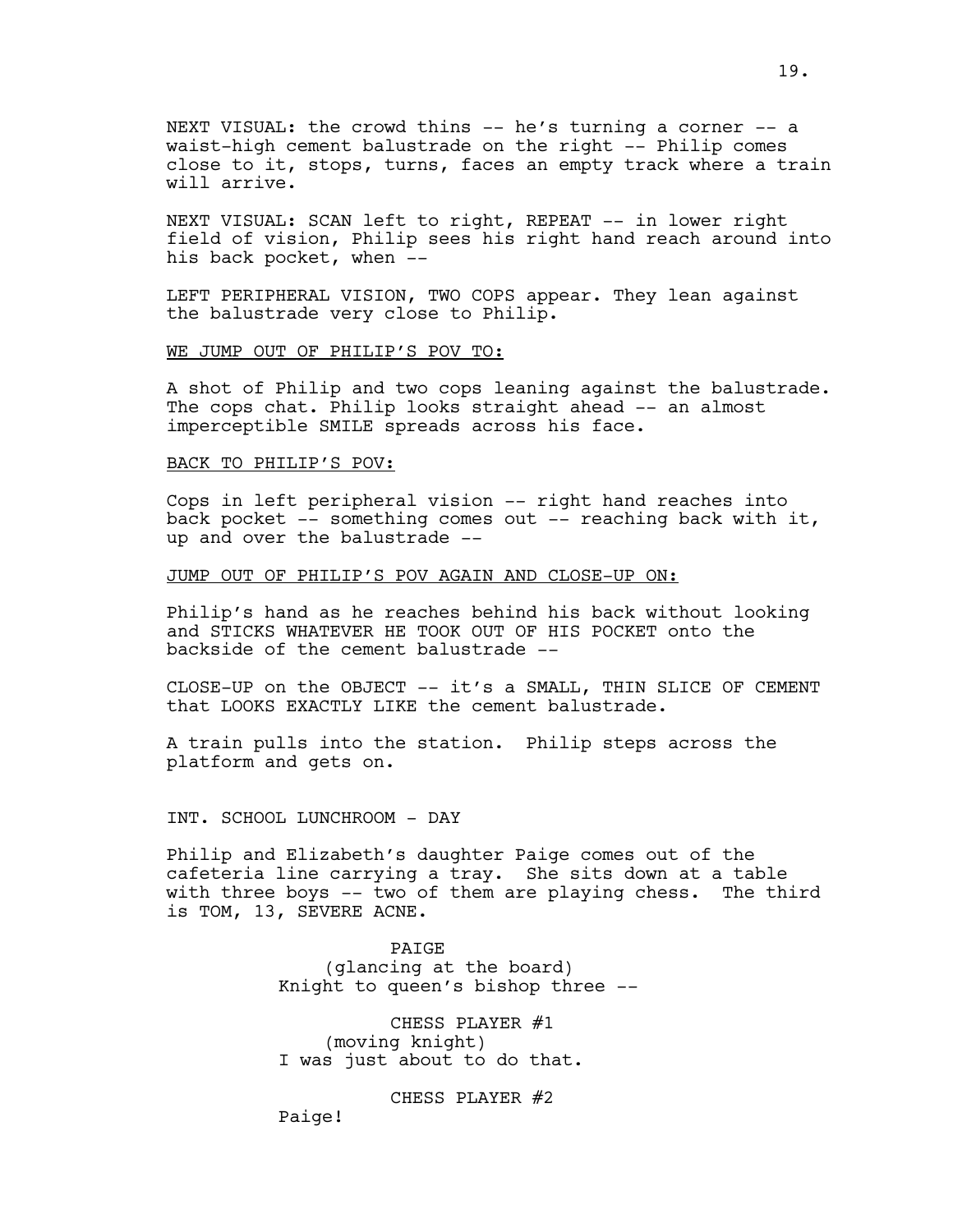NEXT VISUAL: the crowd thins -- he's turning a corner -- a waist-high cement balustrade on the right -- Philip comes close to it, stops, turns, faces an empty track where a train will arrive.

NEXT VISUAL: SCAN left to right, REPEAT -- in lower right field of vision, Philip sees his right hand reach around into his back pocket, when --

LEFT PERIPHERAL VISION, TWO COPS appear. They lean against the balustrade very close to Philip.

WE JUMP OUT OF PHILIP'S POV TO:

A shot of Philip and two cops leaning against the balustrade. The cops chat. Philip looks straight ahead -- an almost imperceptible SMILE spreads across his face.

## BACK TO PHILIP'S POV:

Cops in left peripheral vision -- right hand reaches into back pocket  $-$  something comes out  $-$  reaching back with it, up and over the balustrade --

## JUMP OUT OF PHILIP'S POV AGAIN AND CLOSE-UP ON:

Philip's hand as he reaches behind his back without looking and STICKS WHATEVER HE TOOK OUT OF HIS POCKET onto the backside of the cement balustrade --

CLOSE-UP on the OBJECT -- it's a SMALL, THIN SLICE OF CEMENT that LOOKS EXACTLY LIKE the cement balustrade.

A train pulls into the station. Philip steps across the platform and gets on.

INT. SCHOOL LUNCHROOM - DAY

Philip and Elizabeth's daughter Paige comes out of the cafeteria line carrying a tray. She sits down at a table with three boys -- two of them are playing chess. The third is TOM, 13, SEVERE ACNE.

PAIGE

(glancing at the board) Knight to queen's bishop three --

CHESS PLAYER #1 (moving knight) I was just about to do that.

CHESS PLAYER #2

Paige!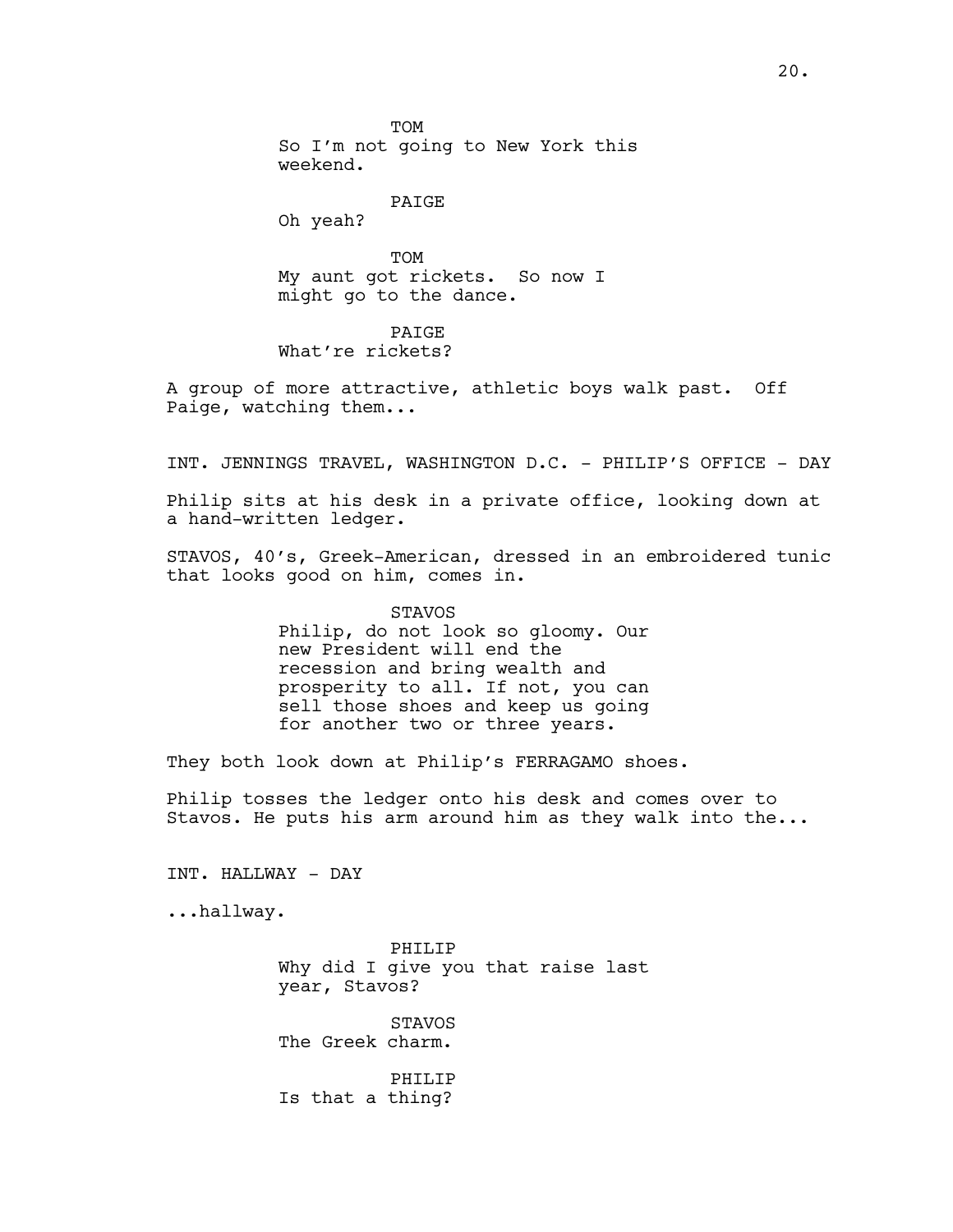# **PATGE**

Oh yeah?

TOM My aunt got rickets. So now I might go to the dance.

PAIGE What're rickets?

A group of more attractive, athletic boys walk past. Off Paige, watching them...

INT. JENNINGS TRAVEL, WASHINGTON D.C. - PHILIP'S OFFICE - DAY

Philip sits at his desk in a private office, looking down at a hand-written ledger.

STAVOS, 40's, Greek-American, dressed in an embroidered tunic that looks good on him, comes in.

> STAVOS Philip, do not look so gloomy. Our new President will end the recession and bring wealth and prosperity to all. If not, you can sell those shoes and keep us going for another two or three years.

They both look down at Philip's FERRAGAMO shoes.

Philip tosses the ledger onto his desk and comes over to Stavos. He puts his arm around him as they walk into the...

INT. HALLWAY - DAY

...hallway.

PHILIP Why did I give you that raise last year, Stavos?

STAVOS The Greek charm.

PHILIP Is that a thing?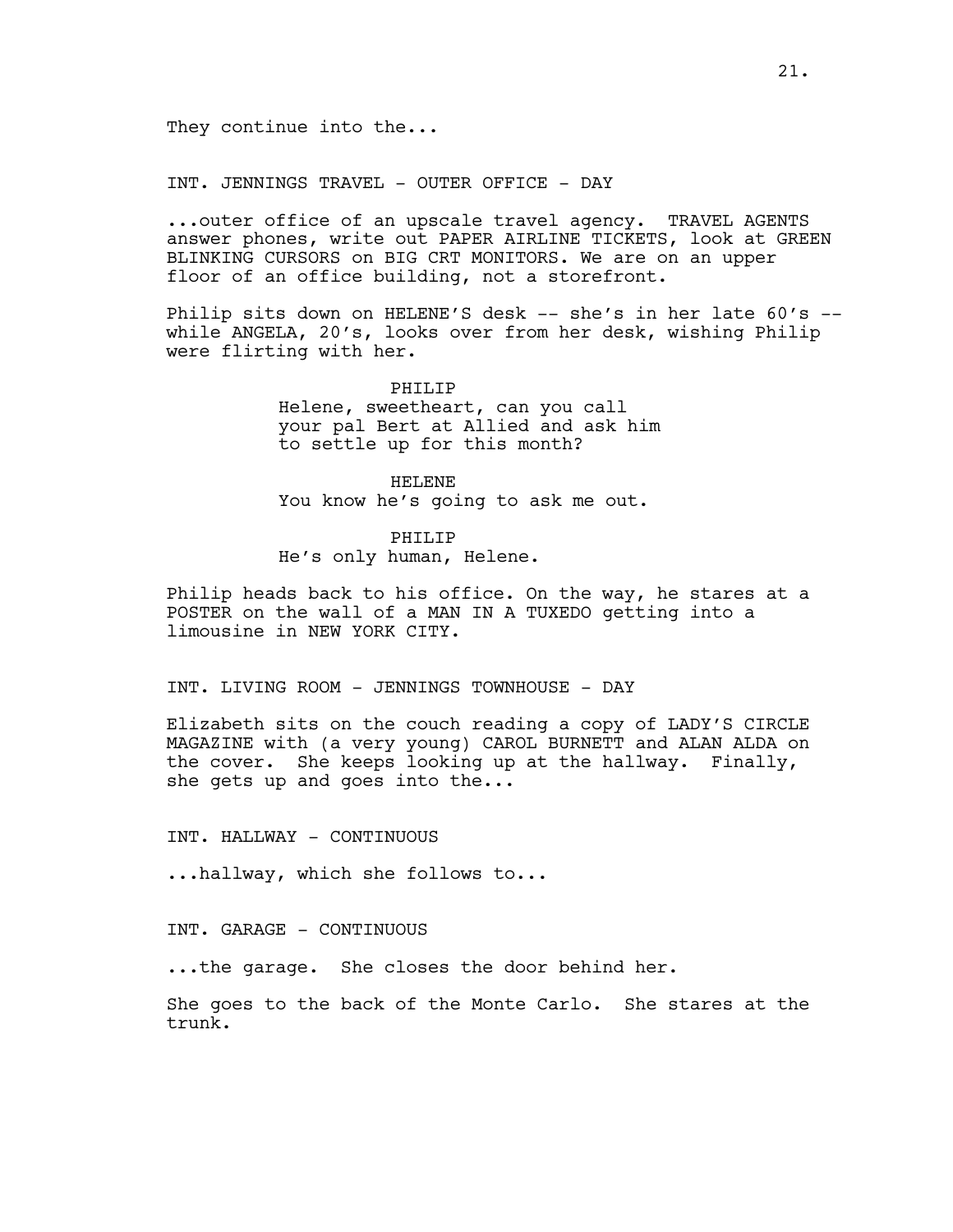They continue into the...

INT. JENNINGS TRAVEL - OUTER OFFICE - DAY

...outer office of an upscale travel agency. TRAVEL AGENTS answer phones, write out PAPER AIRLINE TICKETS, look at GREEN BLINKING CURSORS on BIG CRT MONITORS. We are on an upper floor of an office building, not a storefront.

Philip sits down on HELENE'S desk -- she's in her late 60's -while ANGELA, 20's, looks over from her desk, wishing Philip were flirting with her.

> PHILIP Helene, sweetheart, can you call your pal Bert at Allied and ask him to settle up for this month?

HELENE You know he's going to ask me out.

# PHILIP

He's only human, Helene.

Philip heads back to his office. On the way, he stares at a POSTER on the wall of a MAN IN A TUXEDO getting into a limousine in NEW YORK CITY.

INT. LIVING ROOM - JENNINGS TOWNHOUSE - DAY

Elizabeth sits on the couch reading a copy of LADY'S CIRCLE MAGAZINE with (a very young) CAROL BURNETT and ALAN ALDA on the cover. She keeps looking up at the hallway. Finally, she gets up and goes into the...

INT. HALLWAY - CONTINUOUS

...hallway, which she follows to...

INT. GARAGE - CONTINUOUS

...the garage. She closes the door behind her.

She goes to the back of the Monte Carlo. She stares at the trunk.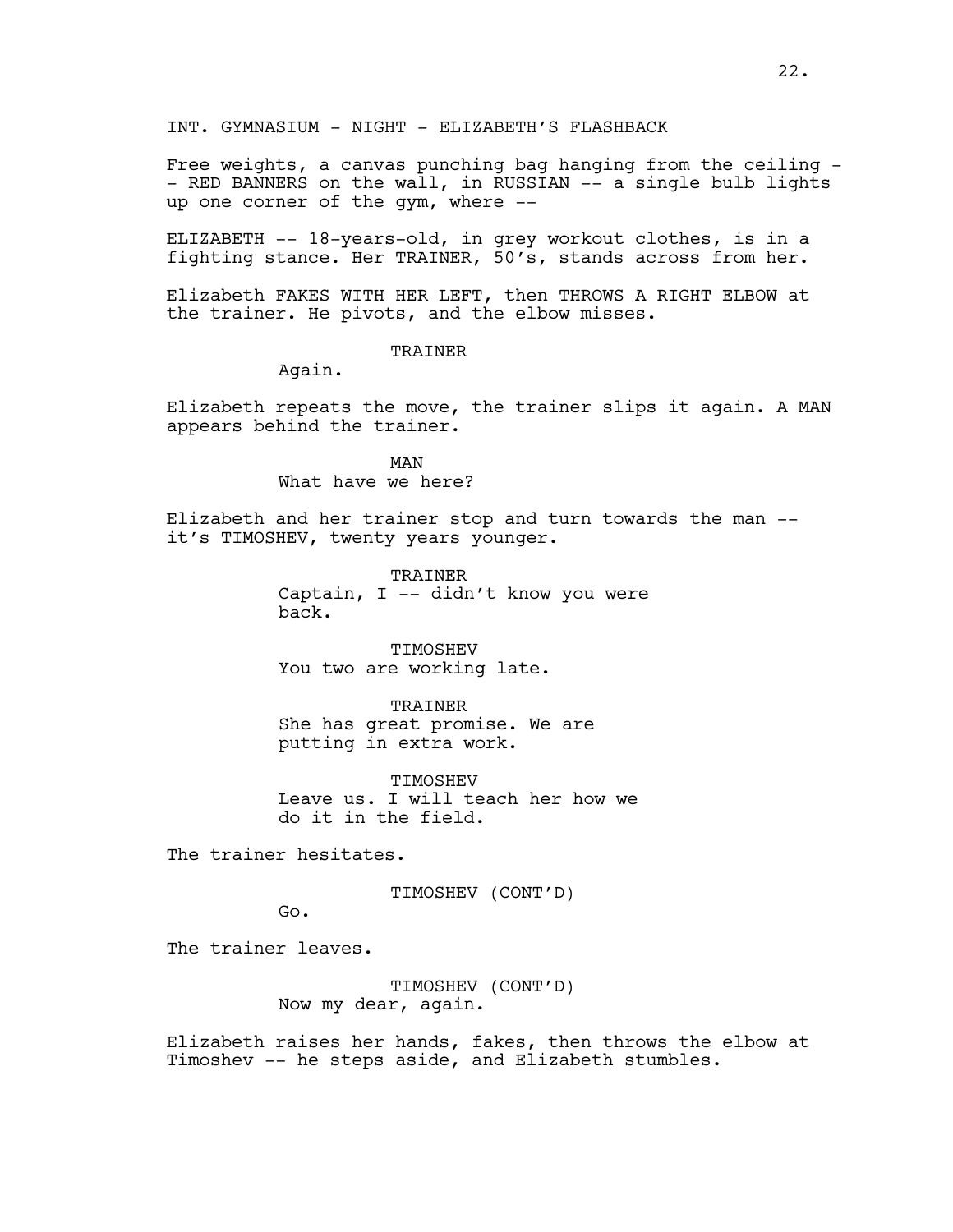INT. GYMNASIUM - NIGHT - ELIZABETH'S FLASHBACK

Free weights, a canvas punching bag hanging from the ceiling - - RED BANNERS on the wall, in RUSSIAN -- a single bulb lights up one corner of the gym, where --

ELIZABETH -- 18-years-old, in grey workout clothes, is in a fighting stance. Her TRAINER, 50's, stands across from her.

Elizabeth FAKES WITH HER LEFT, then THROWS A RIGHT ELBOW at the trainer. He pivots, and the elbow misses.

### TRAINER

Again.

Elizabeth repeats the move, the trainer slips it again. A MAN appears behind the trainer.

> MAN What have we here?

Elizabeth and her trainer stop and turn towards the man - it's TIMOSHEV, twenty years younger.

> TRAINER Captain, I -- didn't know you were back.

TIMOSHEV You two are working late.

TRAINER She has great promise. We are putting in extra work.

TIMOSHEV Leave us. I will teach her how we do it in the field.

The trainer hesitates.

TIMOSHEV (CONT'D)

Go.

The trainer leaves.

TIMOSHEV (CONT'D) Now my dear, again.

Elizabeth raises her hands, fakes, then throws the elbow at Timoshev -- he steps aside, and Elizabeth stumbles.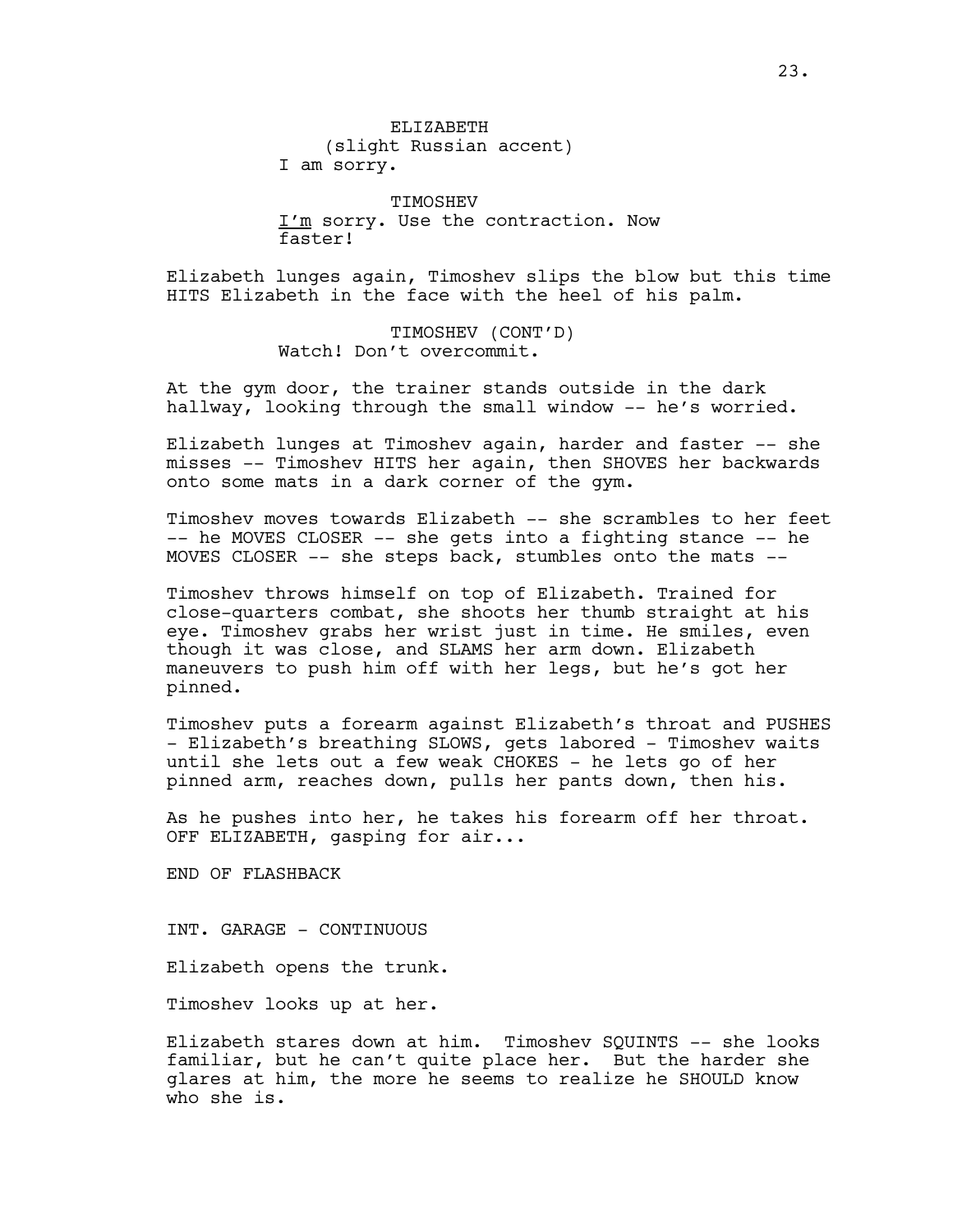**TIMOSHEV** I'm sorry. Use the contraction. Now faster!

Elizabeth lunges again, Timoshev slips the blow but this time HITS Elizabeth in the face with the heel of his palm.

> TIMOSHEV (CONT'D) Watch! Don't overcommit.

At the gym door, the trainer stands outside in the dark hallway, looking through the small window -- he's worried.

Elizabeth lunges at Timoshev again, harder and faster -- she misses -- Timoshev HITS her again, then SHOVES her backwards onto some mats in a dark corner of the gym.

Timoshev moves towards Elizabeth -- she scrambles to her feet -- he MOVES CLOSER -- she gets into a fighting stance -- he MOVES CLOSER -- she steps back, stumbles onto the mats --

Timoshev throws himself on top of Elizabeth. Trained for close-quarters combat, she shoots her thumb straight at his eye. Timoshev grabs her wrist just in time. He smiles, even though it was close, and SLAMS her arm down. Elizabeth maneuvers to push him off with her legs, but he's got her pinned.

Timoshev puts a forearm against Elizabeth's throat and PUSHES - Elizabeth's breathing SLOWS, gets labored - Timoshev waits until she lets out a few weak CHOKES - he lets go of her pinned arm, reaches down, pulls her pants down, then his.

As he pushes into her, he takes his forearm off her throat. OFF ELIZABETH, gasping for air...

END OF FLASHBACK

INT. GARAGE - CONTINUOUS

Elizabeth opens the trunk.

Timoshev looks up at her.

Elizabeth stares down at him. Timoshev SQUINTS -- she looks familiar, but he can't quite place her. But the harder she glares at him, the more he seems to realize he SHOULD know who she is.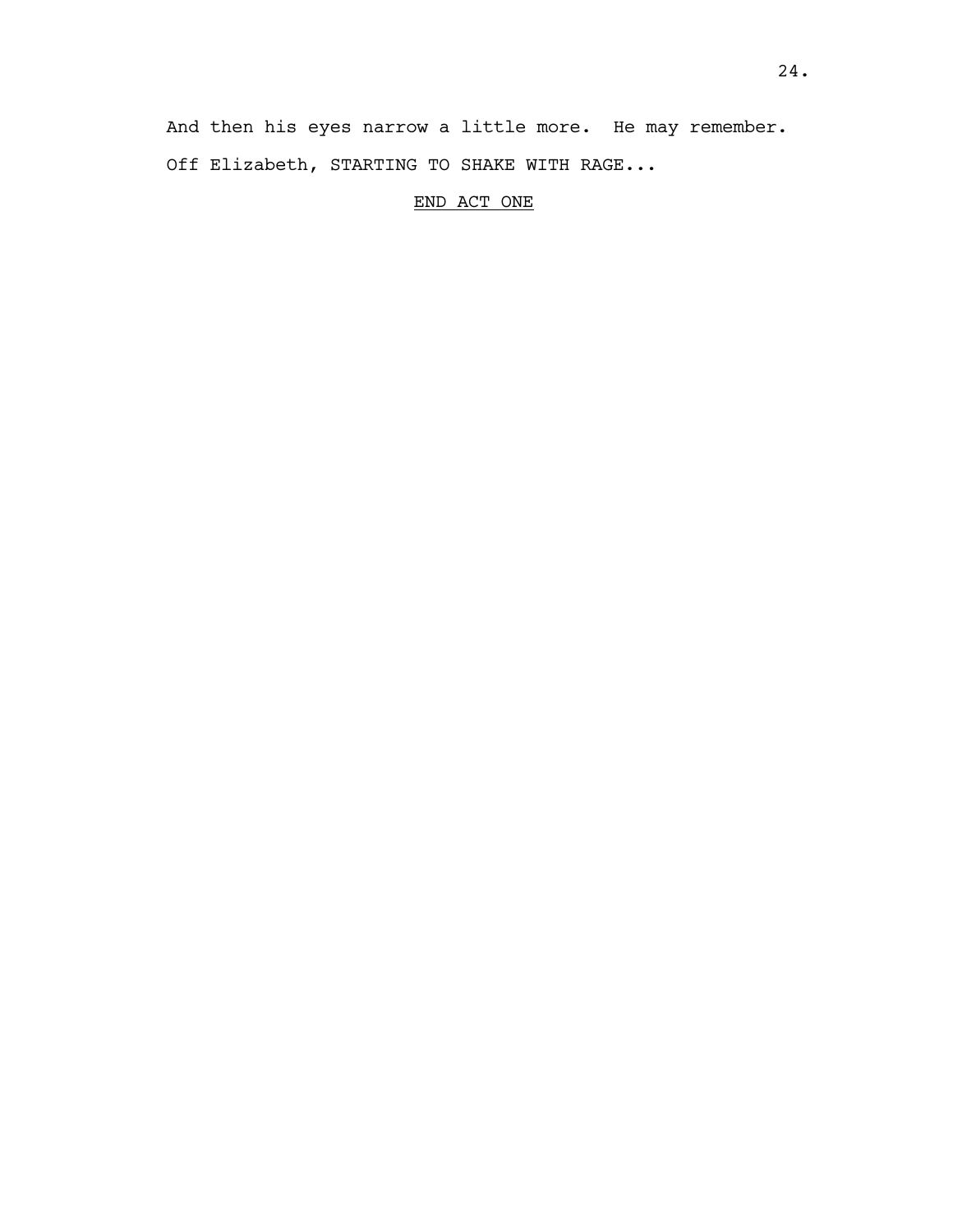And then his eyes narrow a little more. He may remember. Off Elizabeth, STARTING TO SHAKE WITH RAGE...

# END ACT ONE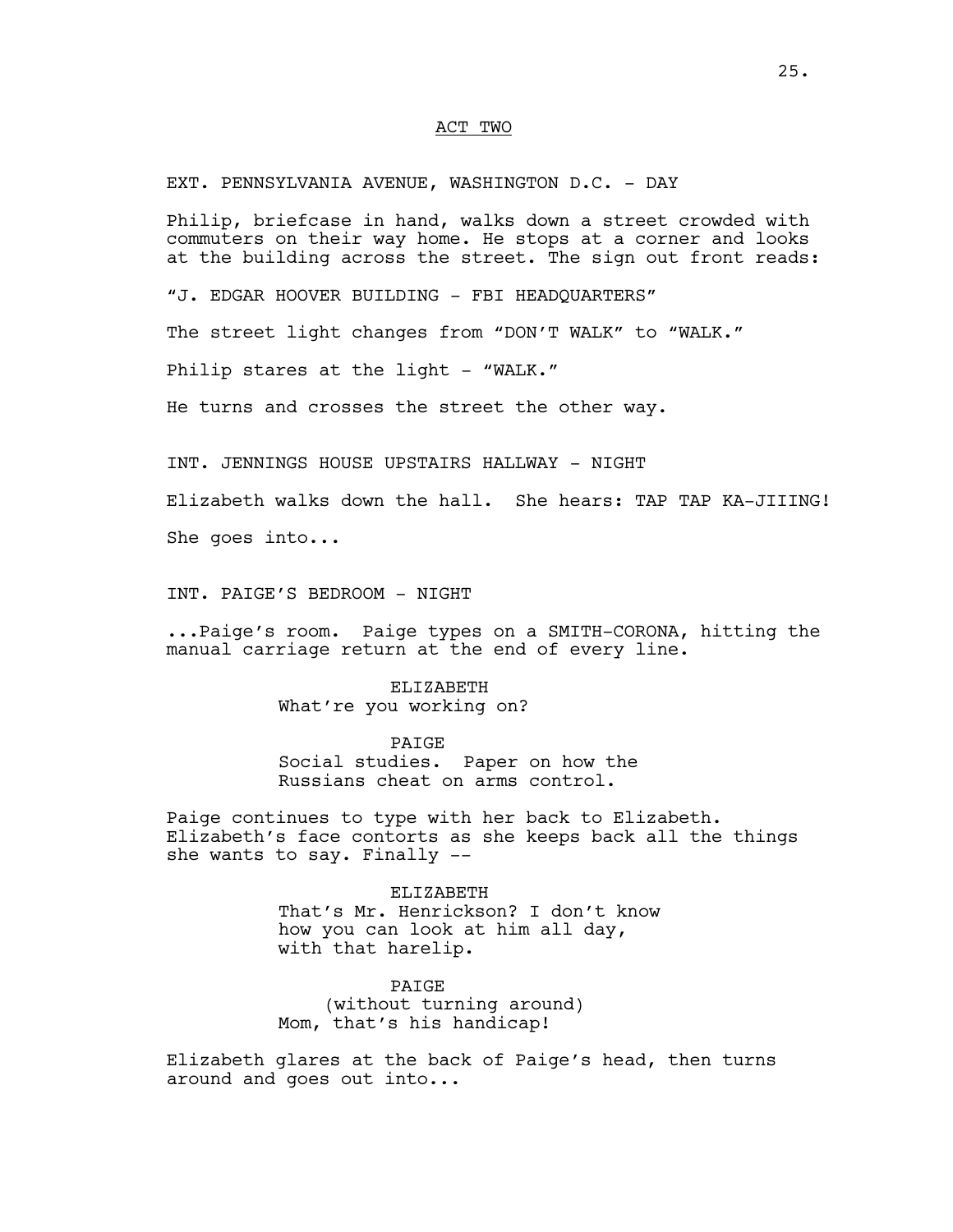# ACT TWO

EXT. PENNSYLVANIA AVENUE, WASHINGTON D.C. - DAY

Philip, briefcase in hand, walks down a street crowded with commuters on their way home. He stops at a corner and looks at the building across the street. The sign out front reads:

"J. EDGAR HOOVER BUILDING - FBI HEADQUARTERS"

The street light changes from "DON'T WALK" to "WALK."

Philip stares at the light - "WALK."

He turns and crosses the street the other way.

INT. JENNINGS HOUSE UPSTAIRS HALLWAY - NIGHT

Elizabeth walks down the hall. She hears: TAP TAP KA-JIIING!

She goes into...

INT. PAIGE'S BEDROOM - NIGHT

...Paige's room. Paige types on a SMITH-CORONA, hitting the manual carriage return at the end of every line.

> ELIZABETH What're you working on?

> > PAIGE

Social studies. Paper on how the Russians cheat on arms control.

Paige continues to type with her back to Elizabeth. Elizabeth's face contorts as she keeps back all the things she wants to say. Finally --

ELIZABETH

That's Mr. Henrickson? I don't know how you can look at him all day, with that harelip.

PAIGE (without turning around) Mom, that's his handicap!

Elizabeth glares at the back of Paige's head, then turns around and goes out into...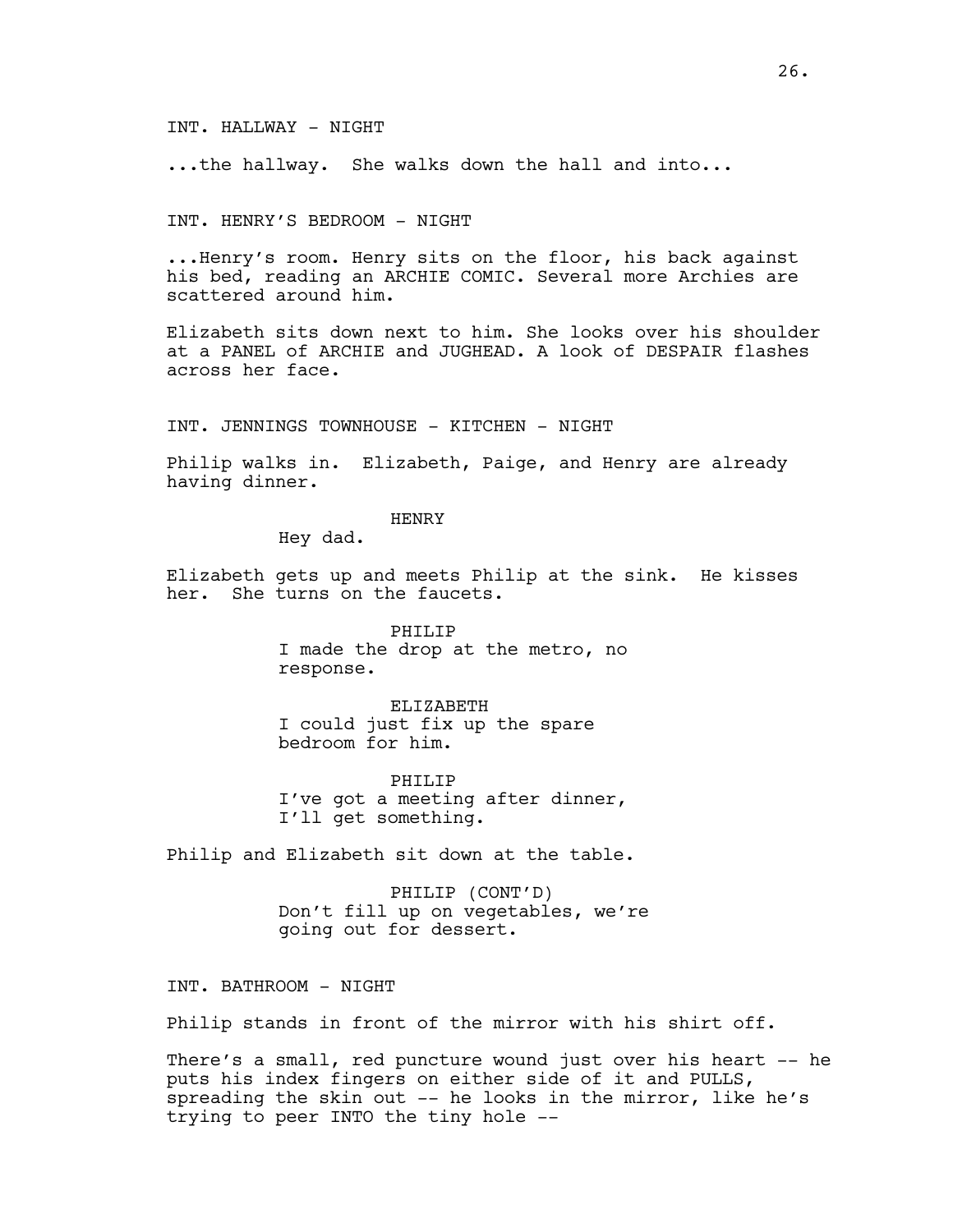#### INT. HALLWAY - NIGHT

...the hallway. She walks down the hall and into...

INT. HENRY'S BEDROOM - NIGHT

...Henry's room. Henry sits on the floor, his back against his bed, reading an ARCHIE COMIC. Several more Archies are scattered around him.

Elizabeth sits down next to him. She looks over his shoulder at a PANEL of ARCHIE and JUGHEAD. A look of DESPAIR flashes across her face.

INT. JENNINGS TOWNHOUSE - KITCHEN - NIGHT

Philip walks in. Elizabeth, Paige, and Henry are already having dinner.

HENRY

Hey dad.

Elizabeth gets up and meets Philip at the sink. He kisses her. She turns on the faucets.

> PHILIP I made the drop at the metro, no response.

ELIZABETH I could just fix up the spare bedroom for him.

PHILIP I've got a meeting after dinner, I'll get something.

Philip and Elizabeth sit down at the table.

PHILIP (CONT'D) Don't fill up on vegetables, we're going out for dessert.

INT. BATHROOM - NIGHT

Philip stands in front of the mirror with his shirt off.

There's a small, red puncture wound just over his heart -- he puts his index fingers on either side of it and PULLS, spreading the skin out -- he looks in the mirror, like he's trying to peer INTO the tiny hole --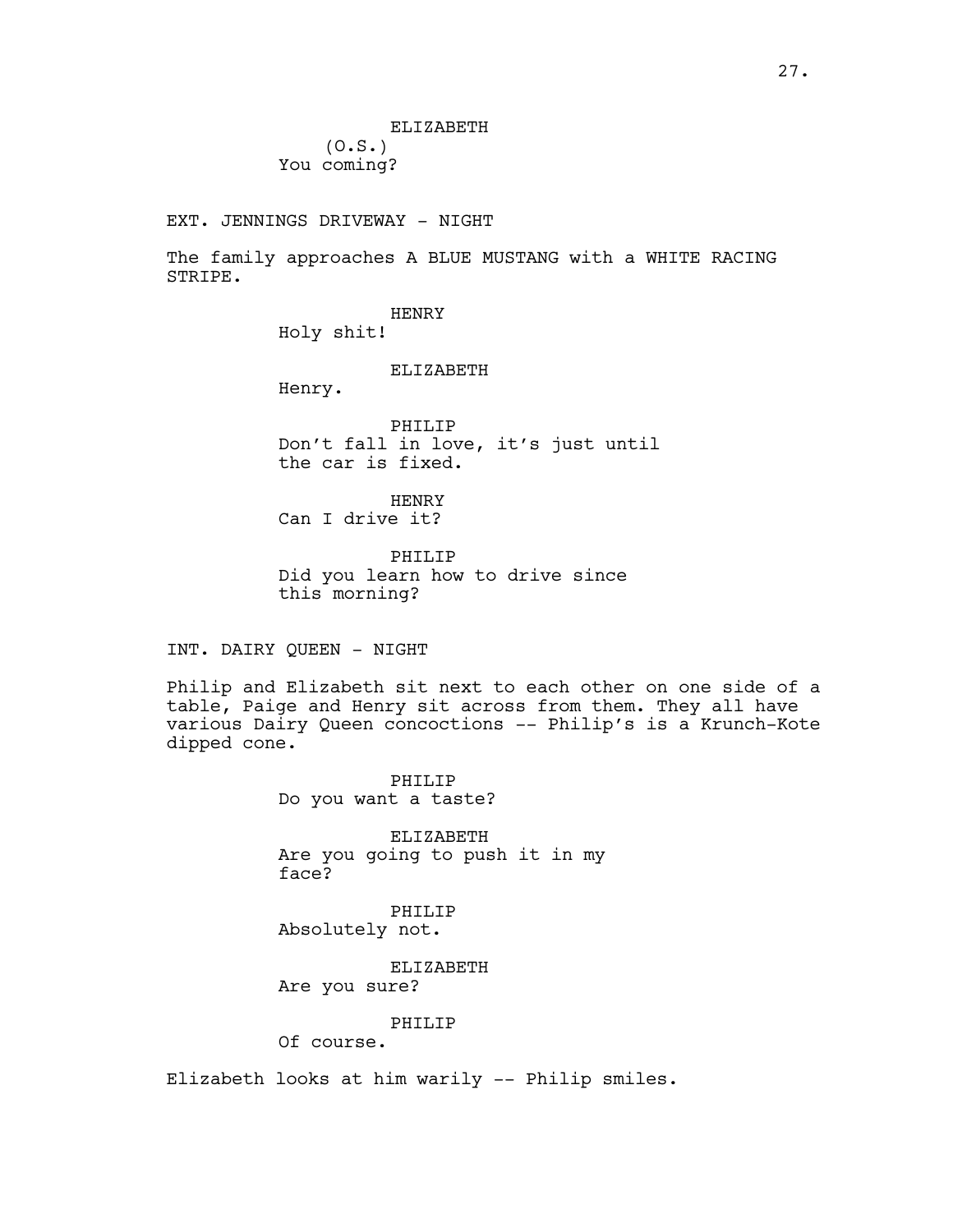ELIZABETH  $(0.S.)$ You coming?

EXT. JENNINGS DRIVEWAY - NIGHT

The family approaches A BLUE MUSTANG with a WHITE RACING STRIPE.

HENRY

Holy shit!

ELIZABETH

Henry.

PHILIP Don't fall in love, it's just until the car is fixed.

HENRY Can I drive it?

PHILIP Did you learn how to drive since this morning?

INT. DAIRY QUEEN - NIGHT

Philip and Elizabeth sit next to each other on one side of a table, Paige and Henry sit across from them. They all have various Dairy Queen concoctions -- Philip's is a Krunch-Kote dipped cone.

> PHILIP Do you want a taste?

ELIZABETH Are you going to push it in my face?

PHILIP Absolutely not.

ELIZABETH Are you sure?

PHILIP

Of course.

Elizabeth looks at him warily -- Philip smiles.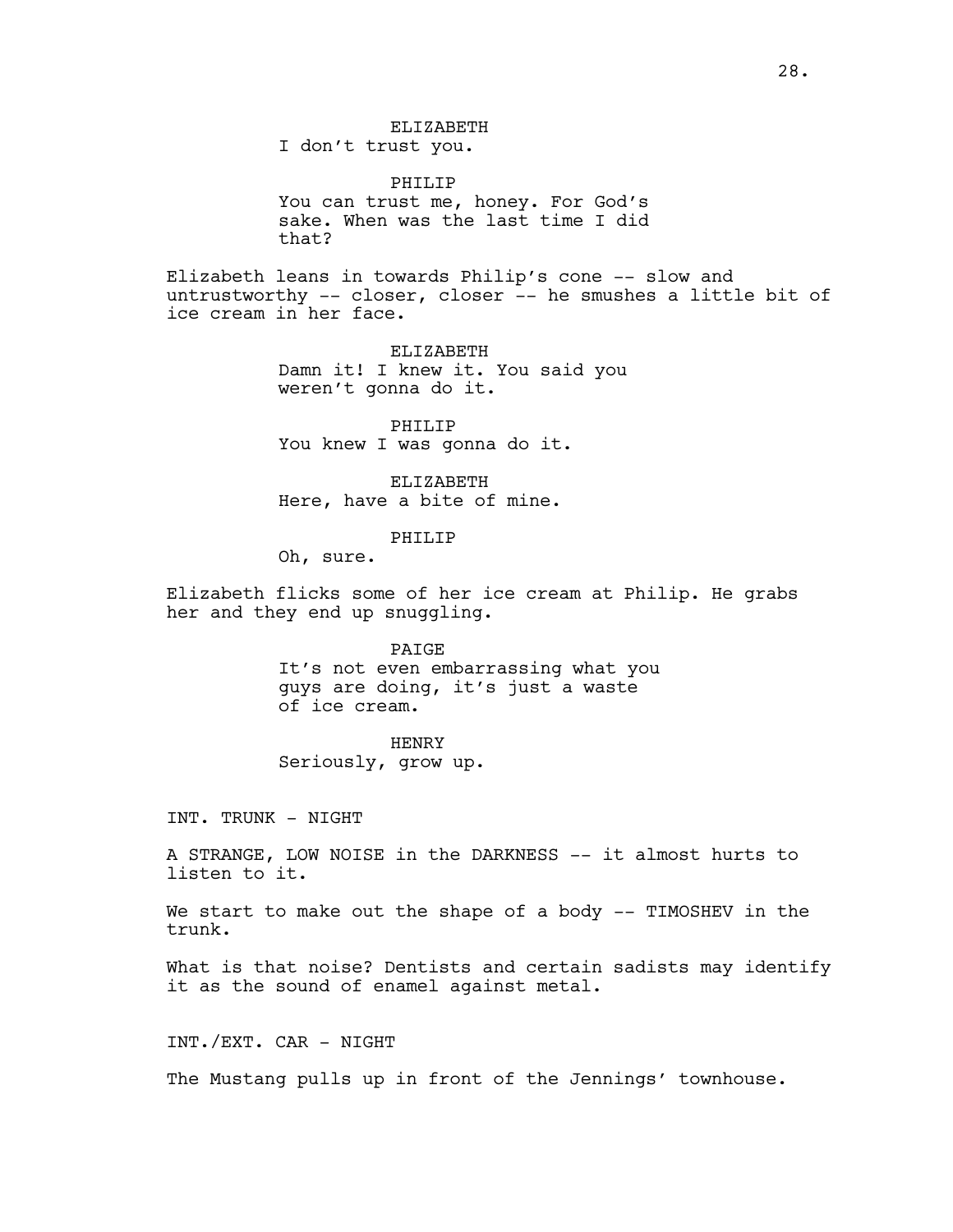I don't trust you.

PHILIP You can trust me, honey. For God's sake. When was the last time I did that?

Elizabeth leans in towards Philip's cone -- slow and untrustworthy -- closer, closer -- he smushes a little bit of ice cream in her face.

> ELIZABETH Damn it! I knew it. You said you weren't gonna do it.

PHILIP You knew I was gonna do it.

ELIZABETH Here, have a bite of mine.

PHILIP

Oh, sure.

Elizabeth flicks some of her ice cream at Philip. He grabs her and they end up snuggling.

> PAIGE It's not even embarrassing what you guys are doing, it's just a waste of ice cream.

HENRY Seriously, grow up.

INT. TRUNK - NIGHT

A STRANGE, LOW NOISE in the DARKNESS -- it almost hurts to listen to it.

We start to make out the shape of a body -- TIMOSHEV in the trunk.

What is that noise? Dentists and certain sadists may identify it as the sound of enamel against metal.

INT./EXT. CAR - NIGHT

The Mustang pulls up in front of the Jennings' townhouse.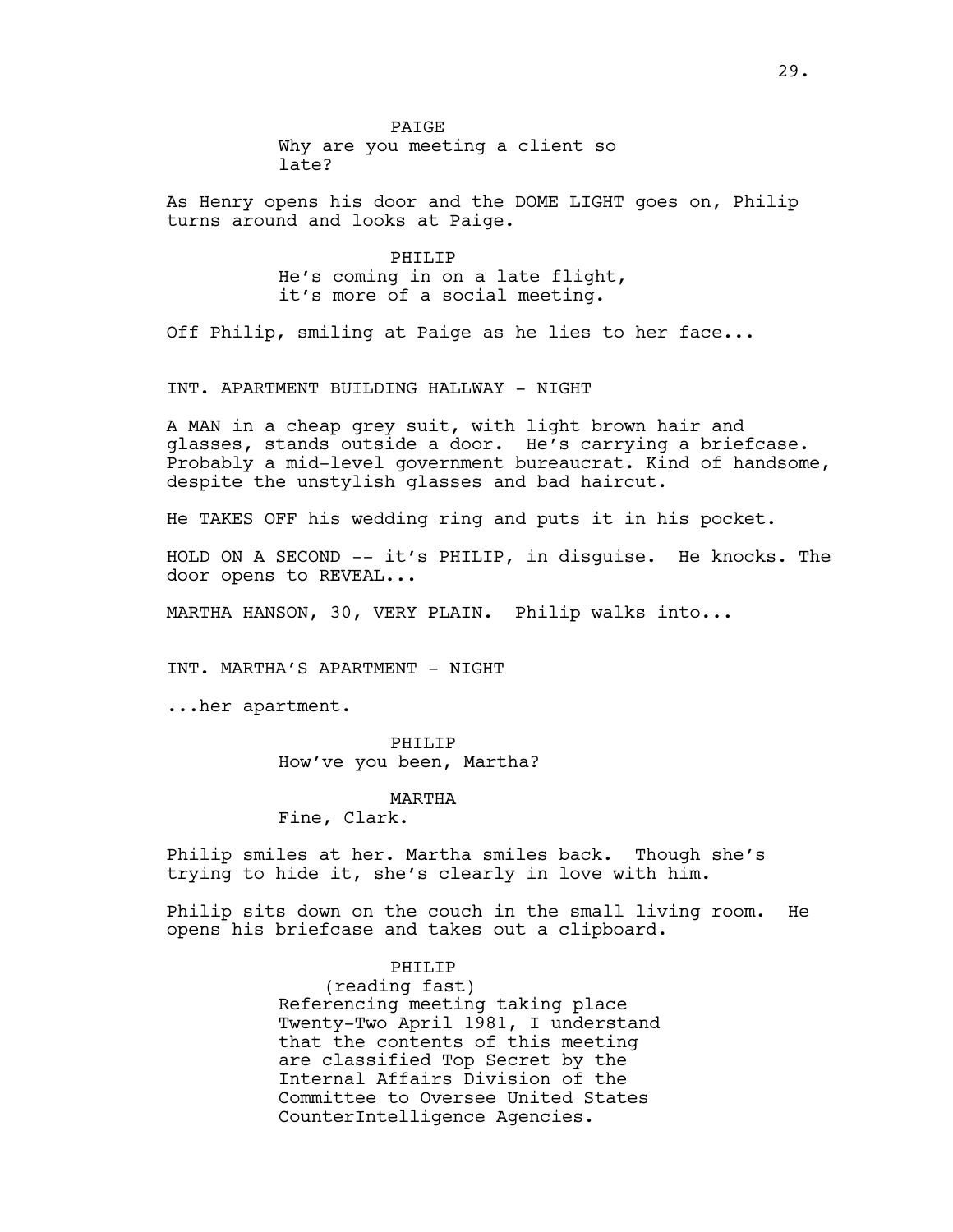PAIGE Why are you meeting a client so late?

As Henry opens his door and the DOME LIGHT goes on, Philip turns around and looks at Paige.

> PHILIP He's coming in on a late flight, it's more of a social meeting.

Off Philip, smiling at Paige as he lies to her face...

## INT. APARTMENT BUILDING HALLWAY - NIGHT

A MAN in a cheap grey suit, with light brown hair and glasses, stands outside a door. He's carrying a briefcase. Probably a mid-level government bureaucrat. Kind of handsome, despite the unstylish glasses and bad haircut.

He TAKES OFF his wedding ring and puts it in his pocket.

HOLD ON A SECOND -- it's PHILIP, in disguise. He knocks. The door opens to REVEAL...

MARTHA HANSON, 30, VERY PLAIN. Philip walks into...

INT. MARTHA'S APARTMENT - NIGHT

...her apartment.

PHILIP How've you been, Martha?

# MARTHA

Fine, Clark.

Philip smiles at her. Martha smiles back. Though she's trying to hide it, she's clearly in love with him.

Philip sits down on the couch in the small living room. He opens his briefcase and takes out a clipboard.

# PHILIP

(reading fast) Referencing meeting taking place Twenty-Two April 1981, I understand that the contents of this meeting are classified Top Secret by the Internal Affairs Division of the Committee to Oversee United States CounterIntelligence Agencies.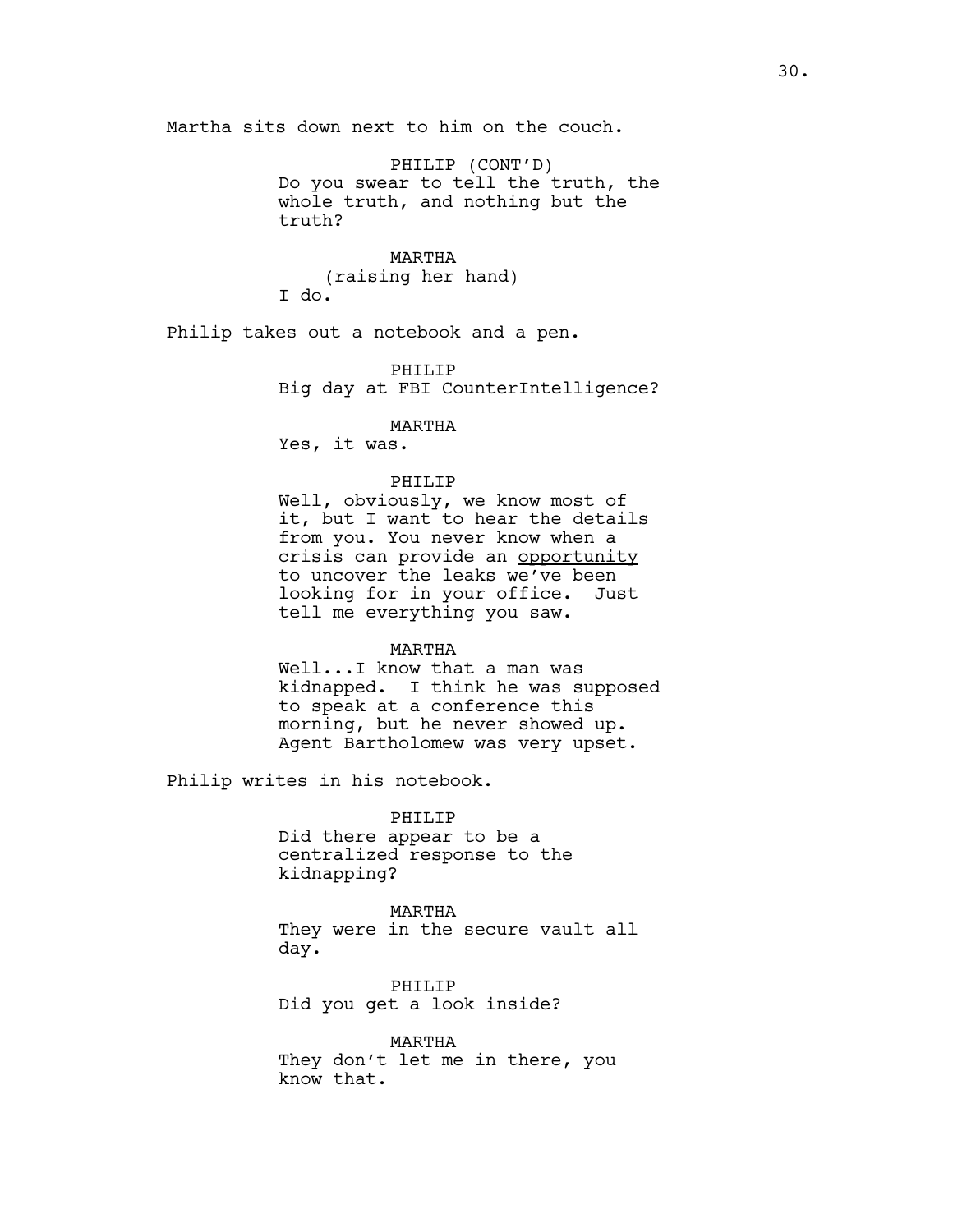Martha sits down next to him on the couch.

PHILIP (CONT'D) Do you swear to tell the truth, the whole truth, and nothing but the truth?

MARTHA (raising her hand) I do.

Philip takes out a notebook and a pen.

PHILIP Big day at FBI CounterIntelligence?

MARTHA

Yes, it was.

## PHILIP

Well, obviously, we know most of it, but I want to hear the details from you. You never know when a crisis can provide an opportunity to uncover the leaks we've been looking for in your office. Just tell me everything you saw.

# MARTHA

Well...I know that a man was kidnapped. I think he was supposed to speak at a conference this morning, but he never showed up. Agent Bartholomew was very upset.

Philip writes in his notebook.

#### PHILIP

Did there appear to be a centralized response to the kidnapping?

MARTHA They were in the secure vault all day.

PHILIP Did you get a look inside?

MARTHA They don't let me in there, you know that.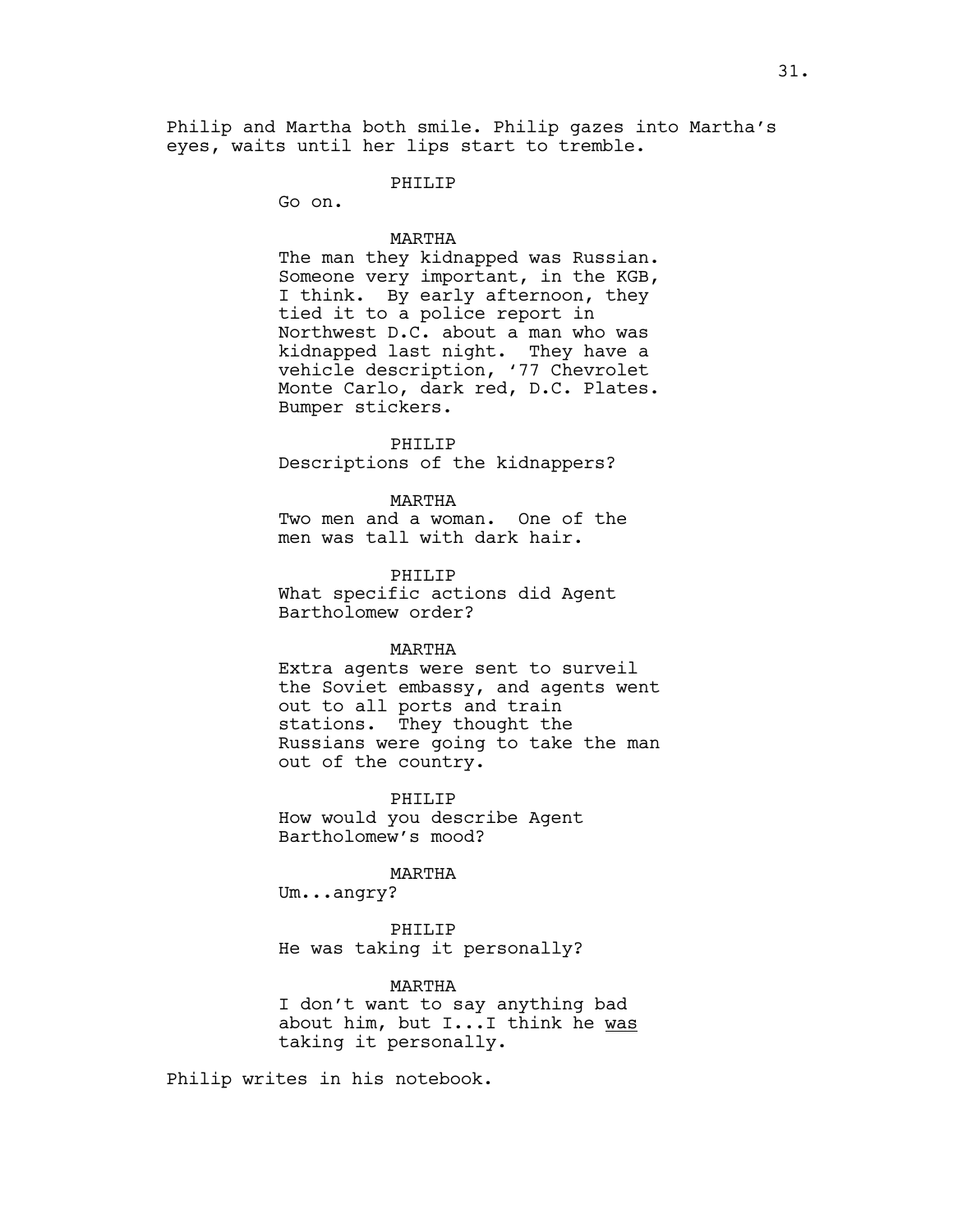Philip and Martha both smile. Philip gazes into Martha's eyes, waits until her lips start to tremble.

#### PHILIP

Go on.

# MARTHA

The man they kidnapped was Russian. Someone very important, in the KGB, I think. By early afternoon, they tied it to a police report in Northwest D.C. about a man who was kidnapped last night. They have a vehicle description, '77 Chevrolet Monte Carlo, dark red, D.C. Plates. Bumper stickers.

#### PHILIP

Descriptions of the kidnappers?

# MARTHA

Two men and a woman. One of the men was tall with dark hair.

PHILIP What specific actions did Agent Bartholomew order?

#### MARTHA

Extra agents were sent to surveil the Soviet embassy, and agents went out to all ports and train stations. They thought the Russians were going to take the man out of the country.

PHILIP

How would you describe Agent Bartholomew's mood?

## MARTHA

Um...angry?

PHILIP

He was taking it personally?

#### MARTHA

I don't want to say anything bad about him, but I...I think he was taking it personally.

Philip writes in his notebook.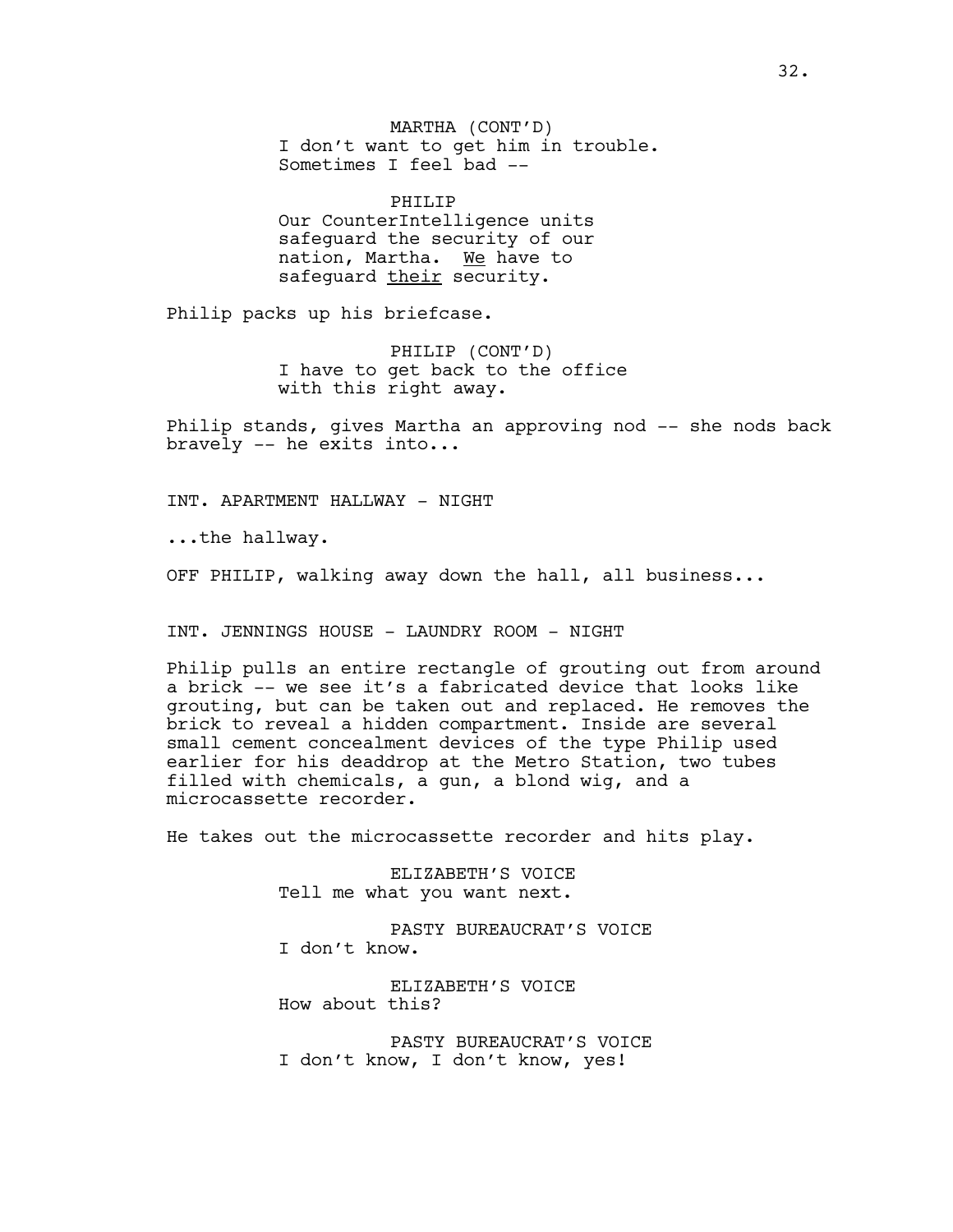MARTHA (CONT'D) I don't want to get him in trouble. Sometimes I feel bad --

PHTLTP Our CounterIntelligence units safeguard the security of our nation, Martha. We have to safeguard their security.

Philip packs up his briefcase.

PHILIP (CONT'D) I have to get back to the office with this right away.

Philip stands, gives Martha an approving nod -- she nods back bravely -- he exits into...

INT. APARTMENT HALLWAY - NIGHT

...the hallway.

OFF PHILIP, walking away down the hall, all business...

INT. JENNINGS HOUSE - LAUNDRY ROOM - NIGHT

Philip pulls an entire rectangle of grouting out from around a brick -- we see it's a fabricated device that looks like grouting, but can be taken out and replaced. He removes the brick to reveal a hidden compartment. Inside are several small cement concealment devices of the type Philip used earlier for his deaddrop at the Metro Station, two tubes filled with chemicals, a gun, a blond wig, and a microcassette recorder.

He takes out the microcassette recorder and hits play.

ELIZABETH'S VOICE Tell me what you want next.

PASTY BUREAUCRAT'S VOICE I don't know.

ELIZABETH'S VOICE How about this?

PASTY BUREAUCRAT'S VOICE I don't know, I don't know, yes!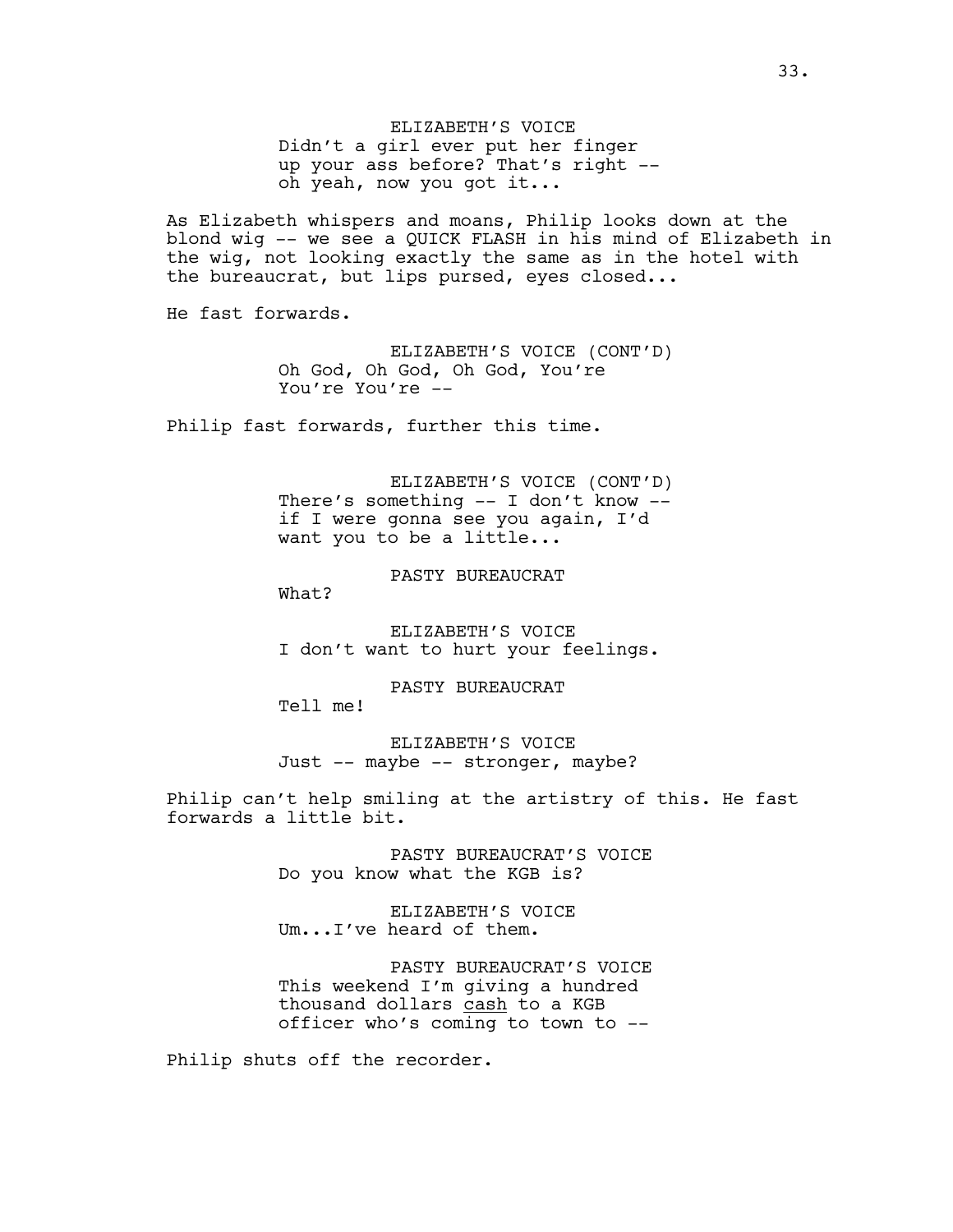ELIZABETH'S VOICE Didn't a girl ever put her finger up your ass before? That's right - oh yeah, now you got it...

As Elizabeth whispers and moans, Philip looks down at the blond wig -- we see a QUICK FLASH in his mind of Elizabeth in the wig, not looking exactly the same as in the hotel with the bureaucrat, but lips pursed, eyes closed...

He fast forwards.

ELIZABETH'S VOICE (CONT'D) Oh God, Oh God, Oh God, You're You're You're --

Philip fast forwards, further this time.

ELIZABETH'S VOICE (CONT'D) There's something -- I don't know - if I were gonna see you again, I'd want you to be a little...

PASTY BUREAUCRAT

What?

ELIZABETH'S VOICE I don't want to hurt your feelings.

PASTY BUREAUCRAT Tell me!

ELIZABETH'S VOICE Just -- maybe -- stronger, maybe?

Philip can't help smiling at the artistry of this. He fast forwards a little bit.

> PASTY BUREAUCRAT'S VOICE Do you know what the KGB is?

ELIZABETH'S VOICE Um...I've heard of them.

PASTY BUREAUCRAT'S VOICE This weekend I'm giving a hundred thousand dollars cash to a KGB officer who's coming to town to --

Philip shuts off the recorder.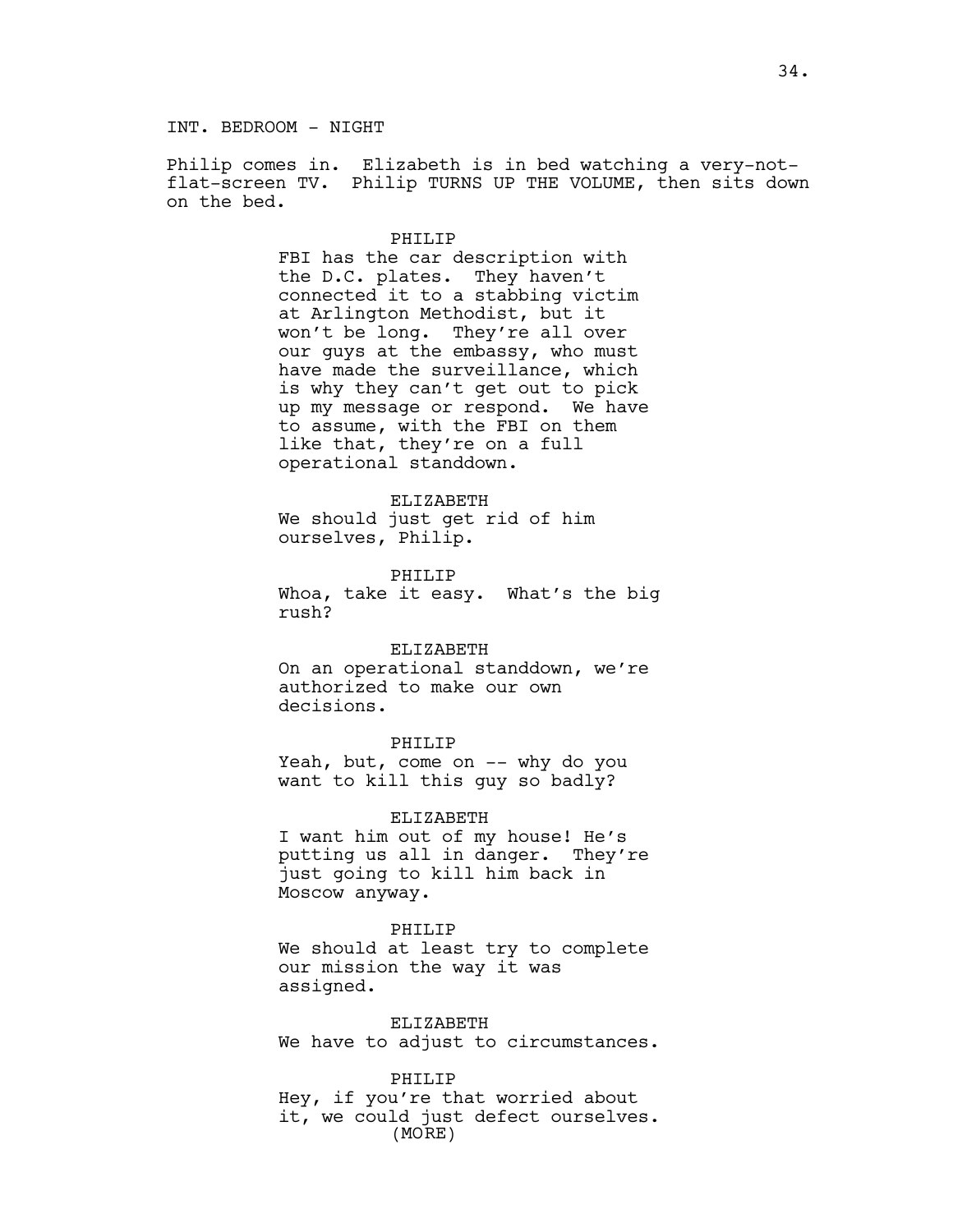Philip comes in. Elizabeth is in bed watching a very-notflat-screen TV. Philip TURNS UP THE VOLUME, then sits down on the bed.

#### PHILIP

FBI has the car description with the D.C. plates. They haven't connected it to a stabbing victim at Arlington Methodist, but it won't be long. They're all over our guys at the embassy, who must have made the surveillance, which is why they can't get out to pick up my message or respond. We have to assume, with the FBI on them like that, they're on a full operational standdown.

#### ELIZABETH

We should just get rid of him ourselves, Philip.

# PHILIP

Whoa, take it easy. What's the big rush?

# ELIZABETH

On an operational standdown, we're authorized to make our own decisions.

## PHILIP

Yeah, but, come on -- why do you want to kill this guy so badly?

#### ELIZABETH

I want him out of my house! He's putting us all in danger. They're just going to kill him back in Moscow anyway.

#### PHILIP

We should at least try to complete our mission the way it was assigned.

ELIZABETH We have to adjust to circumstances.

#### PHILIP

Hey, if you're that worried about it, we could just defect ourselves. (MORE)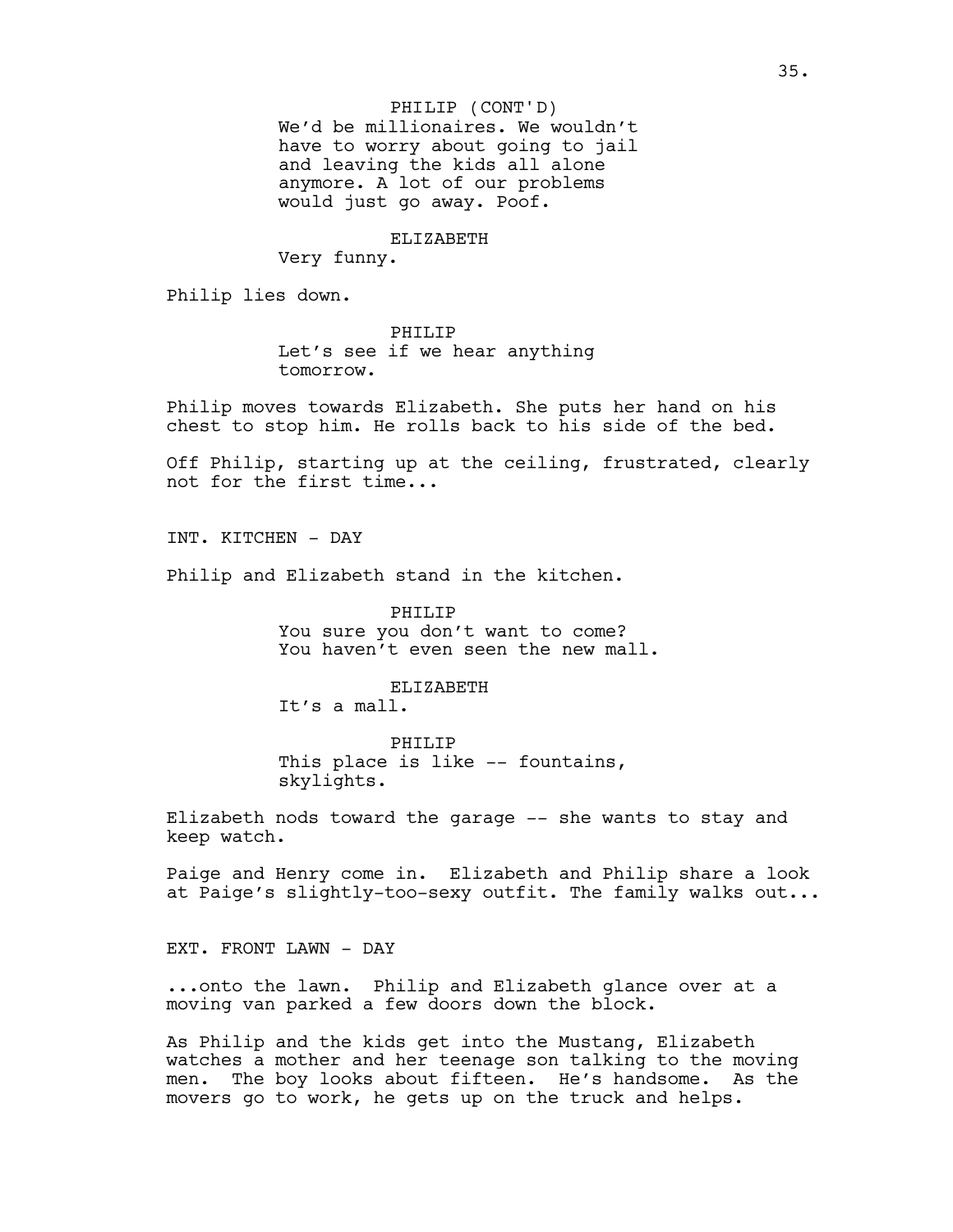#### PHILIP (CONT'D)

We'd be millionaires. We wouldn't have to worry about going to jail and leaving the kids all alone anymore. A lot of our problems would just go away. Poof.

#### ELIZABETH

Very funny.

Philip lies down.

# PHILIP

Let's see if we hear anything tomorrow.

Philip moves towards Elizabeth. She puts her hand on his chest to stop him. He rolls back to his side of the bed.

Off Philip, starting up at the ceiling, frustrated, clearly not for the first time...

INT. KITCHEN - DAY

Philip and Elizabeth stand in the kitchen.

PHILIP

You sure you don't want to come? You haven't even seen the new mall.

ELIZABETH

It's a mall.

PHILIP

This place is like -- fountains, skylights.

Elizabeth nods toward the garage -- she wants to stay and keep watch.

Paige and Henry come in. Elizabeth and Philip share a look at Paige's slightly-too-sexy outfit. The family walks out...

EXT. FRONT LAWN - DAY

...onto the lawn. Philip and Elizabeth glance over at a moving van parked a few doors down the block.

As Philip and the kids get into the Mustang, Elizabeth watches a mother and her teenage son talking to the moving men. The boy looks about fifteen. He's handsome. As the movers go to work, he gets up on the truck and helps.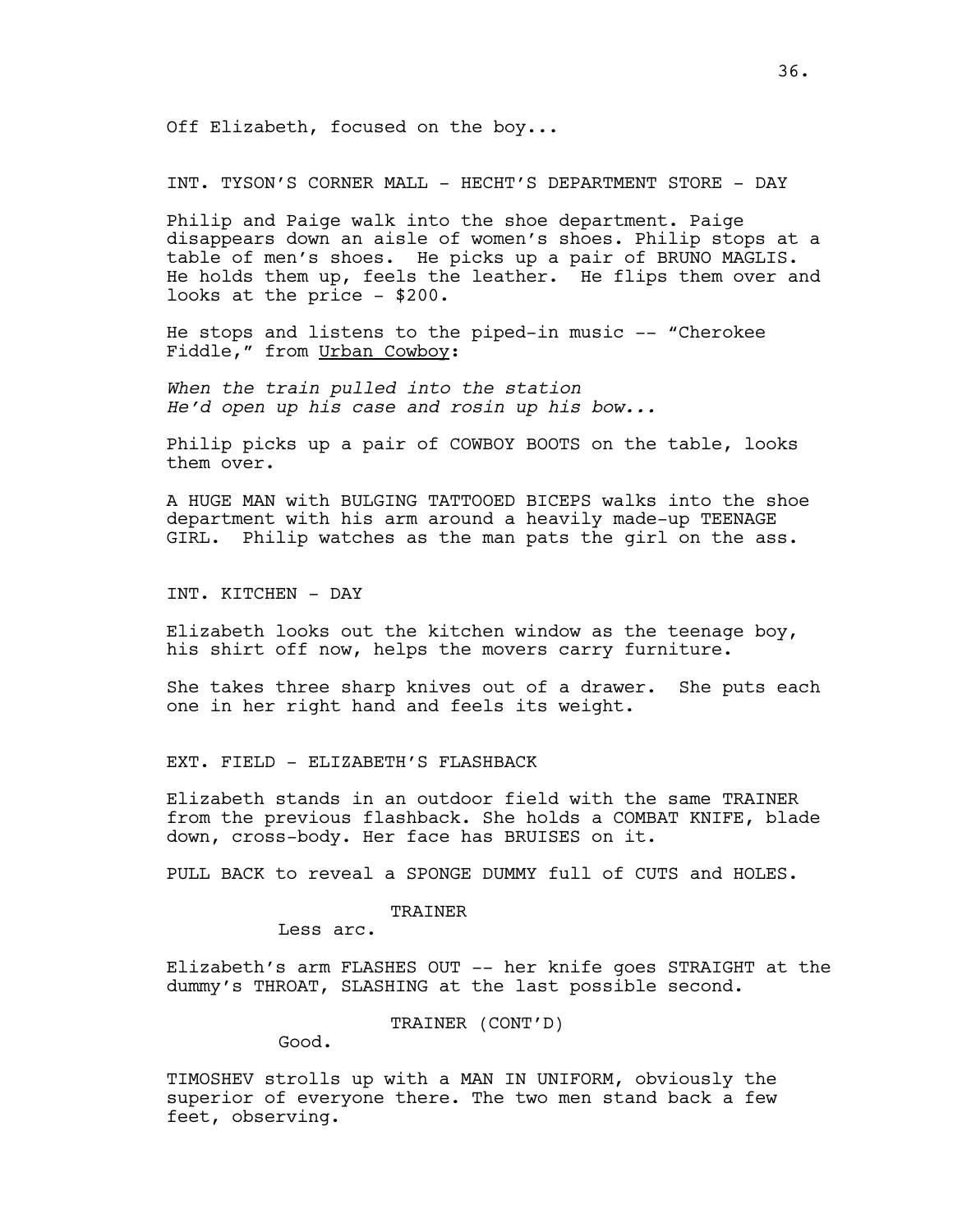Off Elizabeth, focused on the boy...

INT. TYSON'S CORNER MALL - HECHT'S DEPARTMENT STORE - DAY

Philip and Paige walk into the shoe department. Paige disappears down an aisle of women's shoes. Philip stops at a table of men's shoes. He picks up a pair of BRUNO MAGLIS. He holds them up, feels the leather. He flips them over and looks at the price - \$200.

He stops and listens to the piped-in music  $-$ - "Cherokee Fiddle," from Urban Cowboy:

*When the train pulled into the station He'd open up his case and rosin up his bow...* 

Philip picks up a pair of COWBOY BOOTS on the table, looks them over.

A HUGE MAN with BULGING TATTOOED BICEPS walks into the shoe department with his arm around a heavily made-up TEENAGE GIRL. Philip watches as the man pats the girl on the ass.

INT. KITCHEN - DAY

Elizabeth looks out the kitchen window as the teenage boy, his shirt off now, helps the movers carry furniture.

She takes three sharp knives out of a drawer. She puts each one in her right hand and feels its weight.

EXT. FIELD - ELIZABETH'S FLASHBACK

Elizabeth stands in an outdoor field with the same TRAINER from the previous flashback. She holds a COMBAT KNIFE, blade down, cross-body. Her face has BRUISES on it.

PULL BACK to reveal a SPONGE DUMMY full of CUTS and HOLES.

#### TRAINER

Less arc.

Elizabeth's arm FLASHES OUT -- her knife goes STRAIGHT at the dummy's THROAT, SLASHING at the last possible second.

TRAINER (CONT'D)

Good.

TIMOSHEV strolls up with a MAN IN UNIFORM, obviously the superior of everyone there. The two men stand back a few feet, observing.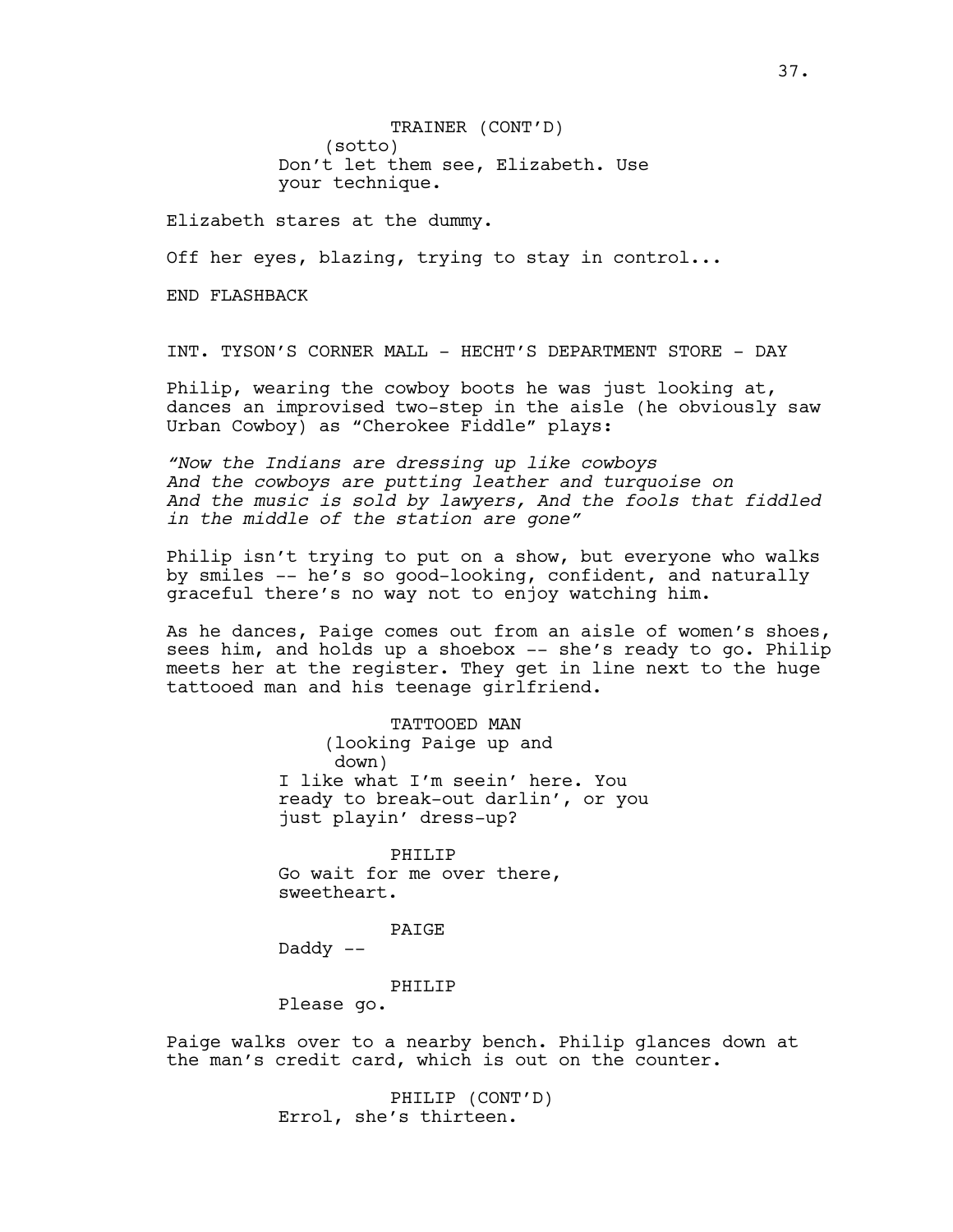TRAINER (CONT'D) (sotto) Don't let them see, Elizabeth. Use your technique.

Elizabeth stares at the dummy.

Off her eyes, blazing, trying to stay in control...

END FLASHBACK

INT. TYSON'S CORNER MALL - HECHT'S DEPARTMENT STORE - DAY

Philip, wearing the cowboy boots he was just looking at, dances an improvised two-step in the aisle (he obviously saw Urban Cowboy) as "Cherokee Fiddle" plays:

*"Now the Indians are dressing up like cowboys And the cowboys are putting leather and turquoise on And the music is sold by lawyers, And the fools that fiddled in the middle of the station are gone"*

Philip isn't trying to put on a show, but everyone who walks by smiles -- he's so good-looking, confident, and naturally graceful there's no way not to enjoy watching him.

As he dances, Paige comes out from an aisle of women's shoes, sees him, and holds up a shoebox -- she's ready to go. Philip meets her at the register. They get in line next to the huge tattooed man and his teenage girlfriend.

> TATTOOED MAN (looking Paige up and down) I like what I'm seein' here. You ready to break-out darlin', or you just playin' dress-up?

PHILIP Go wait for me over there, sweetheart.

PAIGE

Daddy --

PHILIP

Please go.

Paige walks over to a nearby bench. Philip glances down at the man's credit card, which is out on the counter.

> PHILIP (CONT'D) Errol, she's thirteen.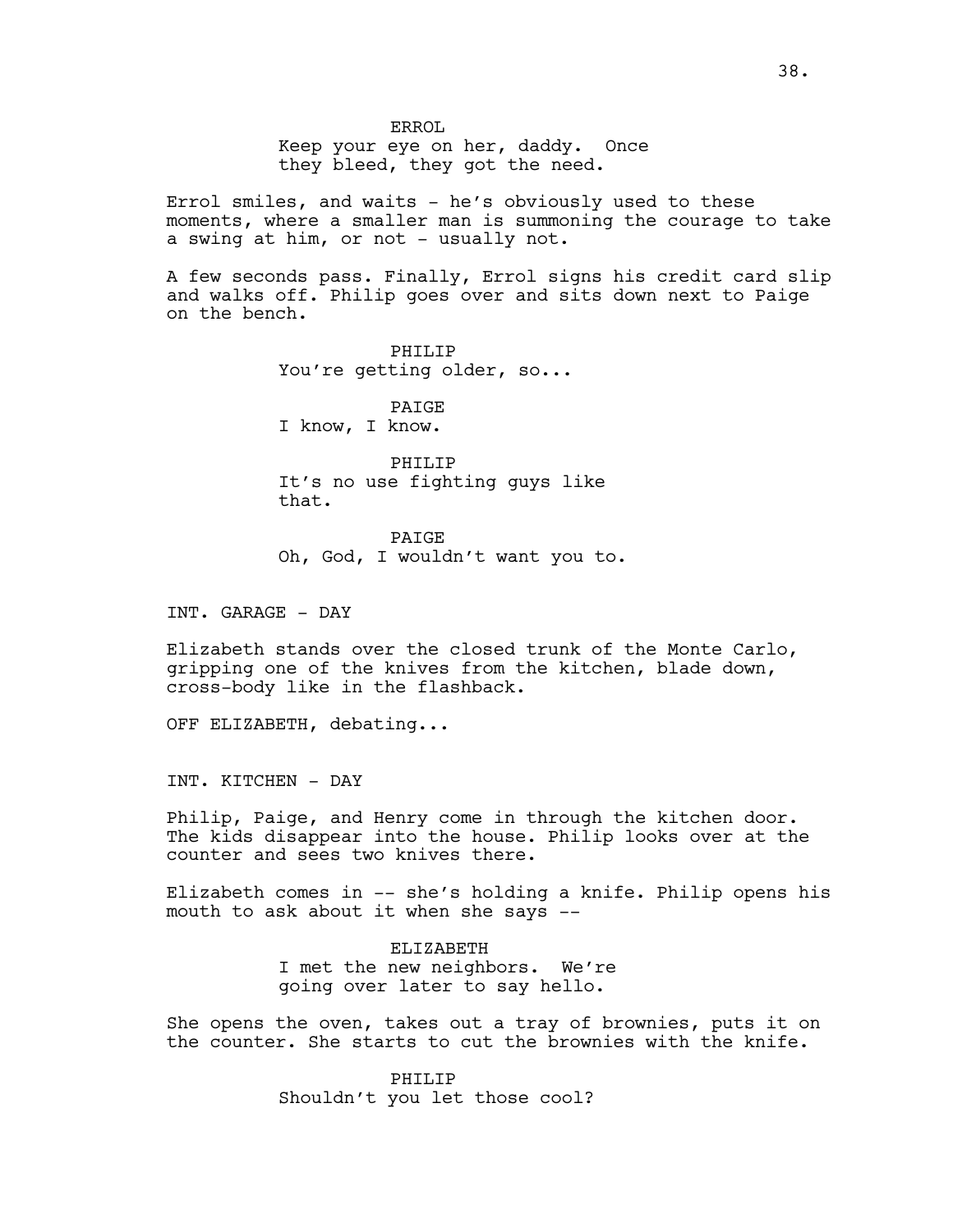Keep your eye on her, daddy. Once they bleed, they got the need.

Errol smiles, and waits - he's obviously used to these moments, where a smaller man is summoning the courage to take a swing at him, or not - usually not.

A few seconds pass. Finally, Errol signs his credit card slip and walks off. Philip goes over and sits down next to Paige on the bench.

> PHILIP You're getting older, so...

**PATGE** I know, I know.

PHILIP It's no use fighting guys like that.

PAIGE Oh, God, I wouldn't want you to.

INT. GARAGE - DAY

Elizabeth stands over the closed trunk of the Monte Carlo, gripping one of the knives from the kitchen, blade down, cross-body like in the flashback.

OFF ELIZABETH, debating...

INT. KITCHEN - DAY

Philip, Paige, and Henry come in through the kitchen door. The kids disappear into the house. Philip looks over at the counter and sees two knives there.

Elizabeth comes in -- she's holding a knife. Philip opens his mouth to ask about it when she says --

> ELIZABETH I met the new neighbors. We're going over later to say hello.

She opens the oven, takes out a tray of brownies, puts it on the counter. She starts to cut the brownies with the knife.

> PHILIP Shouldn't you let those cool?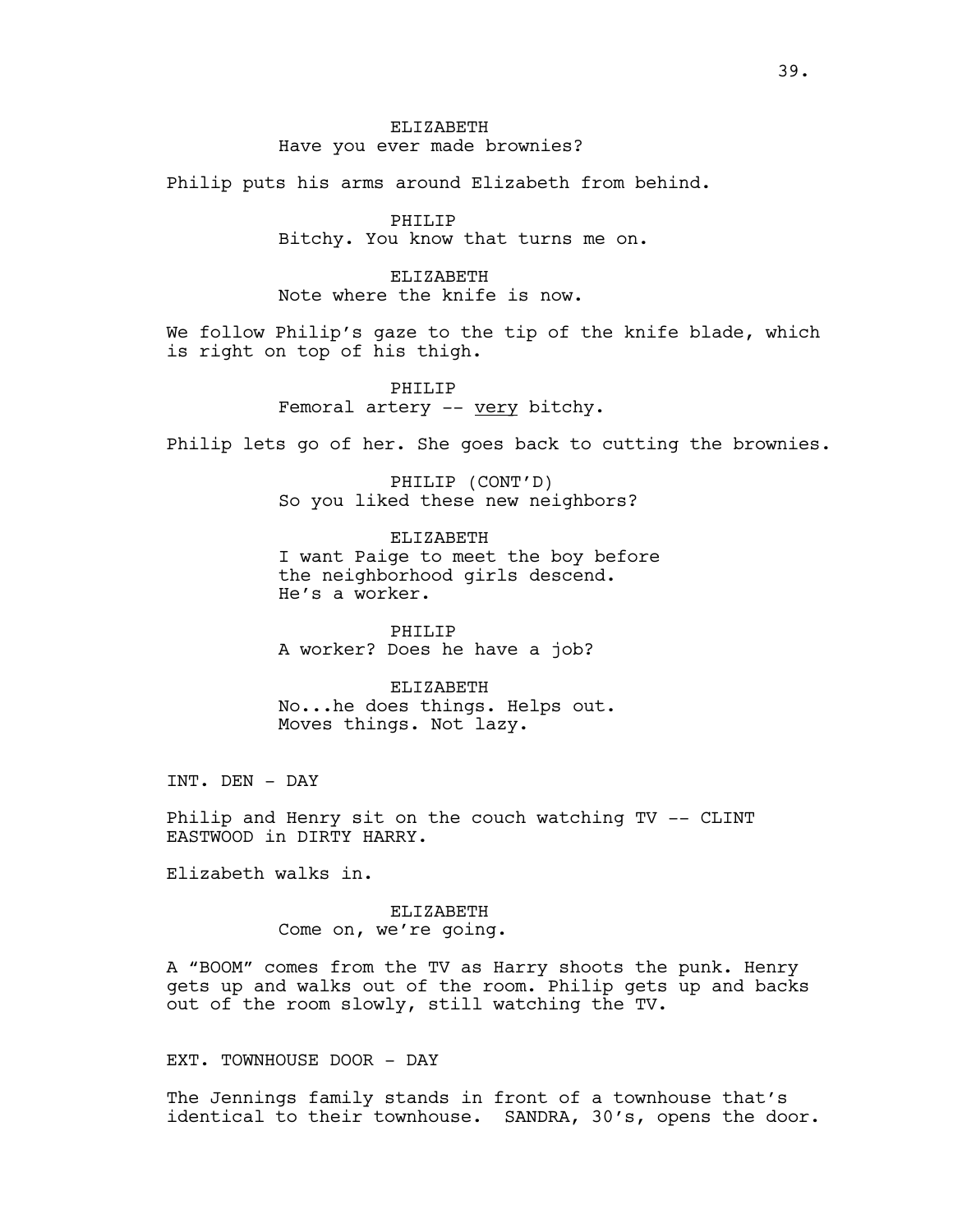# ELIZABETH Have you ever made brownies?

Philip puts his arms around Elizabeth from behind.

PHILIP Bitchy. You know that turns me on.

ELIZABETH Note where the knife is now.

We follow Philip's gaze to the tip of the knife blade, which is right on top of his thigh.

> PHILIP Femoral artery -- very bitchy.

Philip lets go of her. She goes back to cutting the brownies.

PHILIP (CONT'D) So you liked these new neighbors?

ELIZABETH

I want Paige to meet the boy before the neighborhood girls descend. He's a worker.

PHILIP A worker? Does he have a job?

ELIZABETH No...he does things. Helps out. Moves things. Not lazy.

INT. DEN - DAY

Philip and Henry sit on the couch watching TV -- CLINT EASTWOOD in DIRTY HARRY.

Elizabeth walks in.

ELIZABETH Come on, we're going.

A "BOOM" comes from the TV as Harry shoots the punk. Henry gets up and walks out of the room. Philip gets up and backs out of the room slowly, still watching the TV.

EXT. TOWNHOUSE DOOR - DAY

The Jennings family stands in front of a townhouse that's identical to their townhouse. SANDRA, 30's, opens the door.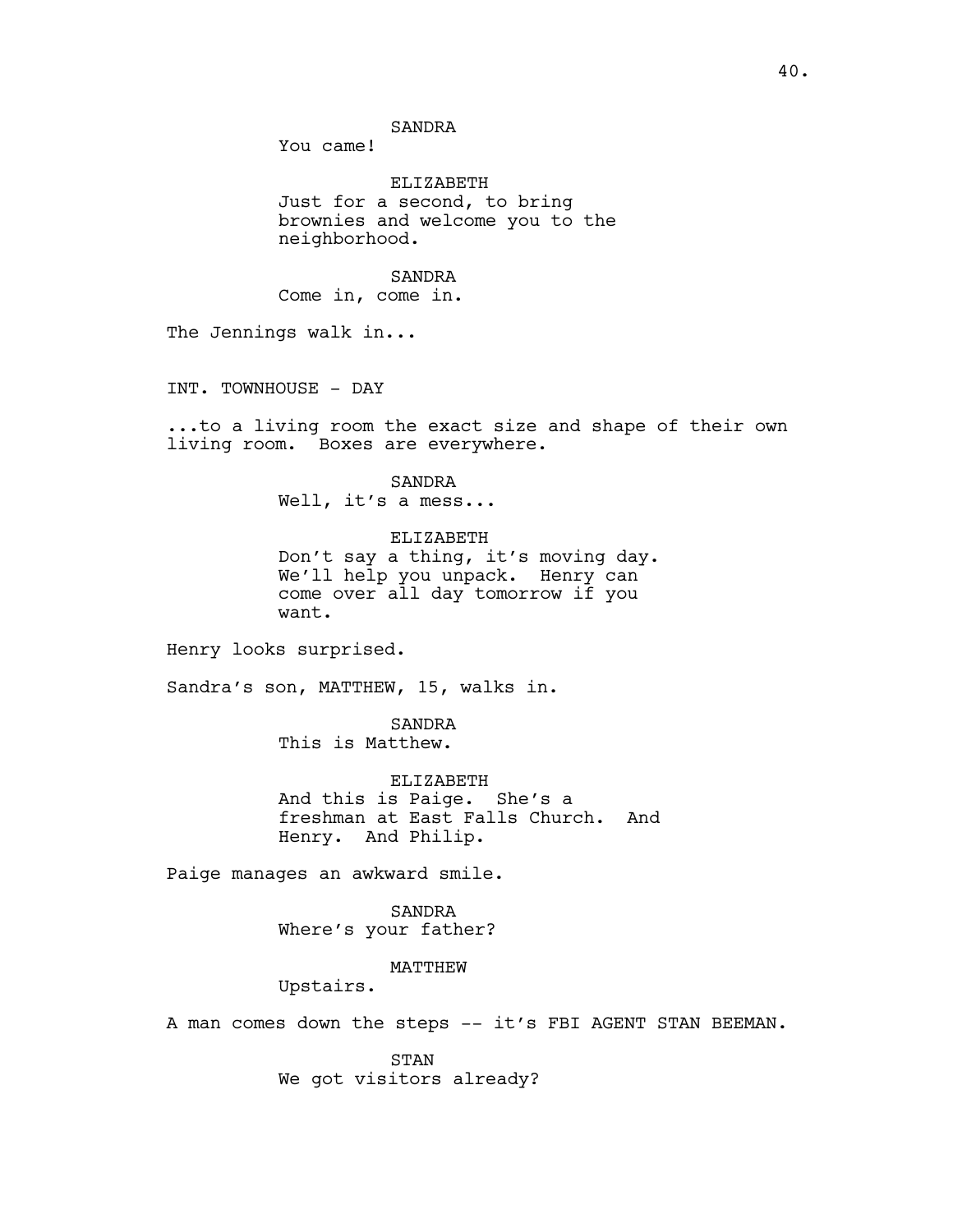You came!

ELIZABETH Just for a second, to bring brownies and welcome you to the neighborhood.

SANDRA Come in, come in.

The Jennings walk in...

INT. TOWNHOUSE - DAY

...to a living room the exact size and shape of their own living room. Boxes are everywhere.

> SANDRA Well, it's a mess...

ELIZABETH Don't say a thing, it's moving day. We'll help you unpack. Henry can come over all day tomorrow if you want.

Henry looks surprised.

Sandra's son, MATTHEW, 15, walks in.

SANDRA This is Matthew.

ELIZABETH And this is Paige. She's a freshman at East Falls Church. And Henry. And Philip.

Paige manages an awkward smile.

SANDRA Where's your father?

MATTHEW

Upstairs.

A man comes down the steps -- it's FBI AGENT STAN BEEMAN.

STAN We got visitors already?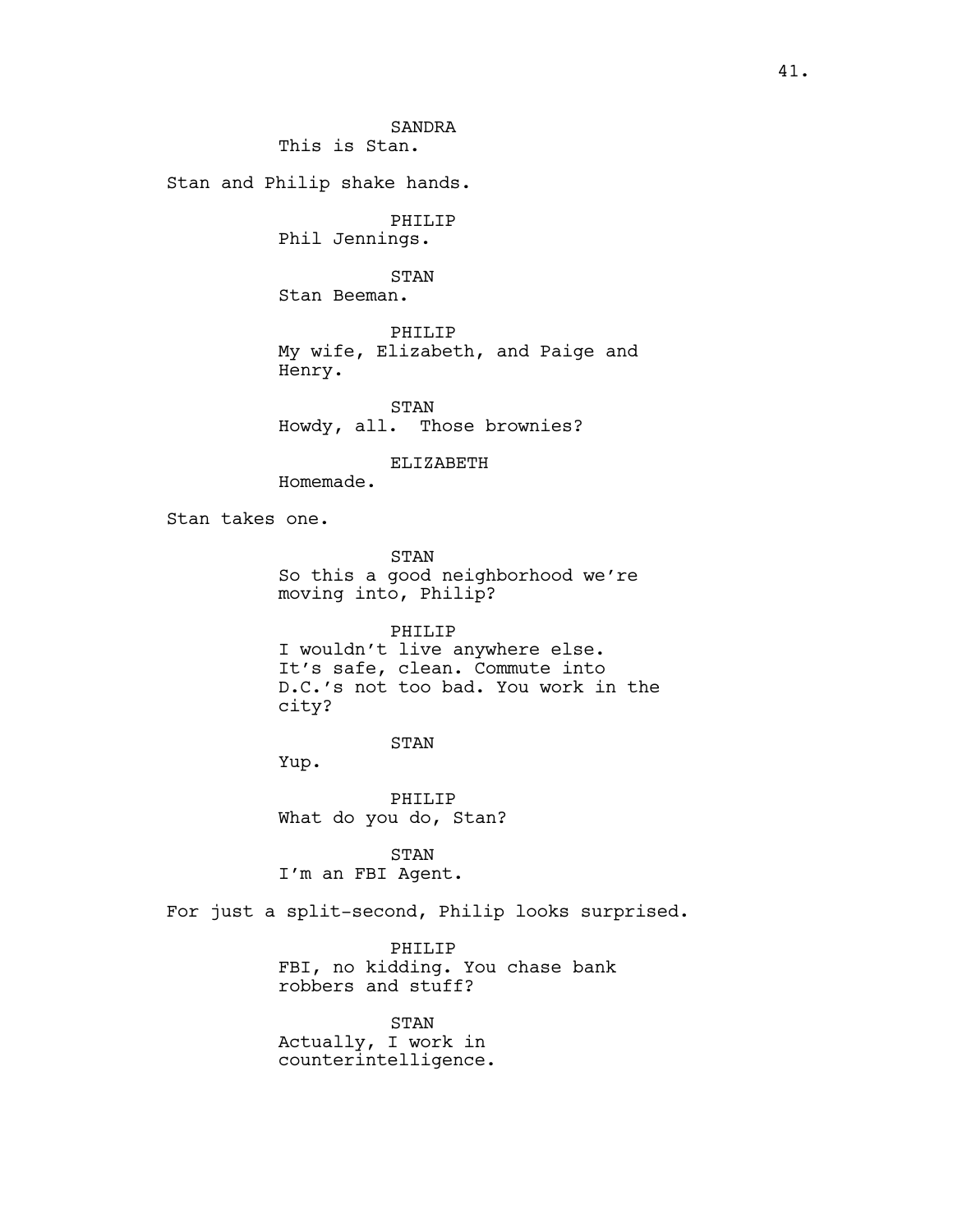# SANDRA

This is Stan.

Stan and Philip shake hands.

PHILIP

Phil Jennings.

STAN

Stan Beeman.

PHILIP My wife, Elizabeth, and Paige and Henry.

STAN Howdy, all. Those brownies?

ELIZABETH

Homemade.

Stan takes one.

STAN So this a good neighborhood we're moving into, Philip?

PHILIP I wouldn't live anywhere else. It's safe, clean. Commute into D.C.'s not too bad. You work in the city?

STAN

Yup.

PHILIP What do you do, Stan?

STAN I'm an FBI Agent.

For just a split-second, Philip looks surprised.

PHILIP FBI, no kidding. You chase bank robbers and stuff?

STAN Actually, I work in counterintelligence.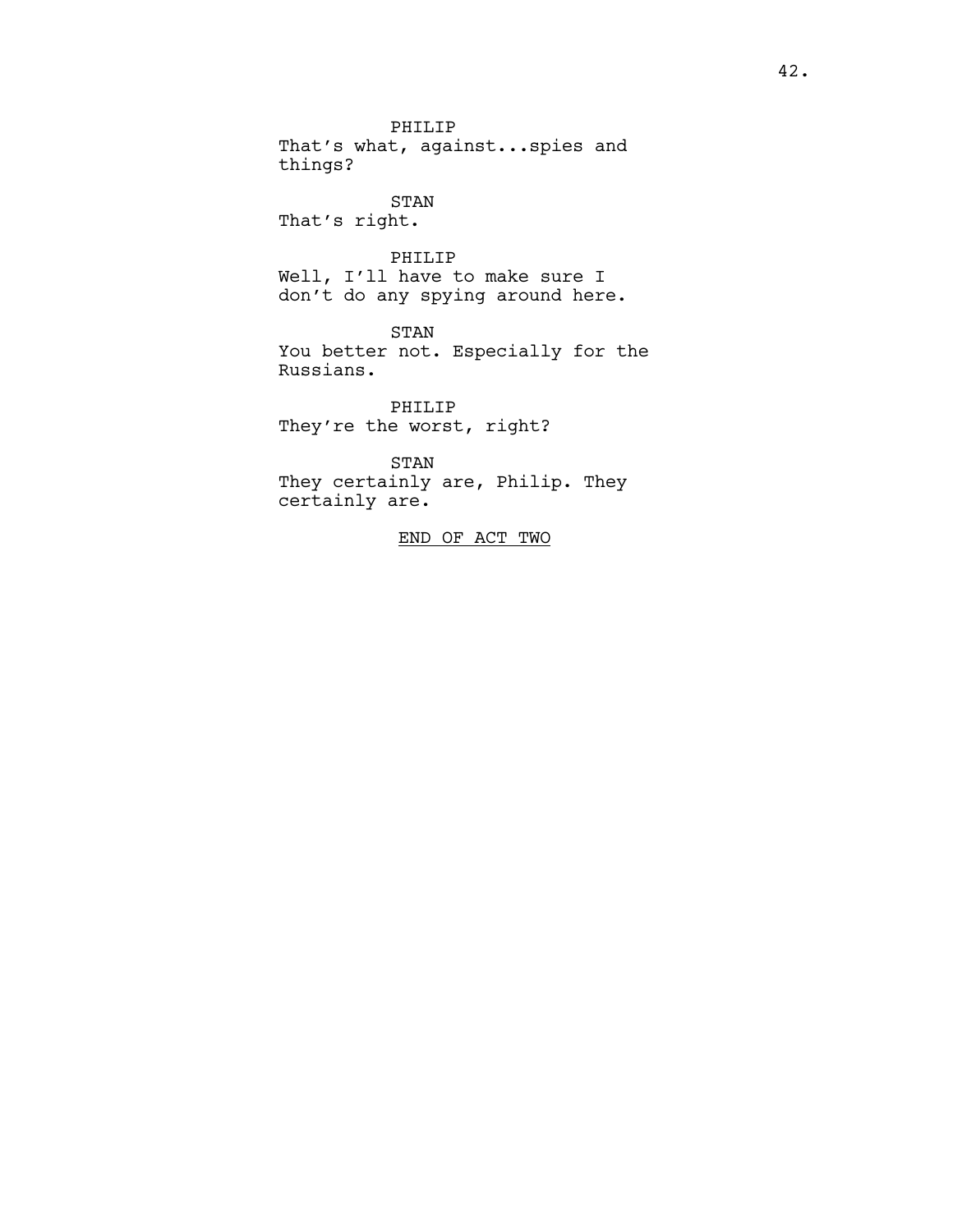PHILIP That's what, against...spies and things?

STAN That's right.

PHILIP Well, I'll have to make sure I don't do any spying around here.

STAN You better not. Especially for the Russians.

PHILIP They're the worst, right?

STAN They certainly are, Philip. They certainly are.

END OF ACT TWO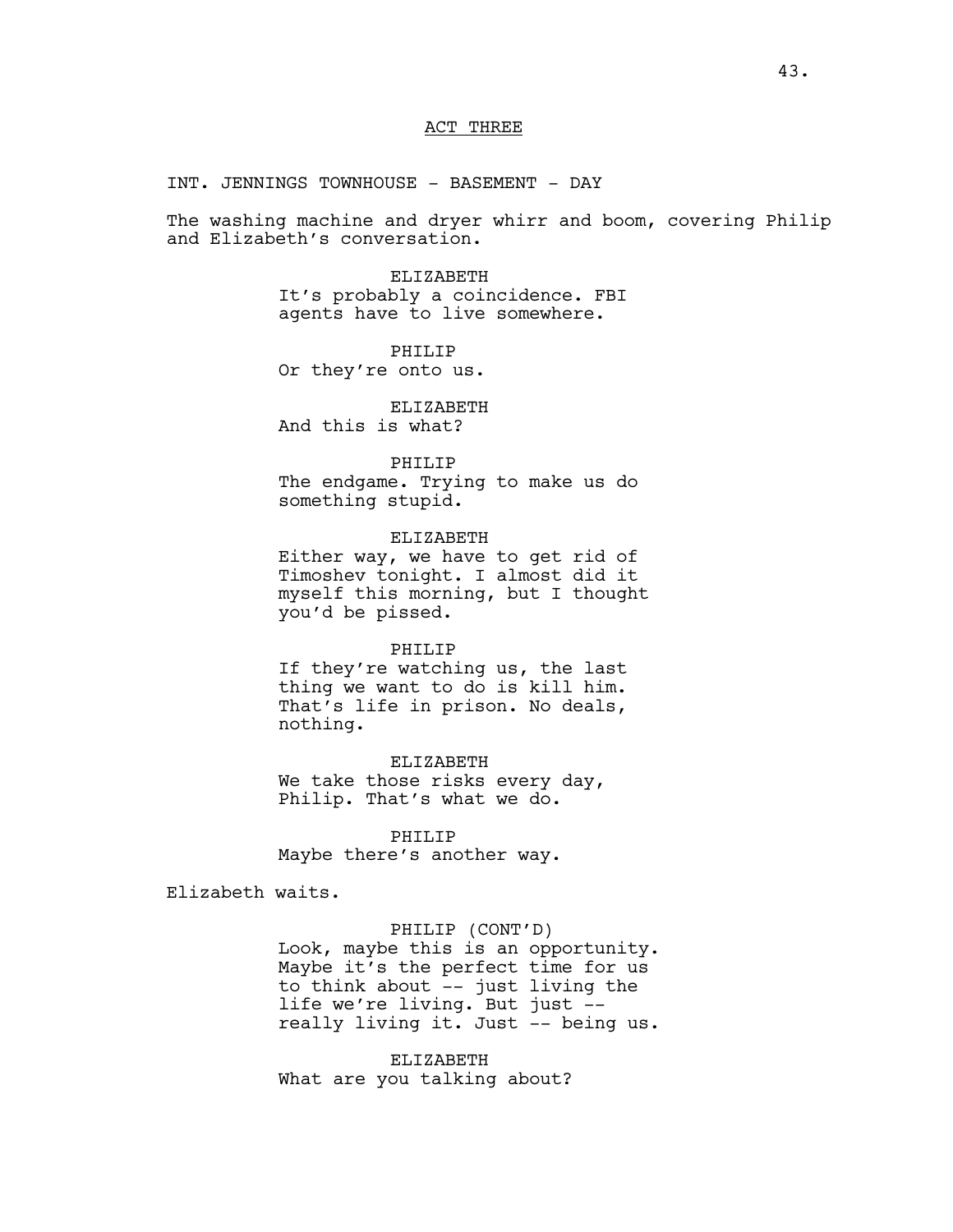## ACT THREE

# INT. JENNINGS TOWNHOUSE - BASEMENT - DAY

The washing machine and dryer whirr and boom, covering Philip and Elizabeth's conversation.

#### ELIZABETH

It's probably a coincidence. FBI agents have to live somewhere.

PHILIP Or they're onto us.

ELIZABETH And this is what?

#### PHILIP

The endgame. Trying to make us do something stupid.

# ELIZABETH

Either way, we have to get rid of Timoshev tonight. I almost did it myself this morning, but I thought you'd be pissed.

# PHILIP

If they're watching us, the last thing we want to do is kill him. That's life in prison. No deals, nothing.

ELIZABETH We take those risks every day, Philip. That's what we do.

PHILIP Maybe there's another way.

Elizabeth waits.

# PHILIP (CONT'D)

Look, maybe this is an opportunity. Maybe it's the perfect time for us to think about -- just living the life we're living. But just - really living it. Just -- being us.

ELIZABETH What are you talking about?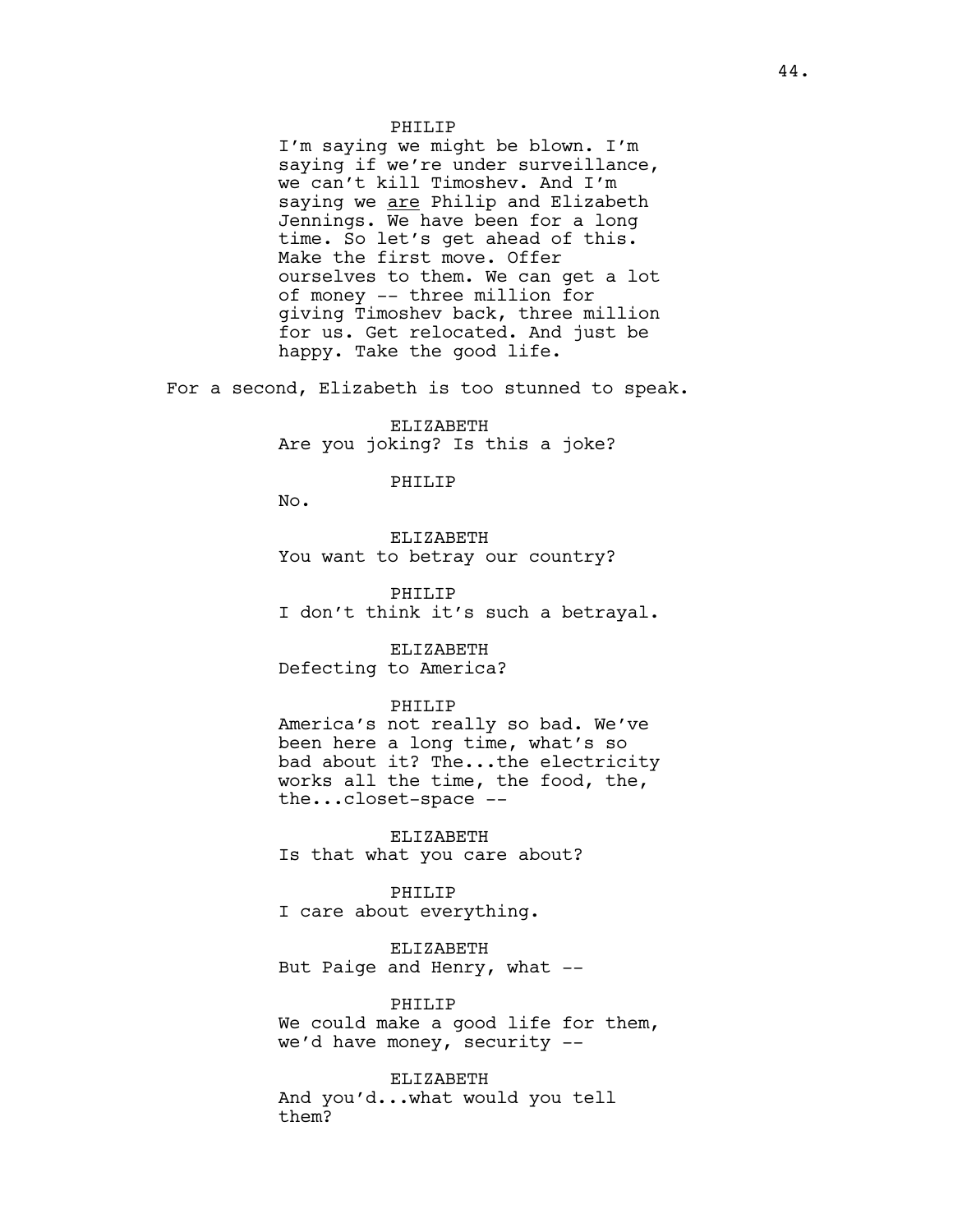#### PHILIP

I'm saying we might be blown. I'm saying if we're under surveillance, we can't kill Timoshev. And I'm saying we are Philip and Elizabeth Jennings. We have been for a long time. So let's get ahead of this. Make the first move. Offer ourselves to them. We can get a lot of money -- three million for giving Timoshev back, three million for us. Get relocated. And just be happy. Take the good life.

For a second, Elizabeth is too stunned to speak.

ELIZABETH Are you joking? Is this a joke?

#### PHILIP

No.

ELIZABETH You want to betray our country?

PHILIP I don't think it's such a betrayal.

ELIZABETH Defecting to America?

#### PHILIP

America's not really so bad. We've been here a long time, what's so bad about it? The...the electricity works all the time, the food, the, the...closet-space --

ELIZABETH Is that what you care about?

#### PHILIP

I care about everything.

# ELIZABETH

But Paige and Henry, what --

#### PHILIP

We could make a good life for them, we'd have money, security --

ELIZABETH And you'd...what would you tell them?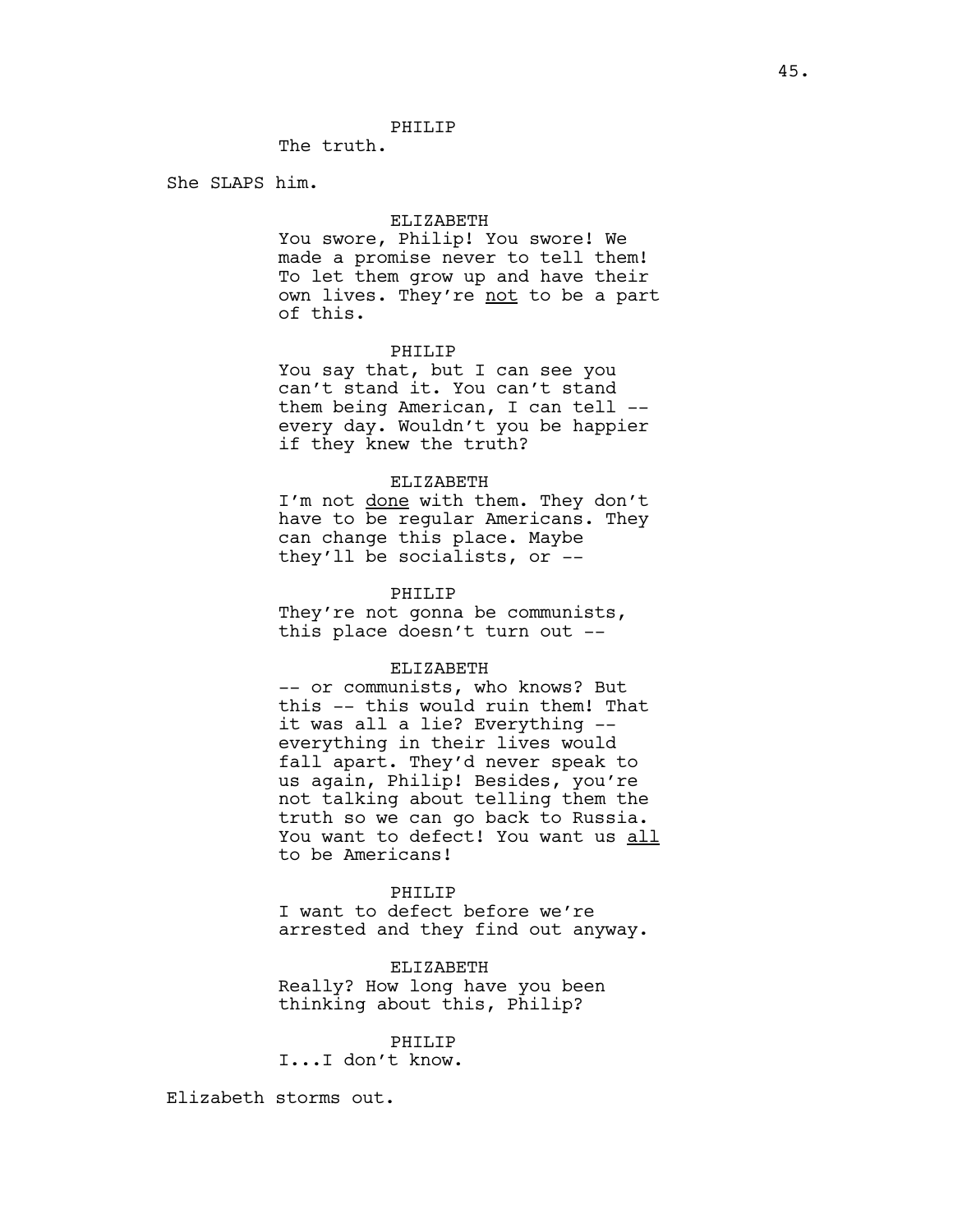## PHILIP

The truth.

She SLAPS him.

## ELIZABETH

You swore, Philip! You swore! We made a promise never to tell them! To let them grow up and have their own lives. They're not to be a part of this.

### PHILIP

You say that, but I can see you can't stand it. You can't stand them being American, I can tell - every day. Wouldn't you be happier if they knew the truth?

#### ELIZABETH

I'm not done with them. They don't have to be regular Americans. They can change this place. Maybe they'll be socialists, or --

#### PHILIP

They're not gonna be communists, this place doesn't turn out --

#### ELIZABETH

-- or communists, who knows? But this -- this would ruin them! That it was all a lie? Everything - everything in their lives would fall apart. They'd never speak to us again, Philip! Besides, you're not talking about telling them the truth so we can go back to Russia. You want to defect! You want us all to be Americans!

## PHILIP

I want to defect before we're arrested and they find out anyway.

ELIZABETH Really? How long have you been thinking about this, Philip?

#### PHILIP

I...I don't know.

Elizabeth storms out.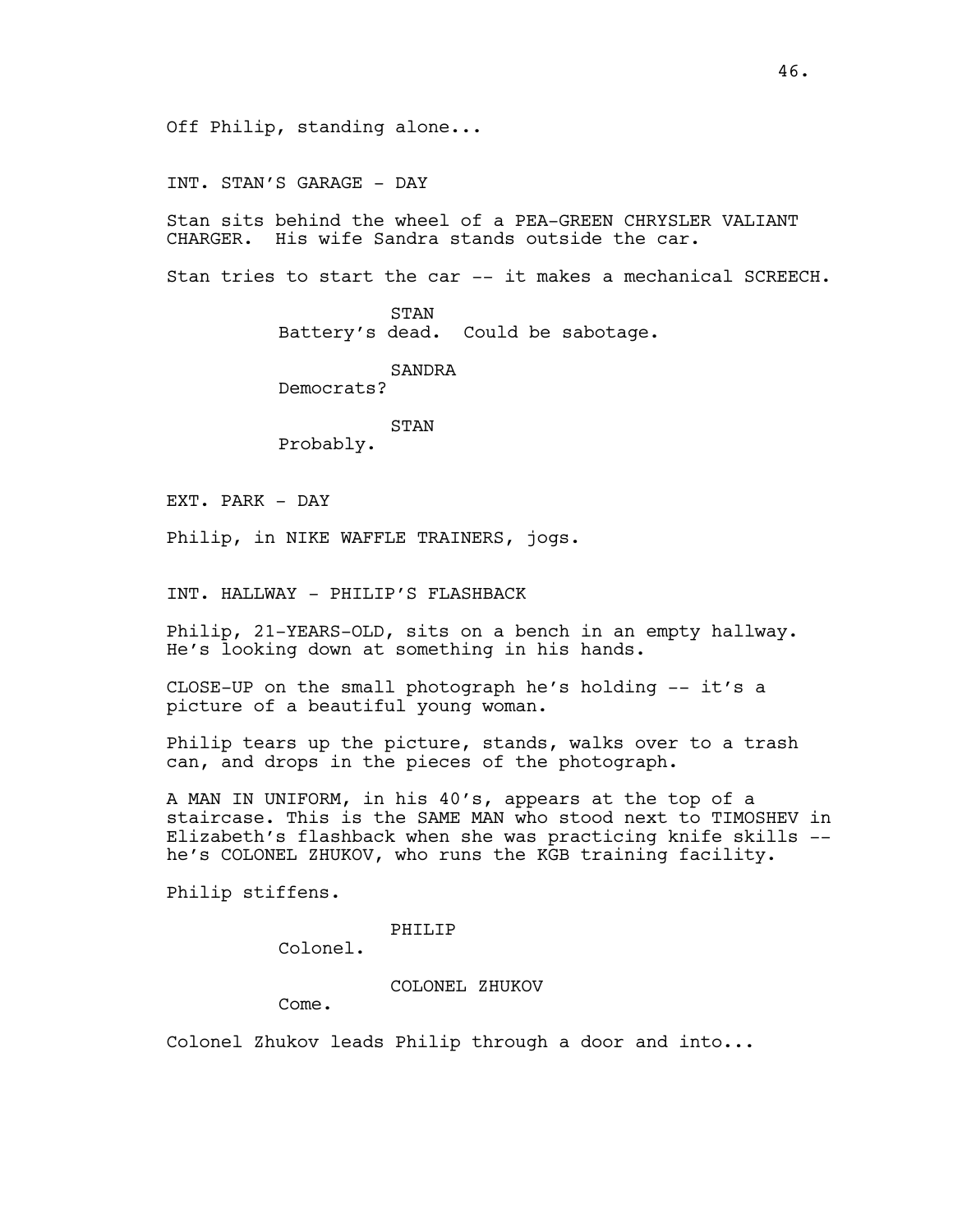INT. STAN'S GARAGE - DAY

Stan sits behind the wheel of a PEA-GREEN CHRYSLER VALIANT CHARGER. His wife Sandra stands outside the car.

Stan tries to start the car -- it makes a mechanical SCREECH.

STAN Battery's dead. Could be sabotage.

SANDRA

Democrats?

STAN

Probably.

EXT. PARK - DAY

Philip, in NIKE WAFFLE TRAINERS, jogs.

INT. HALLWAY - PHILIP'S FLASHBACK

Philip, 21-YEARS-OLD, sits on a bench in an empty hallway. He's looking down at something in his hands.

CLOSE-UP on the small photograph he's holding -- it's a picture of a beautiful young woman.

Philip tears up the picture, stands, walks over to a trash can, and drops in the pieces of the photograph.

A MAN IN UNIFORM, in his 40's, appears at the top of a staircase. This is the SAME MAN who stood next to TIMOSHEV in Elizabeth's flashback when she was practicing knife skills - he's COLONEL ZHUKOV, who runs the KGB training facility.

Philip stiffens.

PHILIP

Colonel.

COLONEL ZHUKOV

Come.

Colonel Zhukov leads Philip through a door and into...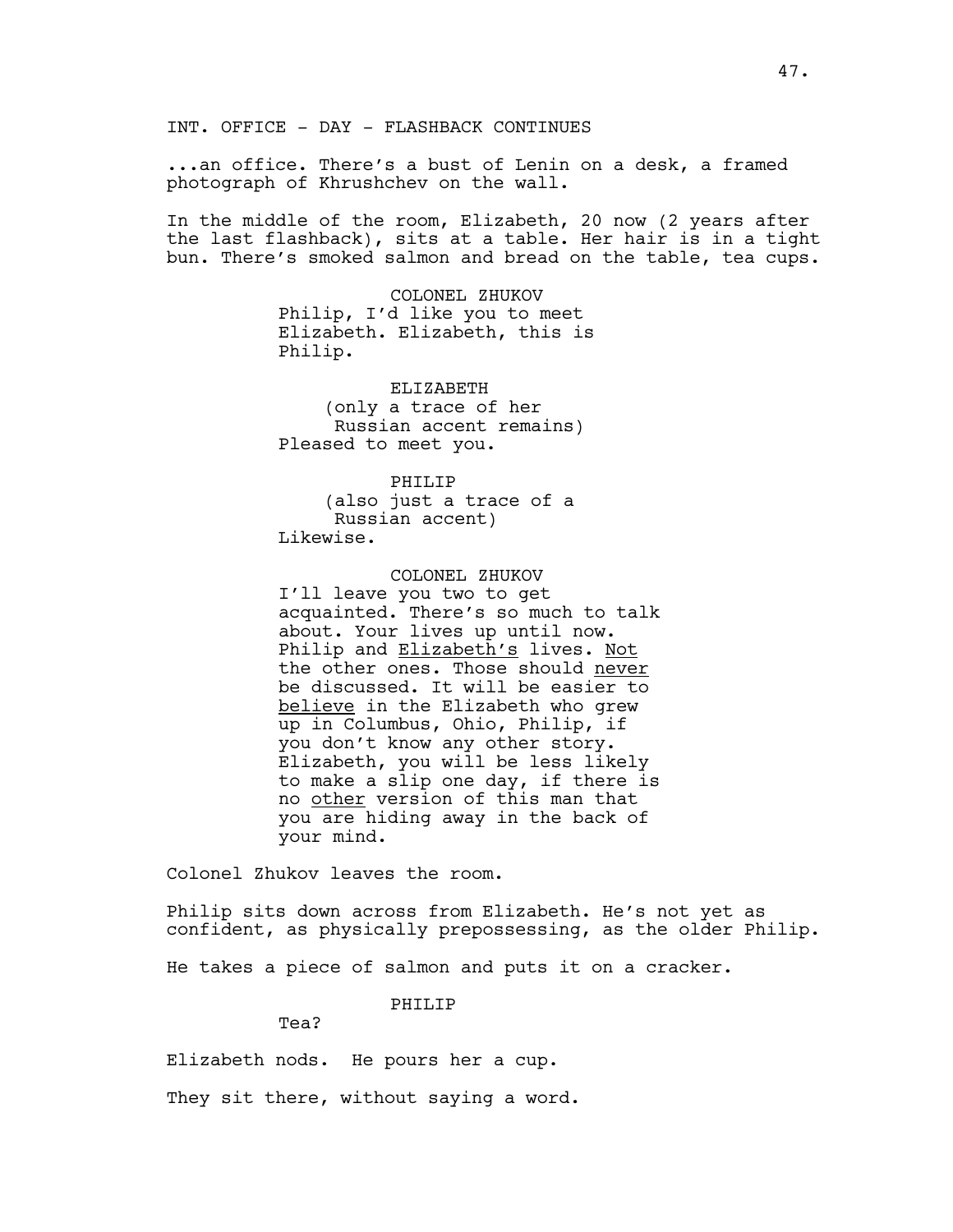INT. OFFICE - DAY - FLASHBACK CONTINUES

...an office. There's a bust of Lenin on a desk, a framed photograph of Khrushchev on the wall.

In the middle of the room, Elizabeth, 20 now (2 years after the last flashback), sits at a table. Her hair is in a tight bun. There's smoked salmon and bread on the table, tea cups.

> COLONEL ZHUKOV Philip, I'd like you to meet Elizabeth. Elizabeth, this is Philip.

ELIZABETH (only a trace of her Russian accent remains) Pleased to meet you.

PHILIP (also just a trace of a Russian accent) Likewise.

COLONEL ZHUKOV I'll leave you two to get acquainted. There's so much to talk about. Your lives up until now. Philip and Elizabeth's lives. Not the other ones. Those should never be discussed. It will be easier to believe in the Elizabeth who grew up in Columbus, Ohio, Philip, if you don't know any other story. Elizabeth, you will be less likely to make a slip one day, if there is no other version of this man that you are hiding away in the back of your mind.

Colonel Zhukov leaves the room.

Philip sits down across from Elizabeth. He's not yet as confident, as physically prepossessing, as the older Philip.

He takes a piece of salmon and puts it on a cracker.

PHILIP

Tea?

Elizabeth nods. He pours her a cup.

They sit there, without saying a word.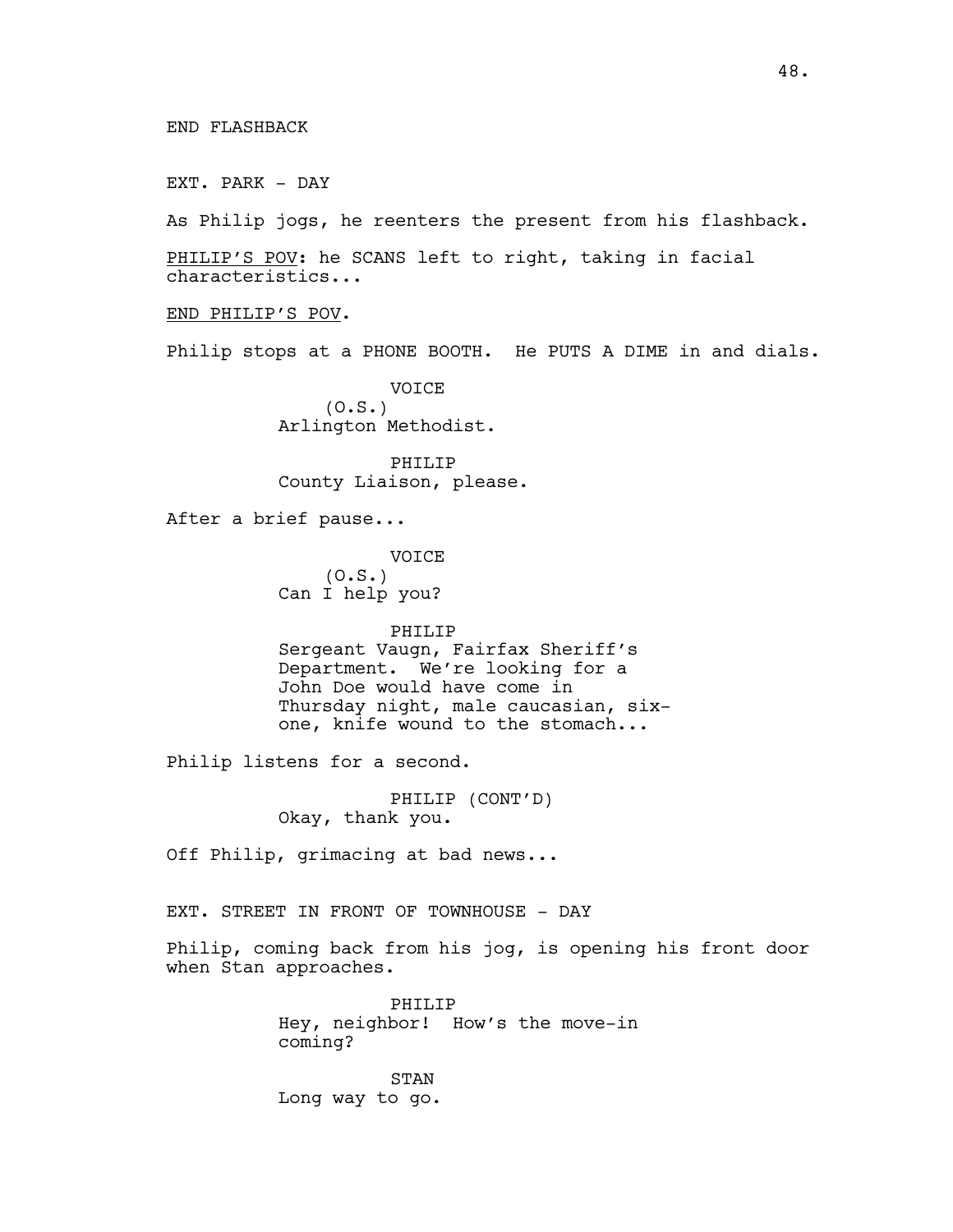EXT. PARK - DAY

As Philip jogs, he reenters the present from his flashback.

PHILIP'S POV: he SCANS left to right, taking in facial characteristics...

END PHILIP'S POV.

Philip stops at a PHONE BOOTH. He PUTS A DIME in and dials.

VOICE  $(0.S.)$ Arlington Methodist.

PHILIP County Liaison, please.

After a brief pause...

VOICE  $(0.S.)$ Can I help you?

#### PHILIP

Sergeant Vaugn, Fairfax Sheriff's Department. We're looking for a John Doe would have come in Thursday night, male caucasian, sixone, knife wound to the stomach...

Philip listens for a second.

PHILIP (CONT'D) Okay, thank you.

Off Philip, grimacing at bad news...

EXT. STREET IN FRONT OF TOWNHOUSE - DAY

Philip, coming back from his jog, is opening his front door when Stan approaches.

> PHILIP Hey, neighbor! How's the move-in coming?

STAN Long way to go.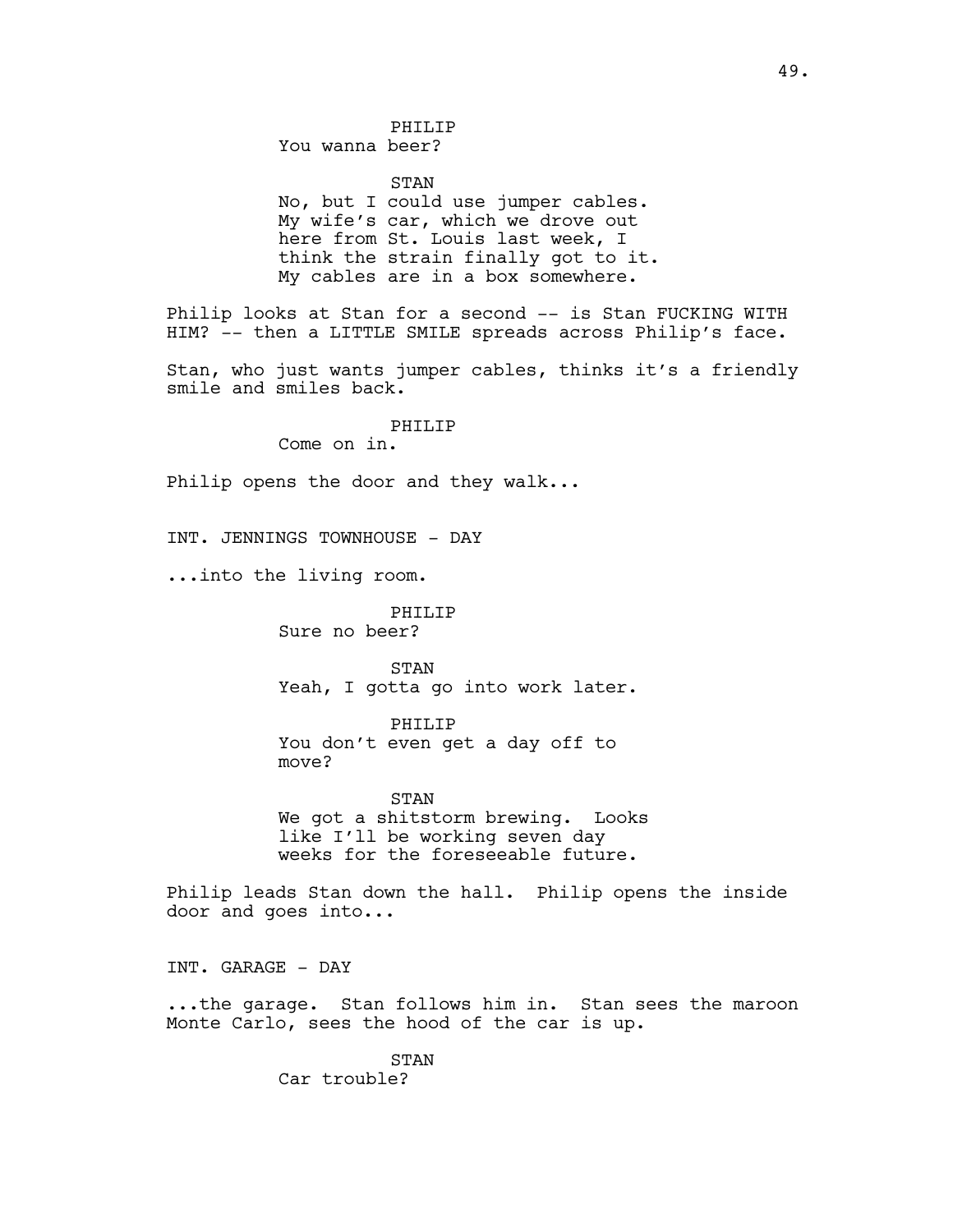# PHILIP

You wanna beer?

STAN No, but I could use jumper cables. My wife's car, which we drove out here from St. Louis last week, I think the strain finally got to it. My cables are in a box somewhere.

Philip looks at Stan for a second -- is Stan FUCKING WITH HIM? -- then a LITTLE SMILE spreads across Philip's face.

Stan, who just wants jumper cables, thinks it's a friendly smile and smiles back.

#### PHILIP

Come on in.

Philip opens the door and they walk...

INT. JENNINGS TOWNHOUSE - DAY

...into the living room.

#### PHILIP

Sure no beer?

STAN Yeah, I gotta go into work later.

PHILIP You don't even get a day off to move?

STAN We got a shitstorm brewing. Looks like I'll be working seven day weeks for the foreseeable future.

Philip leads Stan down the hall. Philip opens the inside door and goes into...

INT. GARAGE - DAY

...the garage. Stan follows him in. Stan sees the maroon Monte Carlo, sees the hood of the car is up.

> STAN Car trouble?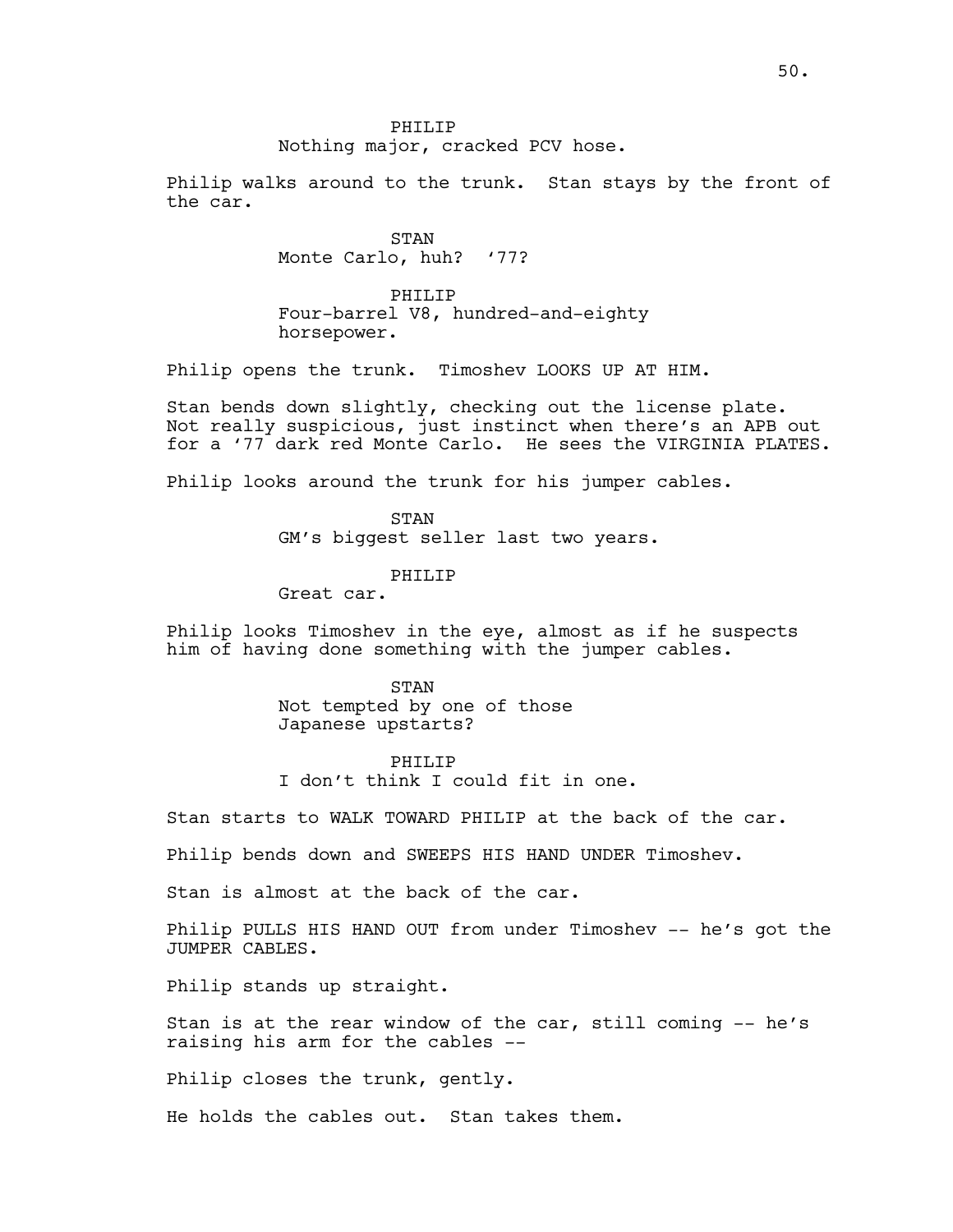# PHILIP

Nothing major, cracked PCV hose.

Philip walks around to the trunk. Stan stays by the front of the car.

> STAN Monte Carlo, huh? '77?

PHILIP Four-barrel V8, hundred-and-eighty horsepower.

Philip opens the trunk. Timoshev LOOKS UP AT HIM.

Stan bends down slightly, checking out the license plate. Not really suspicious, just instinct when there's an APB out for a '77 dark red Monte Carlo. He sees the VIRGINIA PLATES.

Philip looks around the trunk for his jumper cables.

STAN GM's biggest seller last two years.

PHILIP

Great car.

Philip looks Timoshev in the eye, almost as if he suspects him of having done something with the jumper cables.

> STAN Not tempted by one of those Japanese upstarts?

> > PHILIP

I don't think I could fit in one.

Stan starts to WALK TOWARD PHILIP at the back of the car.

Philip bends down and SWEEPS HIS HAND UNDER Timoshev.

Stan is almost at the back of the car.

Philip PULLS HIS HAND OUT from under Timoshev -- he's got the JUMPER CABLES.

Philip stands up straight.

Stan is at the rear window of the car, still coming -- he's raising his arm for the cables --

Philip closes the trunk, gently.

He holds the cables out. Stan takes them.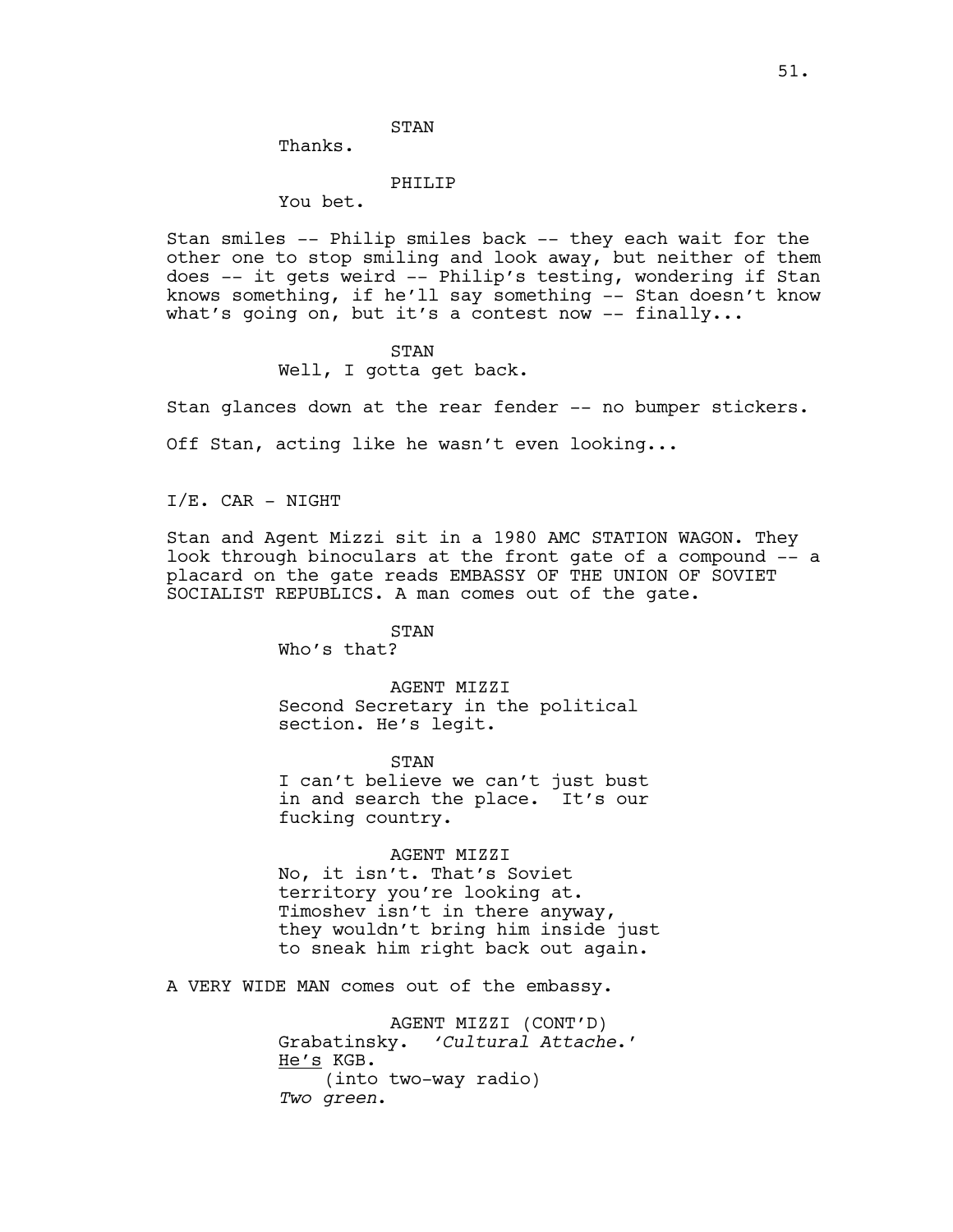STAN

Thanks.

#### PHILIP

You bet.

Stan smiles -- Philip smiles back -- they each wait for the other one to stop smiling and look away, but neither of them does -- it gets weird -- Philip's testing, wondering if Stan knows something, if he'll say something -- Stan doesn't know what's going on, but it's a contest now -- finally...

#### STAN

Well, I gotta get back.

Stan glances down at the rear fender -- no bumper stickers. Off Stan, acting like he wasn't even looking...

 $I/E$ . CAR - NIGHT

Stan and Agent Mizzi sit in a 1980 AMC STATION WAGON. They look through binoculars at the front gate of a compound -- a placard on the gate reads EMBASSY OF THE UNION OF SOVIET SOCIALIST REPUBLICS. A man comes out of the gate.

STAN

Who's that?

AGENT MIZZI Second Secretary in the political section. He's legit.

STAN I can't believe we can't just bust in and search the place. It's our fucking country.

AGENT MIZZI No, it isn't. That's Soviet territory you're looking at. Timoshev isn't in there anyway, they wouldn't bring him inside just to sneak him right back out again.

A VERY WIDE MAN comes out of the embassy.

AGENT MIZZI (CONT'D) Grabatinsky. *'Cultural Attache*.' He's KGB. (into two-way radio) *Two green*.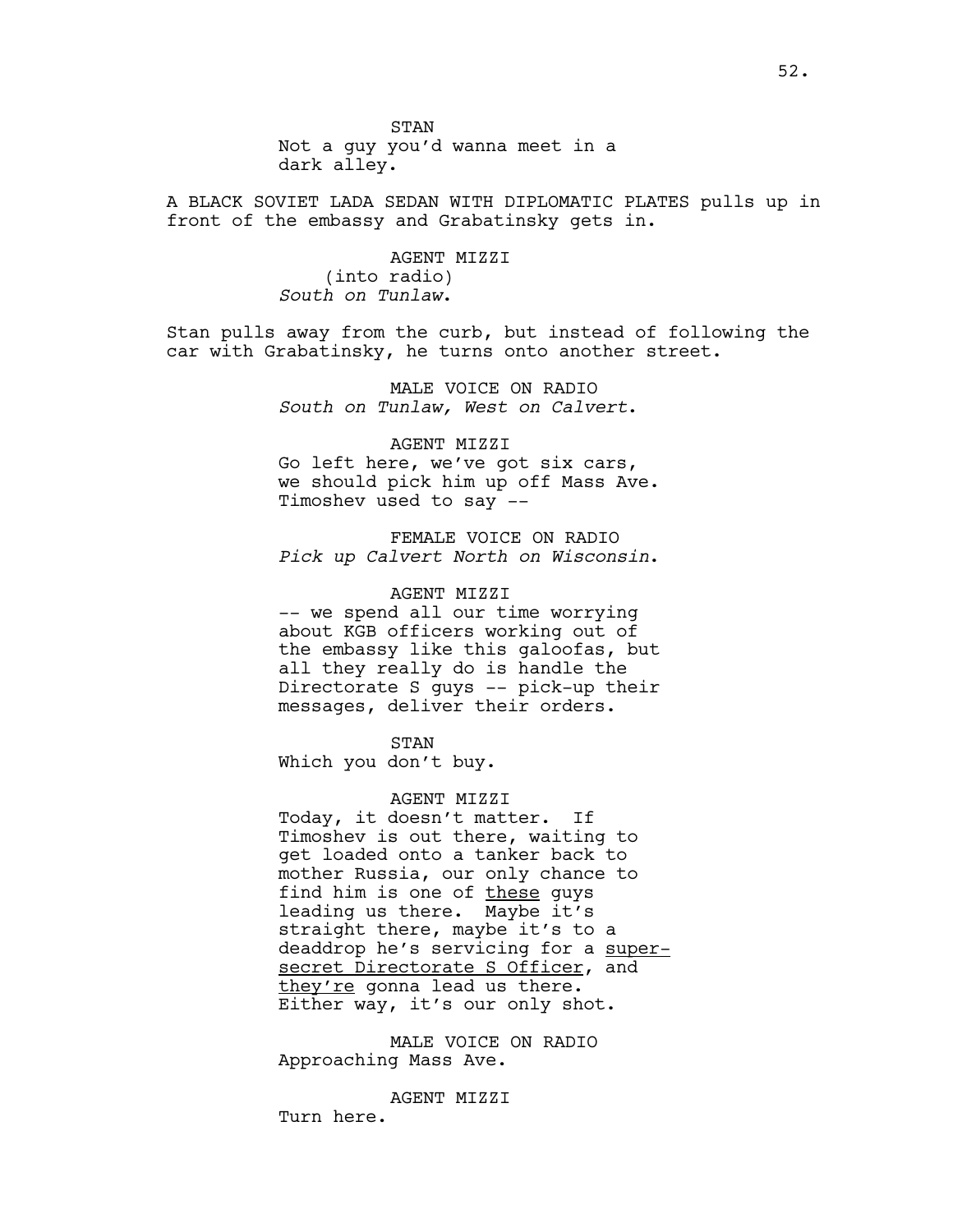STAN Not a guy you'd wanna meet in a dark alley.

A BLACK SOVIET LADA SEDAN WITH DIPLOMATIC PLATES pulls up in front of the embassy and Grabatinsky gets in.

> AGENT MIZZI (into radio) *South on Tunlaw*.

Stan pulls away from the curb, but instead of following the car with Grabatinsky, he turns onto another street.

> MALE VOICE ON RADIO *South on Tunlaw, West on Calvert*.

AGENT MIZZI Go left here, we've got six cars, we should pick him up off Mass Ave. Timoshev used to say --

FEMALE VOICE ON RADIO *Pick up Calvert North on Wisconsin*.

## AGENT MIZZI

-- we spend all our time worrying about KGB officers working out of the embassy like this galoofas, but all they really do is handle the Directorate S guys -- pick-up their messages, deliver their orders.

STAN

Which you don't buy.

#### AGENT MIZZI

Today, it doesn't matter. If Timoshev is out there, waiting to get loaded onto a tanker back to mother Russia, our only chance to find him is one of these guys leading us there. Maybe it's straight there, maybe it's to a deaddrop he's servicing for a supersecret Directorate S Officer, and they're gonna lead us there. Either way, it's our only shot.

MALE VOICE ON RADIO Approaching Mass Ave.

AGENT MIZZI Turn here.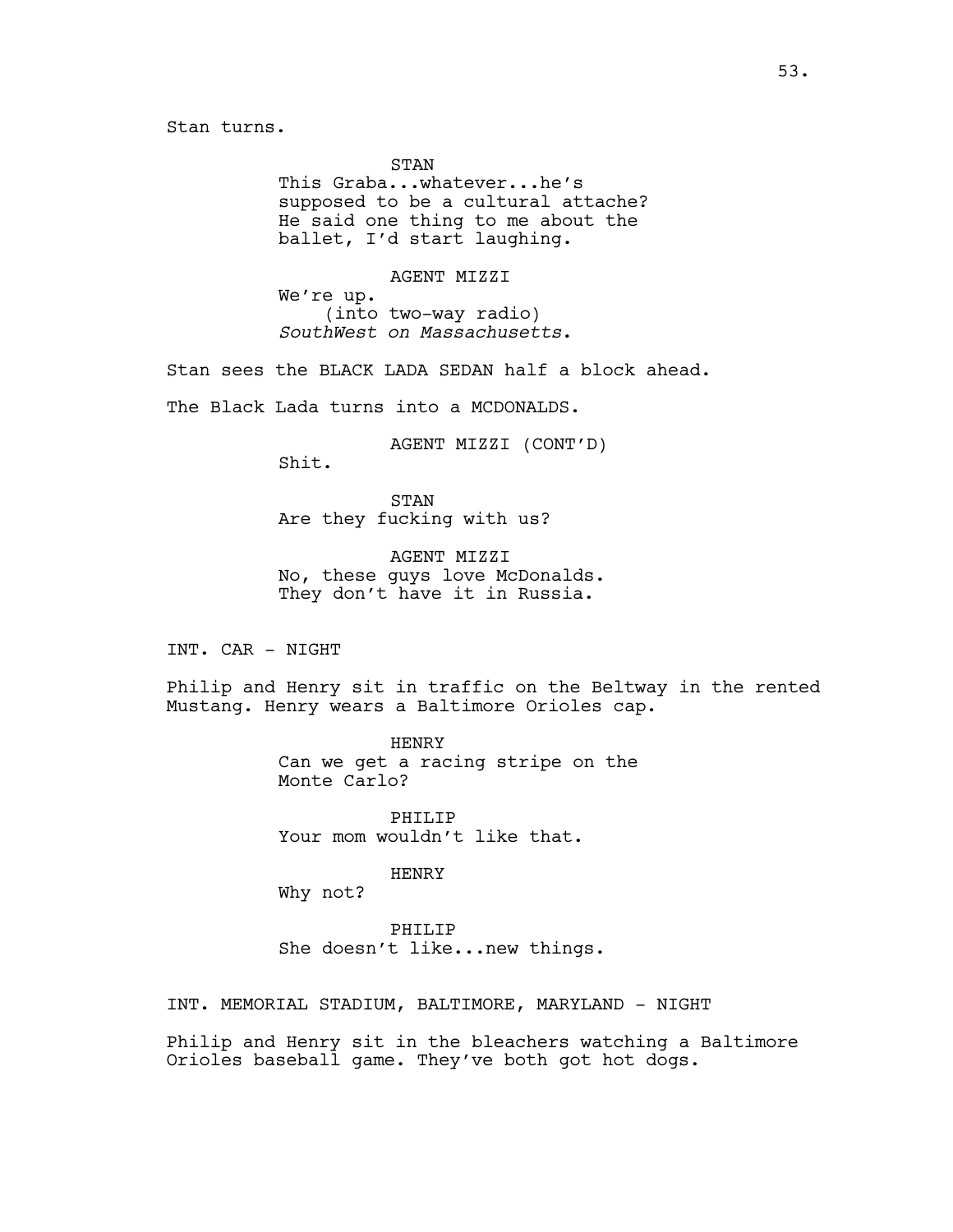Stan turns.

STAN

This Graba...whatever...he's supposed to be a cultural attache? He said one thing to me about the ballet, I'd start laughing.

AGENT MIZZI

We're up. (into two-way radio) *SouthWest on Massachusetts*.

Stan sees the BLACK LADA SEDAN half a block ahead.

The Black Lada turns into a MCDONALDS.

AGENT MIZZI (CONT'D)

Shit.

STAN Are they fucking with us?

AGENT MIZZI No, these guys love McDonalds. They don't have it in Russia.

INT. CAR - NIGHT

Philip and Henry sit in traffic on the Beltway in the rented Mustang. Henry wears a Baltimore Orioles cap.

> HENRY Can we get a racing stripe on the Monte Carlo?

PHTLTP Your mom wouldn't like that.

HENRY

Why not?

PHILIP She doesn't like...new things.

INT. MEMORIAL STADIUM, BALTIMORE, MARYLAND - NIGHT

Philip and Henry sit in the bleachers watching a Baltimore Orioles baseball game. They've both got hot dogs.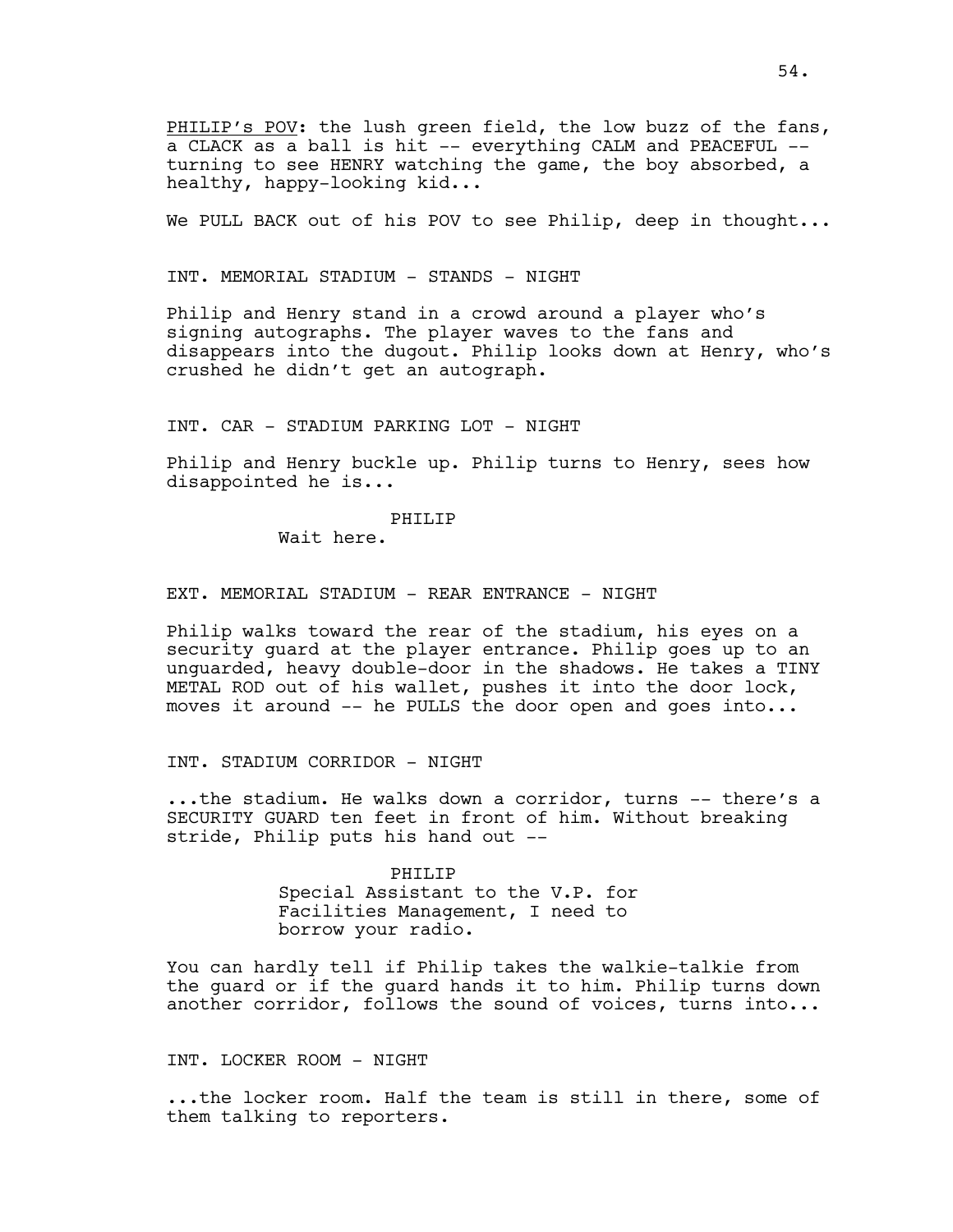PHILIP's POV: the lush green field, the low buzz of the fans, a CLACK as a ball is hit -- everything CALM and PEACEFUL - turning to see HENRY watching the game, the boy absorbed, a healthy, happy-looking kid...

We PULL BACK out of his POV to see Philip, deep in thought...

# INT. MEMORIAL STADIUM - STANDS - NIGHT

Philip and Henry stand in a crowd around a player who's signing autographs. The player waves to the fans and disappears into the dugout. Philip looks down at Henry, who's crushed he didn't get an autograph.

INT. CAR - STADIUM PARKING LOT - NIGHT

Philip and Henry buckle up. Philip turns to Henry, sees how disappointed he is...

#### PHILIP

Wait here.

EXT. MEMORIAL STADIUM - REAR ENTRANCE - NIGHT

Philip walks toward the rear of the stadium, his eyes on a security guard at the player entrance. Philip goes up to an unguarded, heavy double-door in the shadows. He takes a TINY METAL ROD out of his wallet, pushes it into the door lock, moves it around -- he PULLS the door open and goes into...

## INT. STADIUM CORRIDOR - NIGHT

...the stadium. He walks down a corridor, turns -- there's a SECURITY GUARD ten feet in front of him. Without breaking stride, Philip puts his hand out --

# PHILIP Special Assistant to the V.P. for Facilities Management, I need to borrow your radio.

You can hardly tell if Philip takes the walkie-talkie from the guard or if the guard hands it to him. Philip turns down another corridor, follows the sound of voices, turns into...

# INT. LOCKER ROOM - NIGHT

...the locker room. Half the team is still in there, some of them talking to reporters.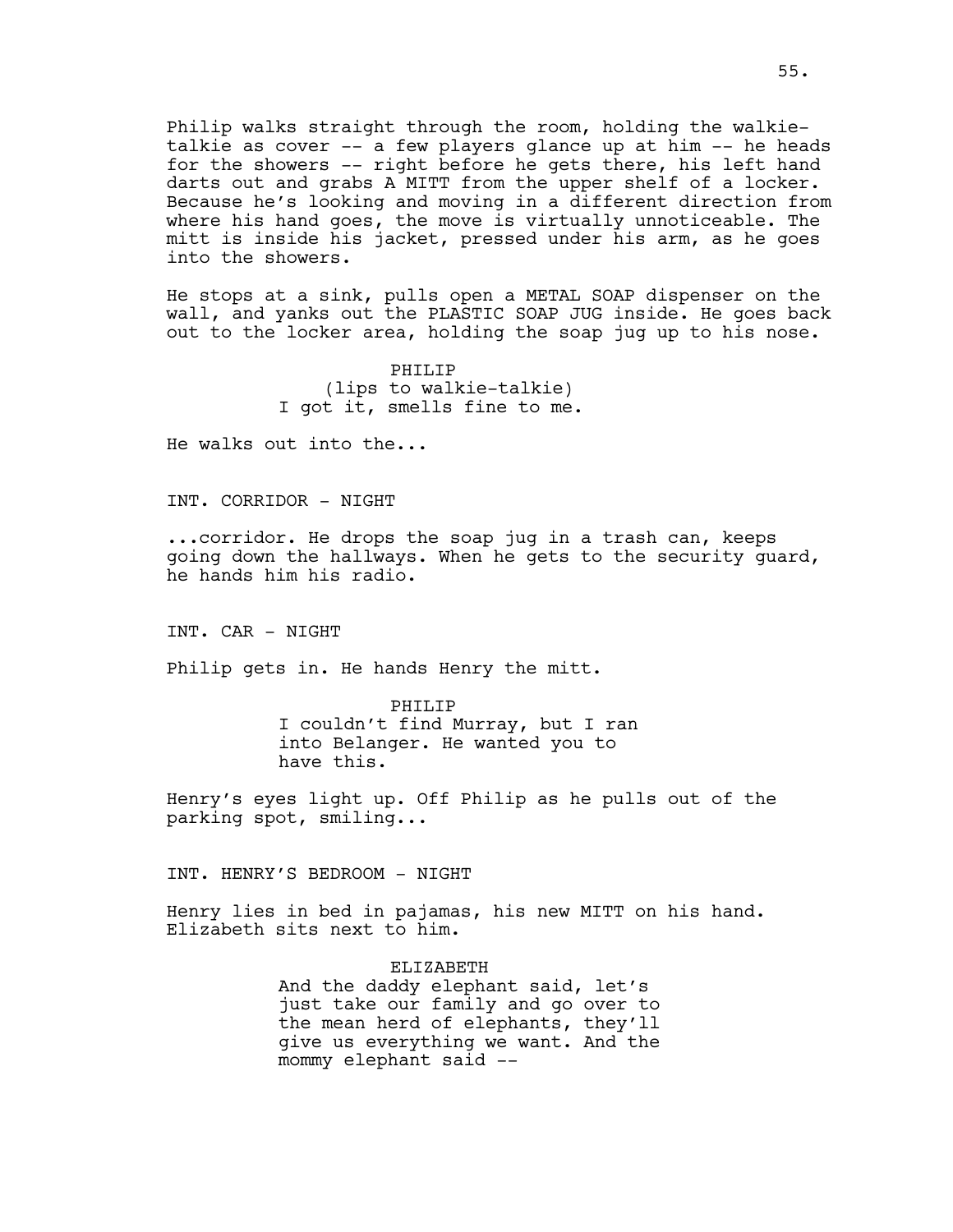Philip walks straight through the room, holding the walkietalkie as cover -- a few players glance up at him -- he heads for the showers -- right before he gets there, his left hand darts out and grabs A MITT from the upper shelf of a locker. Because he's looking and moving in a different direction from where his hand goes, the move is virtually unnoticeable. The mitt is inside his jacket, pressed under his arm, as he goes into the showers.

He stops at a sink, pulls open a METAL SOAP dispenser on the wall, and yanks out the PLASTIC SOAP JUG inside. He goes back out to the locker area, holding the soap jug up to his nose.

> PHILIP (lips to walkie-talkie) I got it, smells fine to me.

He walks out into the...

#### INT. CORRIDOR - NIGHT

...corridor. He drops the soap jug in a trash can, keeps going down the hallways. When he gets to the security guard, he hands him his radio.

INT. CAR - NIGHT

Philip gets in. He hands Henry the mitt.

PHILIP I couldn't find Murray, but I ran into Belanger. He wanted you to have this.

Henry's eyes light up. Off Philip as he pulls out of the parking spot, smiling...

INT. HENRY'S BEDROOM - NIGHT

Henry lies in bed in pajamas, his new MITT on his hand. Elizabeth sits next to him.

> ELIZABETH And the daddy elephant said, let's just take our family and go over to the mean herd of elephants, they'll give us everything we want. And the mommy elephant said --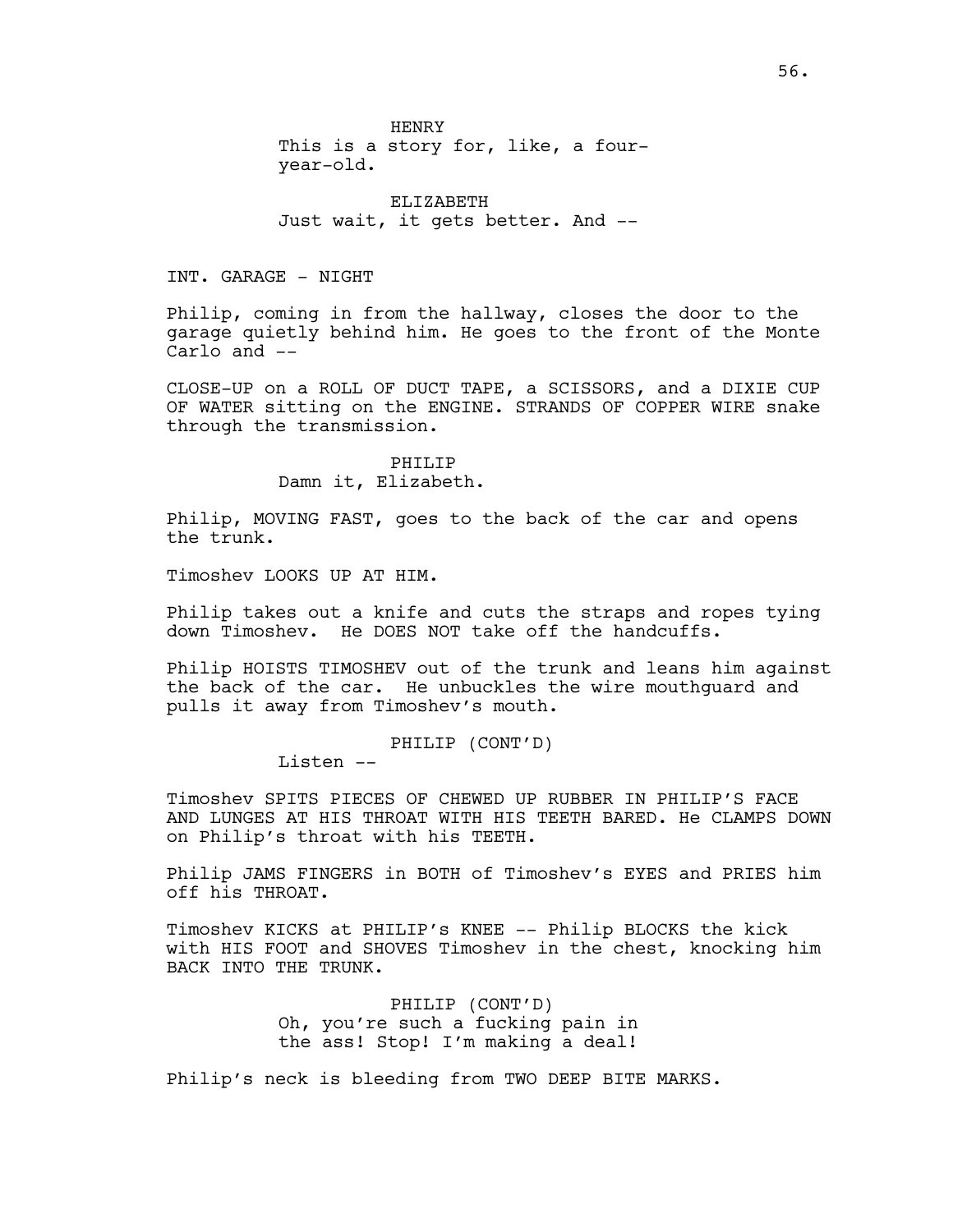HENRY

This is a story for, like, a fouryear-old.

ELIZABETH Just wait, it gets better. And --

# INT. GARAGE - NIGHT

Philip, coming in from the hallway, closes the door to the garage quietly behind him. He goes to the front of the Monte Carlo and --

CLOSE-UP on a ROLL OF DUCT TAPE, a SCISSORS, and a DIXIE CUP OF WATER sitting on the ENGINE. STRANDS OF COPPER WIRE snake through the transmission.

> PHILIP Damn it, Elizabeth.

Philip, MOVING FAST, goes to the back of the car and opens the trunk.

Timoshev LOOKS UP AT HIM.

Philip takes out a knife and cuts the straps and ropes tying down Timoshev. He DOES NOT take off the handcuffs.

Philip HOISTS TIMOSHEV out of the trunk and leans him against the back of the car. He unbuckles the wire mouthguard and pulls it away from Timoshev's mouth.

PHILIP (CONT'D)

Listen --

Timoshev SPITS PIECES OF CHEWED UP RUBBER IN PHILIP'S FACE AND LUNGES AT HIS THROAT WITH HIS TEETH BARED. He CLAMPS DOWN on Philip's throat with his TEETH.

Philip JAMS FINGERS in BOTH of Timoshev's EYES and PRIES him off his THROAT.

Timoshev KICKS at PHILIP's KNEE -- Philip BLOCKS the kick with HIS FOOT and SHOVES Timoshev in the chest, knocking him BACK INTO THE TRUNK.

> PHILIP (CONT'D) Oh, you're such a fucking pain in the ass! Stop! I'm making a deal!

Philip's neck is bleeding from TWO DEEP BITE MARKS.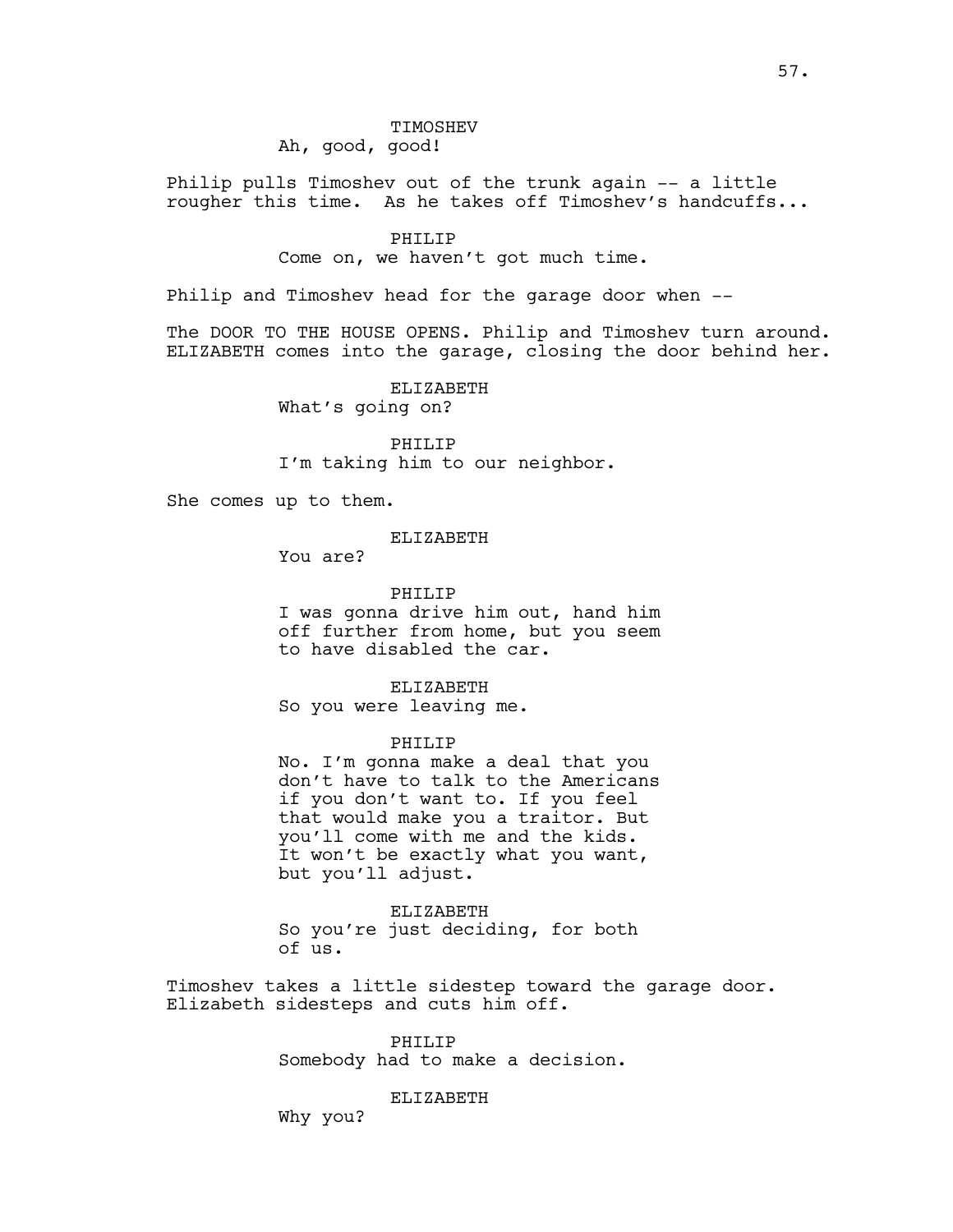TIMOSHEV

Ah, good, good!

Philip pulls Timoshev out of the trunk again -- a little rougher this time. As he takes off Timoshev's handcuffs...

# PHILIP

Come on, we haven't got much time.

Philip and Timoshev head for the garage door when --

The DOOR TO THE HOUSE OPENS. Philip and Timoshev turn around. ELIZABETH comes into the garage, closing the door behind her.

> ELIZABETH What's going on?

PHILIP I'm taking him to our neighbor.

She comes up to them.

# ELIZABETH

You are?

#### PHILIP

I was gonna drive him out, hand him off further from home, but you seem to have disabled the car.

ELIZABETH So you were leaving me.

#### PHILIP

No. I'm gonna make a deal that you don't have to talk to the Americans if you don't want to. If you feel that would make you a traitor. But you'll come with me and the kids. It won't be exactly what you want, but you'll adjust.

ELIZABETH So you're just deciding, for both of us.

Timoshev takes a little sidestep toward the garage door. Elizabeth sidesteps and cuts him off.

> PHILIP Somebody had to make a decision.

#### ELIZABETH

Why you?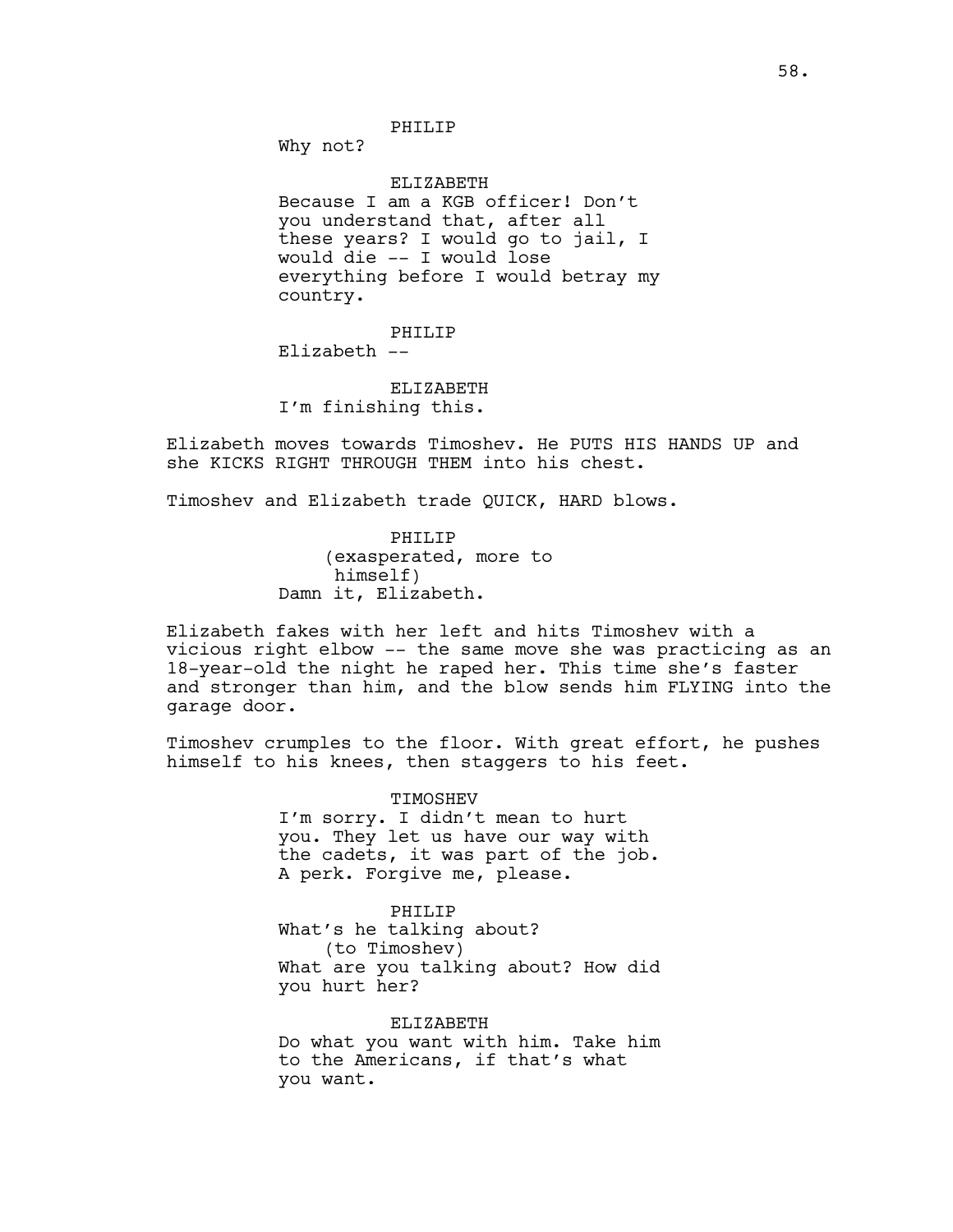Why not?

ELIZABETH Because I am a KGB officer! Don't you understand that, after all these years? I would go to jail, I would die -- I would lose everything before I would betray my country.

PHILIP

Elizabeth --

ELIZABETH I'm finishing this.

Elizabeth moves towards Timoshev. He PUTS HIS HANDS UP and she KICKS RIGHT THROUGH THEM into his chest.

Timoshev and Elizabeth trade QUICK, HARD blows.

PHILIP (exasperated, more to himself) Damn it, Elizabeth.

Elizabeth fakes with her left and hits Timoshev with a vicious right elbow -- the same move she was practicing as an 18-year-old the night he raped her. This time she's faster and stronger than him, and the blow sends him FLYING into the garage door.

Timoshev crumples to the floor. With great effort, he pushes himself to his knees, then staggers to his feet.

> TIMOSHEV I'm sorry. I didn't mean to hurt you. They let us have our way with the cadets, it was part of the job. A perk. Forgive me, please.

PHILIP What's he talking about? (to Timoshev) What are you talking about? How did you hurt her?

ELIZABETH Do what you want with him. Take him to the Americans, if that's what you want.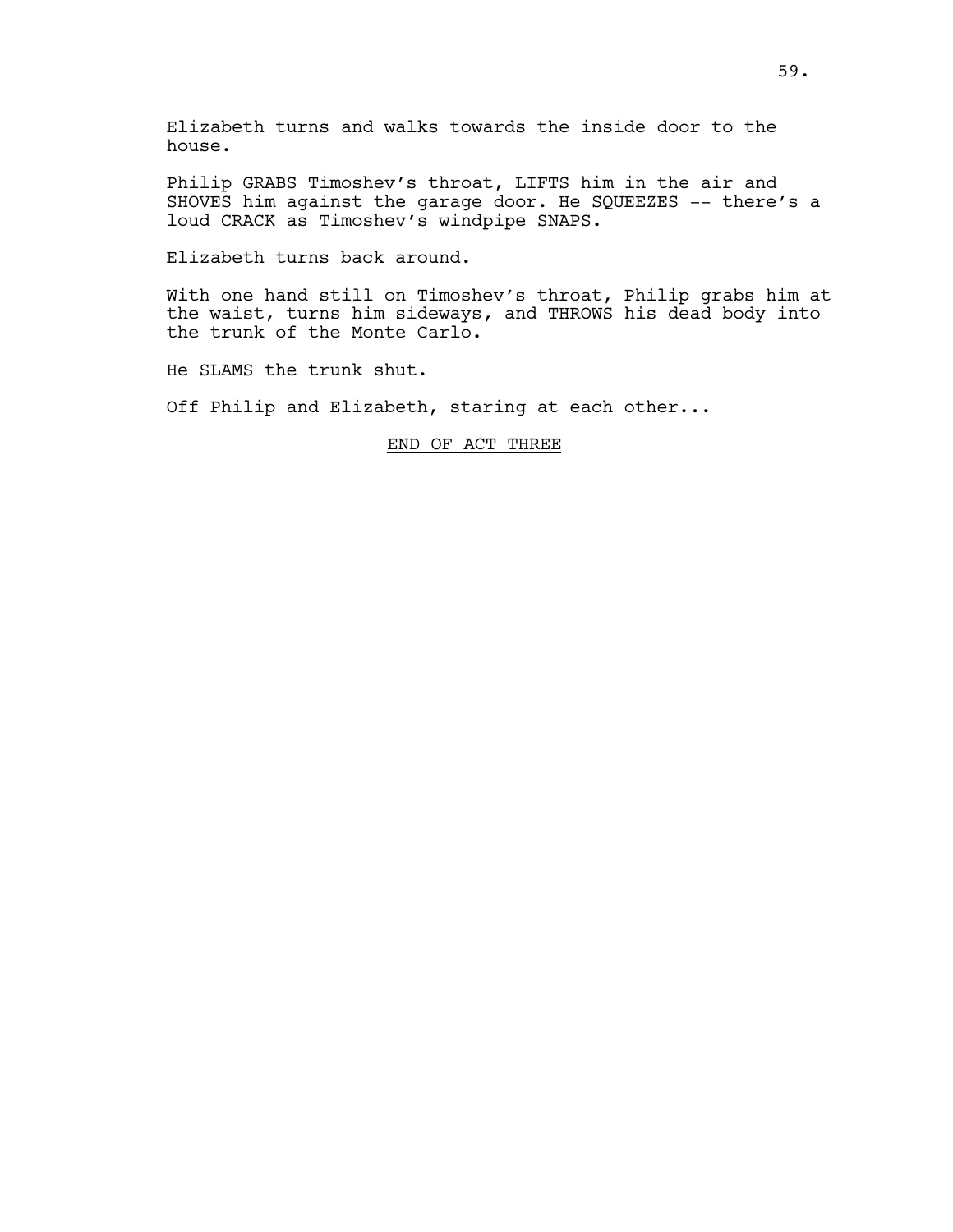Elizabeth turns and walks towards the inside door to the house.

Philip GRABS Timoshev's throat, LIFTS him in the air and SHOVES him against the garage door. He SQUEEZES -- there's a loud CRACK as Timoshev's windpipe SNAPS.

Elizabeth turns back around.

With one hand still on Timoshev's throat, Philip grabs him at the waist, turns him sideways, and THROWS his dead body into the trunk of the Monte Carlo.

He SLAMS the trunk shut.

Off Philip and Elizabeth, staring at each other...

END OF ACT THREE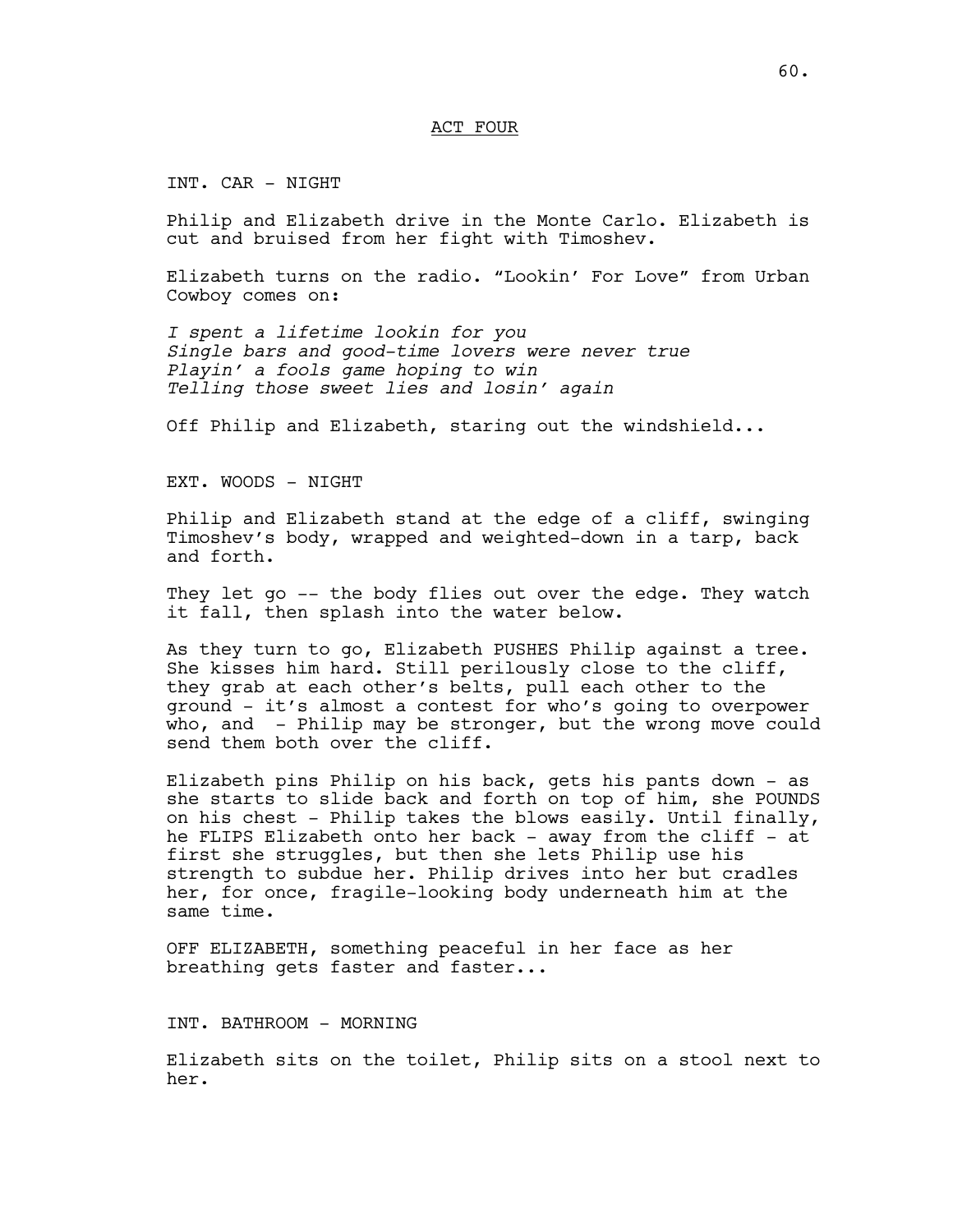## ACT FOUR

INT. CAR - NIGHT

Philip and Elizabeth drive in the Monte Carlo. Elizabeth is cut and bruised from her fight with Timoshev.

Elizabeth turns on the radio. "Lookin' For Love" from Urban Cowboy comes on:

*I spent a lifetime lookin for you Single bars and good-time lovers were never true Playin' a fools game hoping to win Telling those sweet lies and losin' again*

Off Philip and Elizabeth, staring out the windshield...

EXT. WOODS - NIGHT

Philip and Elizabeth stand at the edge of a cliff, swinging Timoshev's body, wrapped and weighted-down in a tarp, back and forth.

They let go -- the body flies out over the edge. They watch it fall, then splash into the water below.

As they turn to go, Elizabeth PUSHES Philip against a tree. She kisses him hard. Still perilously close to the cliff, they grab at each other's belts, pull each other to the ground - it's almost a contest for who's going to overpower who, and - Philip may be stronger, but the wrong move could send them both over the cliff.

Elizabeth pins Philip on his back, gets his pants down - as she starts to slide back and forth on top of him, she POUNDS on his chest - Philip takes the blows easily. Until finally, he FLIPS Elizabeth onto her back - away from the cliff - at first she struggles, but then she lets Philip use his strength to subdue her. Philip drives into her but cradles her, for once, fragile-looking body underneath him at the same time.

OFF ELIZABETH, something peaceful in her face as her breathing gets faster and faster...

INT. BATHROOM - MORNING

Elizabeth sits on the toilet, Philip sits on a stool next to her.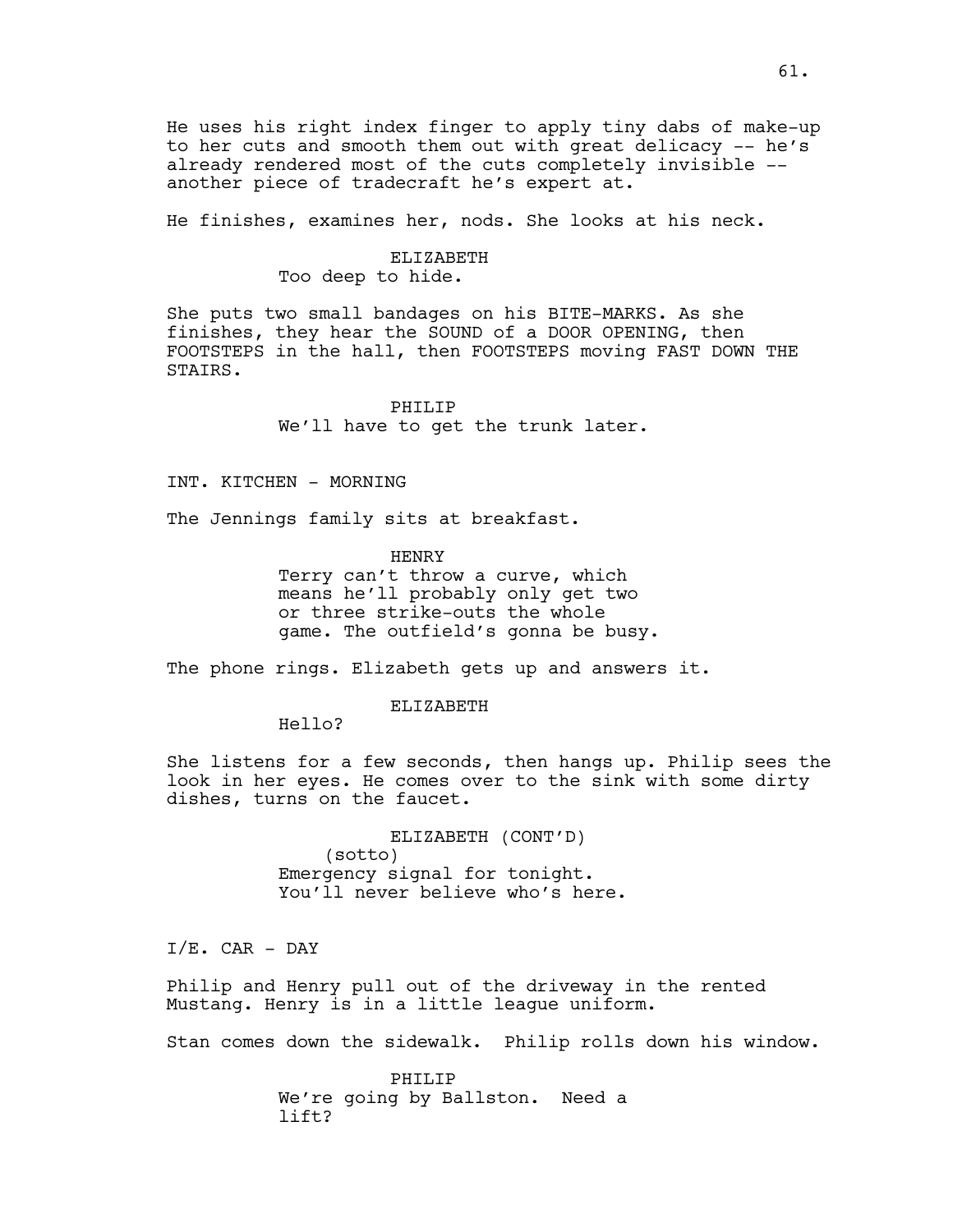He uses his right index finger to apply tiny dabs of make-up to her cuts and smooth them out with great delicacy -- he's already rendered most of the cuts completely invisible - another piece of tradecraft he's expert at.

He finishes, examines her, nods. She looks at his neck.

# ELIZABETH Too deep to hide.

She puts two small bandages on his BITE-MARKS. As she finishes, they hear the SOUND of a DOOR OPENING, then FOOTSTEPS in the hall, then FOOTSTEPS moving FAST DOWN THE STAIRS.

> PHILIP We'll have to get the trunk later.

## INT. KITCHEN - MORNING

The Jennings family sits at breakfast.

HENRY Terry can't throw a curve, which means he'll probably only get two or three strike-outs the whole game. The outfield's gonna be busy.

The phone rings. Elizabeth gets up and answers it.

#### ELIZABETH

Hello?

She listens for a few seconds, then hangs up. Philip sees the look in her eyes. He comes over to the sink with some dirty dishes, turns on the faucet.

> ELIZABETH (CONT'D) (sotto) Emergency signal for tonight. You'll never believe who's here.

 $I/E$ . CAR - DAY

Philip and Henry pull out of the driveway in the rented Mustang. Henry is in a little league uniform.

Stan comes down the sidewalk. Philip rolls down his window.

PHILIP We're going by Ballston. Need a lift?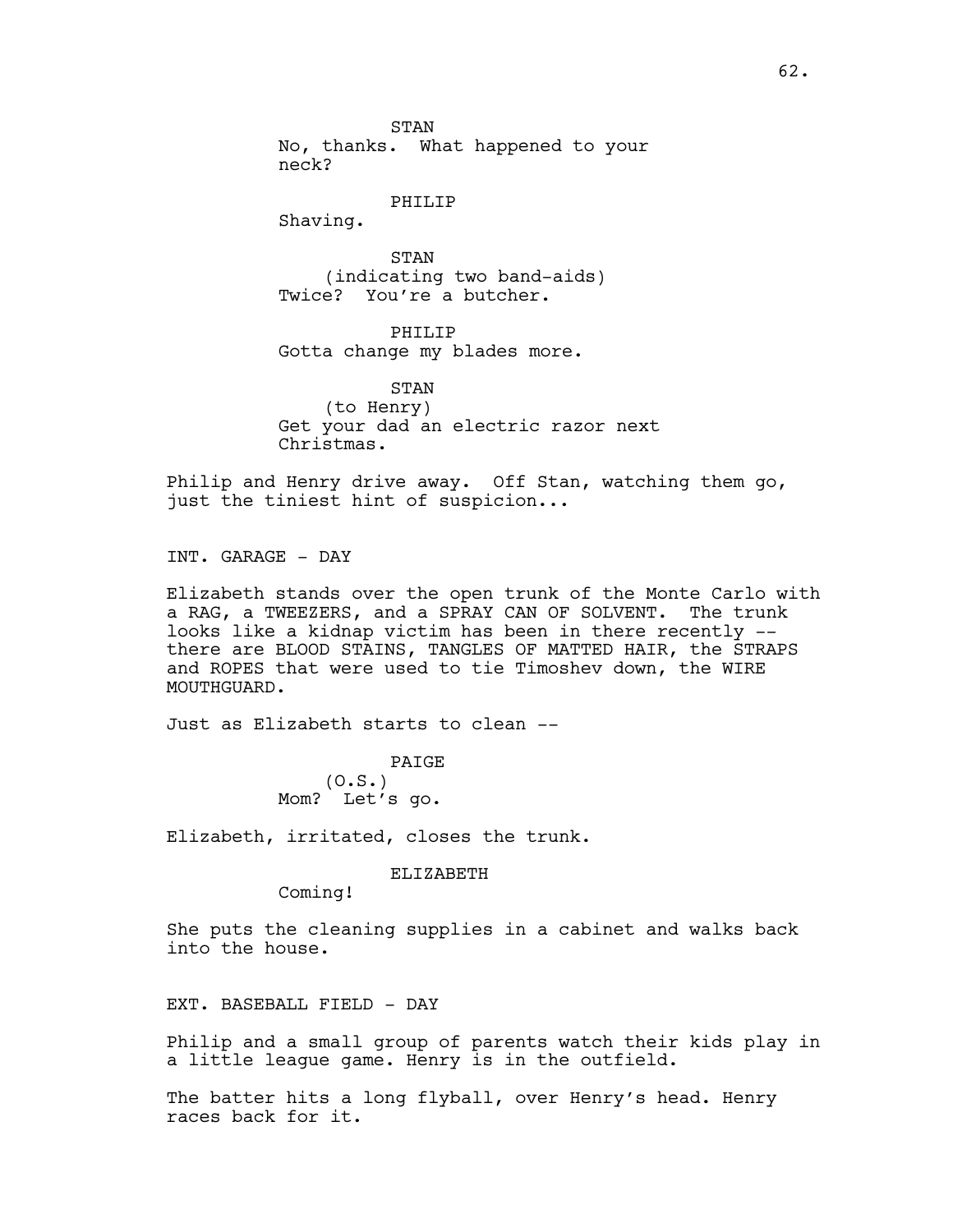STAN No, thanks. What happened to your neck?

# PHTLTP

Shaving.

STAN (indicating two band-aids) Twice? You're a butcher.

PHILIP Gotta change my blades more.

STAN (to Henry) Get your dad an electric razor next Christmas.

Philip and Henry drive away. Off Stan, watching them go, just the tiniest hint of suspicion...

INT. GARAGE - DAY

Elizabeth stands over the open trunk of the Monte Carlo with a RAG, a TWEEZERS, and a SPRAY CAN OF SOLVENT. The trunk looks like a kidnap victim has been in there recently - there are BLOOD STAINS, TANGLES OF MATTED HAIR, the STRAPS and ROPES that were used to tie Timoshev down, the WIRE MOUTHGUARD.

Just as Elizabeth starts to clean --

PAIGE  $(0.S.)$ Mom? Let's go.

Elizabeth, irritated, closes the trunk.

ELIZABETH

Coming!

She puts the cleaning supplies in a cabinet and walks back into the house.

EXT. BASEBALL FIELD - DAY

Philip and a small group of parents watch their kids play in a little league game. Henry is in the outfield.

The batter hits a long flyball, over Henry's head. Henry races back for it.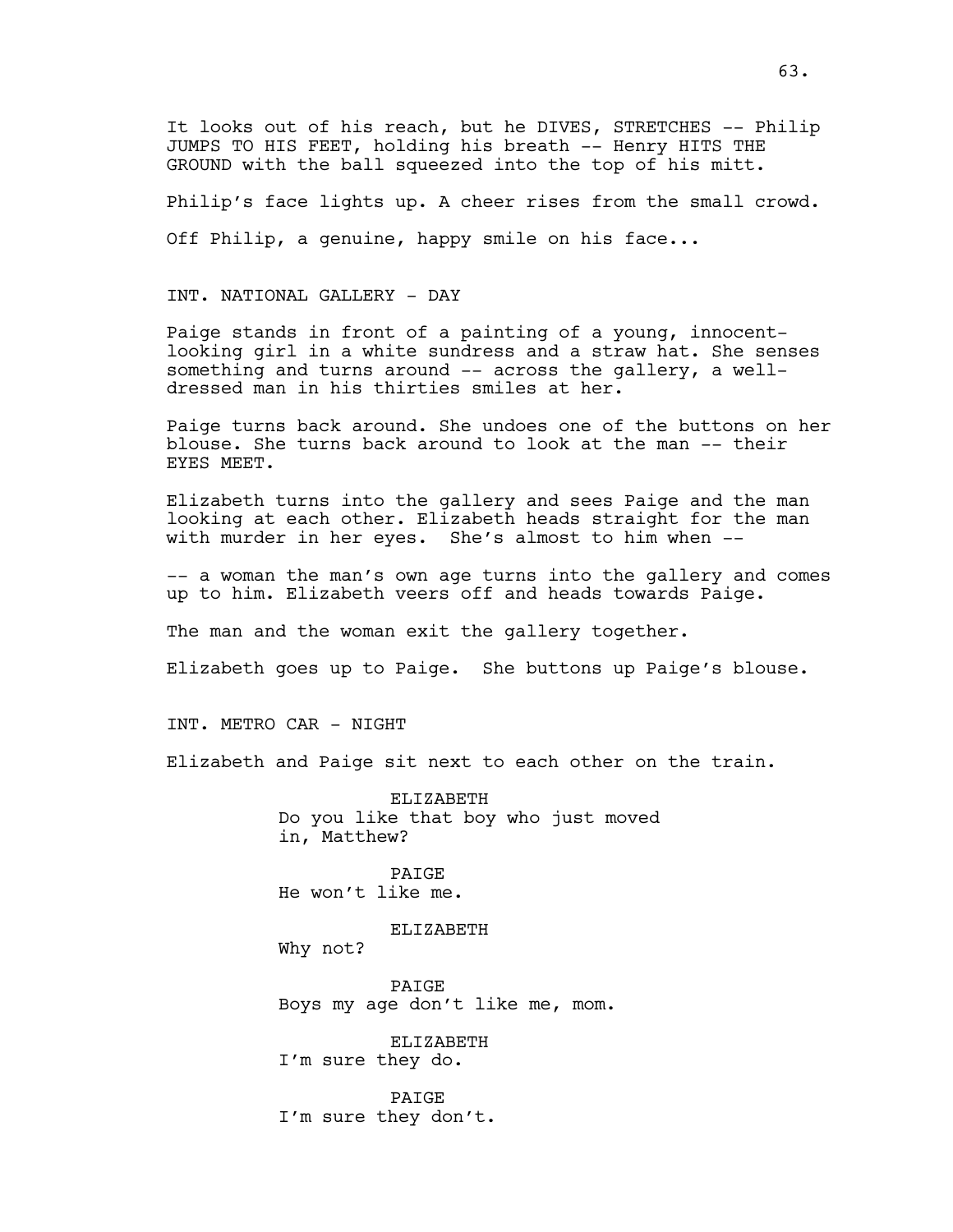It looks out of his reach, but he DIVES, STRETCHES -- Philip JUMPS TO HIS FEET, holding his breath -- Henry HITS THE GROUND with the ball squeezed into the top of his mitt.

Philip's face lights up. A cheer rises from the small crowd. Off Philip, a genuine, happy smile on his face...

INT. NATIONAL GALLERY - DAY

Paige stands in front of a painting of a young, innocentlooking girl in a white sundress and a straw hat. She senses something and turns around -- across the gallery, a welldressed man in his thirties smiles at her.

Paige turns back around. She undoes one of the buttons on her blouse. She turns back around to look at the man -- their EYES MEET.

Elizabeth turns into the gallery and sees Paige and the man looking at each other. Elizabeth heads straight for the man with murder in her eyes. She's almost to him when --

-- a woman the man's own age turns into the gallery and comes up to him. Elizabeth veers off and heads towards Paige.

The man and the woman exit the gallery together.

Elizabeth goes up to Paige. She buttons up Paige's blouse.

INT. METRO CAR - NIGHT

Elizabeth and Paige sit next to each other on the train.

ELIZABETH Do you like that boy who just moved in, Matthew?

PAIGE He won't like me.

ELIZABETH

Why not?

PAIGE Boys my age don't like me, mom.

ELIZABETH I'm sure they do.

PAIGE I'm sure they don't.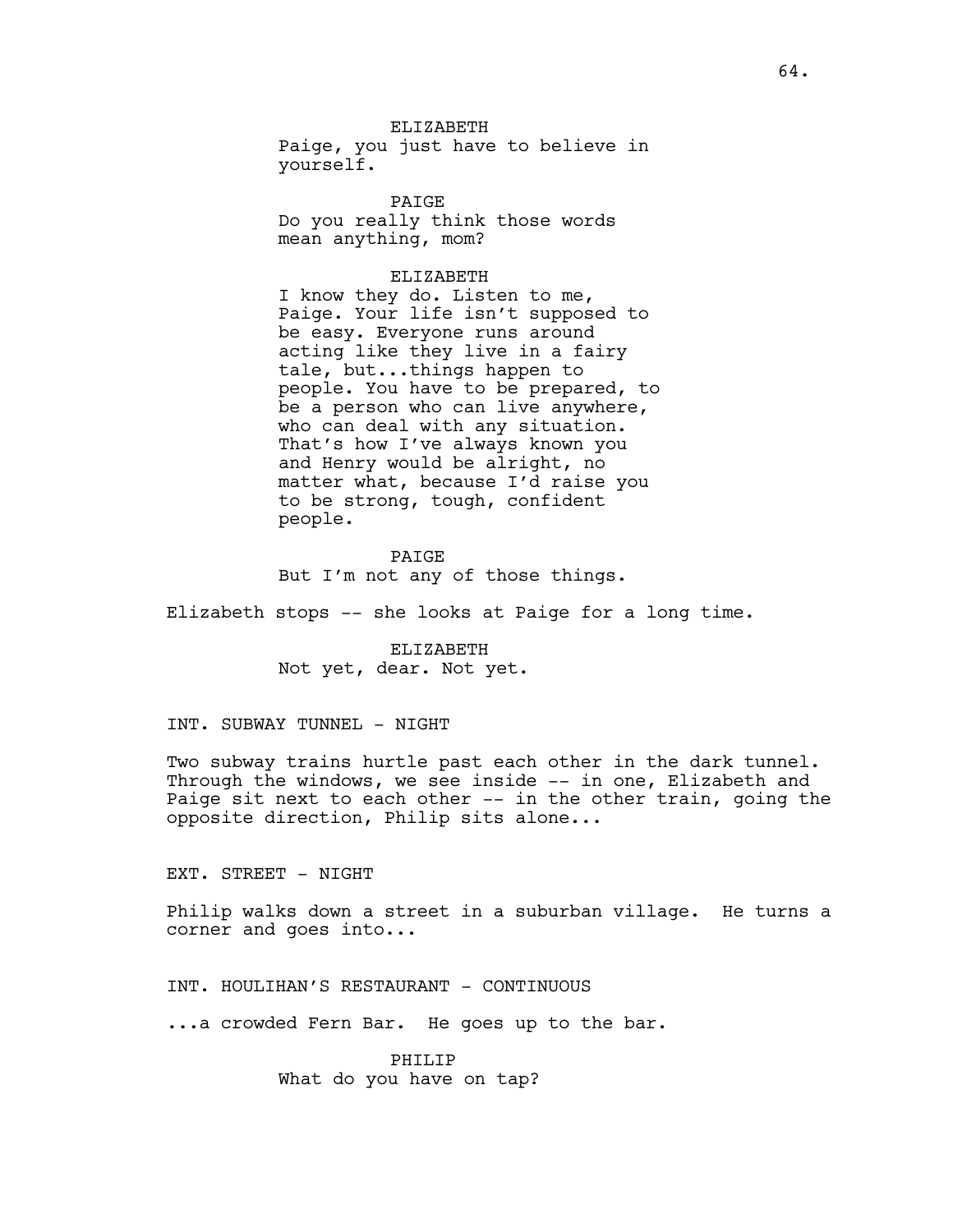ELIZABETH Paige, you just have to believe in yourself.

PAIGE Do you really think those words mean anything, mom?

#### ELIZABETH

I know they do. Listen to me, Paige. Your life isn't supposed to be easy. Everyone runs around acting like they live in a fairy tale, but...things happen to people. You have to be prepared, to be a person who can live anywhere, who can deal with any situation. That's how I've always known you and Henry would be alright, no matter what, because I'd raise you to be strong, tough, confident people.

PAIGE But I'm not any of those things.

Elizabeth stops -- she looks at Paige for a long time.

ELIZABETH Not yet, dear. Not yet.

INT. SUBWAY TUNNEL - NIGHT

Two subway trains hurtle past each other in the dark tunnel. Through the windows, we see inside -- in one, Elizabeth and Paige sit next to each other -- in the other train, going the opposite direction, Philip sits alone...

EXT. STREET - NIGHT

Philip walks down a street in a suburban village. He turns a corner and goes into...

INT. HOULIHAN'S RESTAURANT - CONTINUOUS

...a crowded Fern Bar. He goes up to the bar.

PHILIP What do you have on tap?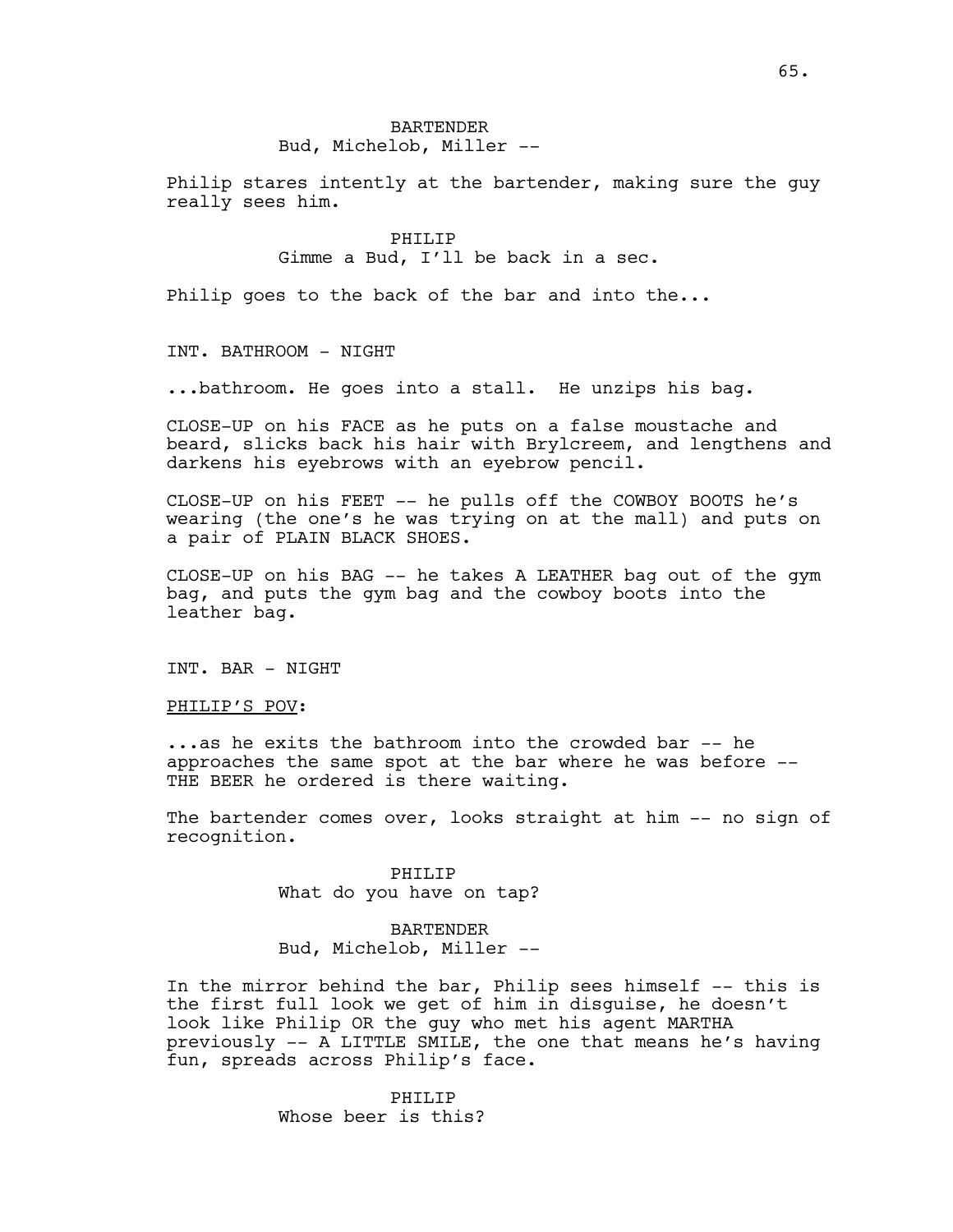# BARTENDER

Bud, Michelob, Miller --

Philip stares intently at the bartender, making sure the guy really sees him.

> PHILIP Gimme a Bud, I'll be back in a sec.

Philip goes to the back of the bar and into the...

INT. BATHROOM - NIGHT

...bathroom. He goes into a stall. He unzips his bag.

CLOSE-UP on his FACE as he puts on a false moustache and beard, slicks back his hair with Brylcreem, and lengthens and darkens his eyebrows with an eyebrow pencil.

CLOSE-UP on his FEET -- he pulls off the COWBOY BOOTS he's wearing (the one's he was trying on at the mall) and puts on a pair of PLAIN BLACK SHOES.

CLOSE-UP on his BAG -- he takes A LEATHER bag out of the gym bag, and puts the gym bag and the cowboy boots into the leather bag.

INT. BAR - NIGHT

PHILIP'S POV:

...as he exits the bathroom into the crowded bar -- he approaches the same spot at the bar where he was before -- THE BEER he ordered is there waiting.

The bartender comes over, looks straight at him -- no sign of recognition.

> PHILIP What do you have on tap?

> BARTENDER Bud, Michelob, Miller --

In the mirror behind the bar, Philip sees himself -- this is the first full look we get of him in disguise, he doesn't look like Philip OR the guy who met his agent MARTHA previously -- A LITTLE SMILE, the one that means he's having fun, spreads across Philip's face.

> PHTI.TP Whose beer is this?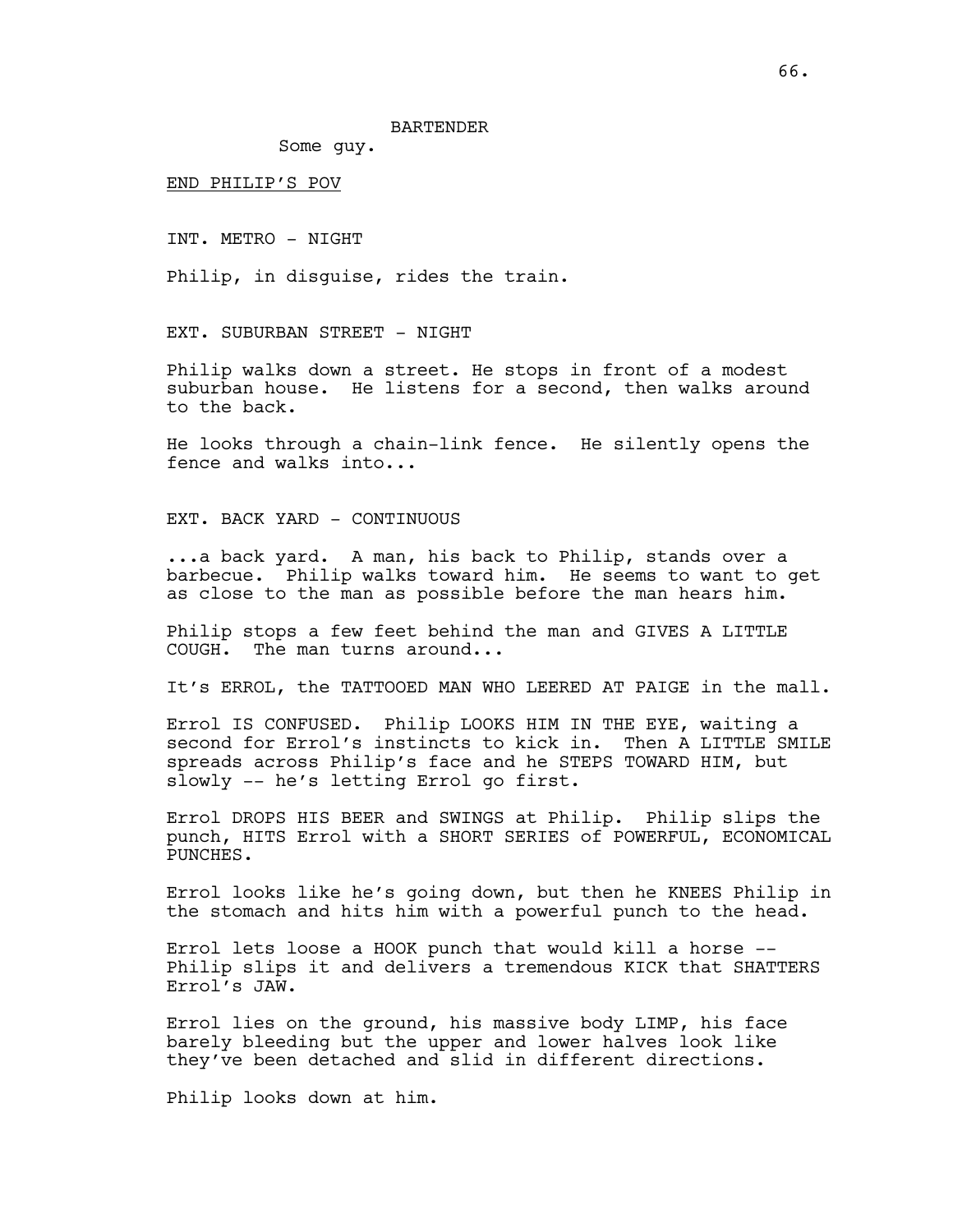Some guy.

END PHILIP'S POV

INT. METRO - NIGHT

Philip, in disguise, rides the train.

EXT. SUBURBAN STREET - NIGHT

Philip walks down a street. He stops in front of a modest suburban house. He listens for a second, then walks around to the back.

He looks through a chain-link fence. He silently opens the fence and walks into...

EXT. BACK YARD - CONTINUOUS

...a back yard. A man, his back to Philip, stands over a barbecue. Philip walks toward him. He seems to want to get as close to the man as possible before the man hears him.

Philip stops a few feet behind the man and GIVES A LITTLE COUGH. The man turns around...

It's ERROL, the TATTOOED MAN WHO LEERED AT PAIGE in the mall.

Errol IS CONFUSED. Philip LOOKS HIM IN THE EYE, waiting a second for Errol's instincts to kick in. Then A LITTLE SMILE spreads across Philip's face and he STEPS TOWARD HIM, but slowly -- he's letting Errol go first.

Errol DROPS HIS BEER and SWINGS at Philip. Philip slips the punch, HITS Errol with a SHORT SERIES of POWERFUL, ECONOMICAL PUNCHES.

Errol looks like he's going down, but then he KNEES Philip in the stomach and hits him with a powerful punch to the head.

Errol lets loose a HOOK punch that would kill a horse -- Philip slips it and delivers a tremendous KICK that SHATTERS Errol's JAW.

Errol lies on the ground, his massive body LIMP, his face barely bleeding but the upper and lower halves look like they've been detached and slid in different directions.

Philip looks down at him.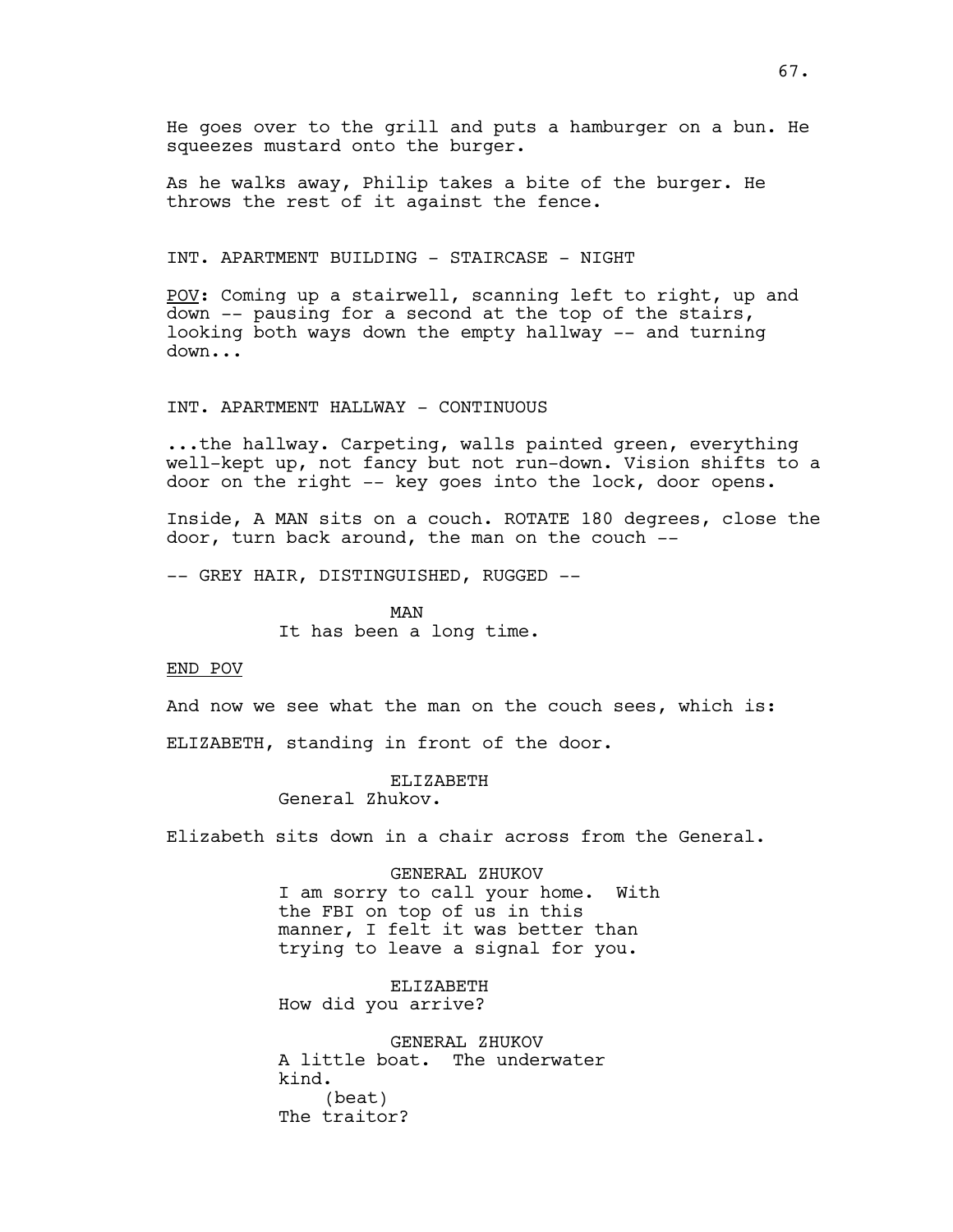He goes over to the grill and puts a hamburger on a bun. He squeezes mustard onto the burger.

As he walks away, Philip takes a bite of the burger. He throws the rest of it against the fence.

INT. APARTMENT BUILDING - STAIRCASE - NIGHT

POV: Coming up a stairwell, scanning left to right, up and down -- pausing for a second at the top of the stairs, looking both ways down the empty hallway -- and turning down...

INT. APARTMENT HALLWAY - CONTINUOUS

...the hallway. Carpeting, walls painted green, everything well-kept up, not fancy but not run-down. Vision shifts to a door on the right -- key goes into the lock, door opens.

Inside, A MAN sits on a couch. ROTATE 180 degrees, close the door, turn back around, the man on the couch --

-- GREY HAIR, DISTINGUISHED, RUGGED --

MAN It has been a long time.

#### END POV

And now we see what the man on the couch sees, which is:

ELIZABETH, standing in front of the door.

ELIZABETH General Zhukov.

Elizabeth sits down in a chair across from the General.

GENERAL ZHUKOV I am sorry to call your home. With the FBI on top of us in this manner, I felt it was better than trying to leave a signal for you.

ELIZABETH How did you arrive?

GENERAL ZHUKOV A little boat. The underwater kind. (beat) The traitor?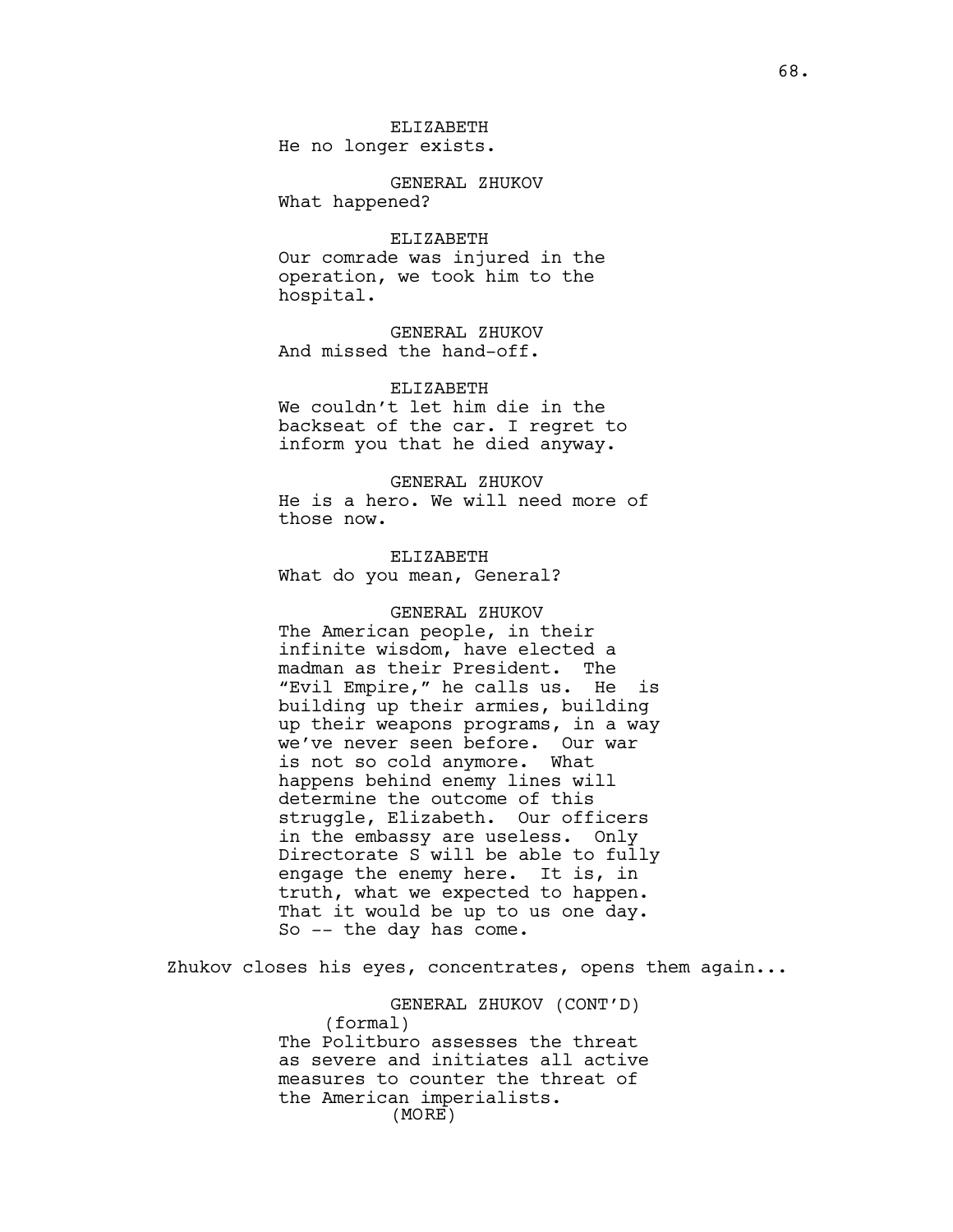ELIZABETH He no longer exists.

GENERAL ZHUKOV What happened?

ELIZABETH Our comrade was injured in the operation, we took him to the hospital.

GENERAL ZHUKOV And missed the hand-off.

ELIZABETH We couldn't let him die in the backseat of the car. I regret to inform you that he died anyway.

GENERAL ZHUKOV He is a hero. We will need more of those now.

ELIZABETH What do you mean, General?

GENERAL ZHUKOV The American people, in their infinite wisdom, have elected a madman as their President. The "Evil Empire," he calls us. He is building up their armies, building up their weapons programs, in a way we've never seen before. Our war is not so cold anymore. What happens behind enemy lines will determine the outcome of this struggle, Elizabeth. Our officers in the embassy are useless. Only Directorate S will be able to fully engage the enemy here. It is, in truth, what we expected to happen. That it would be up to us one day. So -- the day has come.

Zhukov closes his eyes, concentrates, opens them again...

GENERAL ZHUKOV (CONT'D) (formal) The Politburo assesses the threat as severe and initiates all active measures to counter the threat of the American imperialists. (MORE)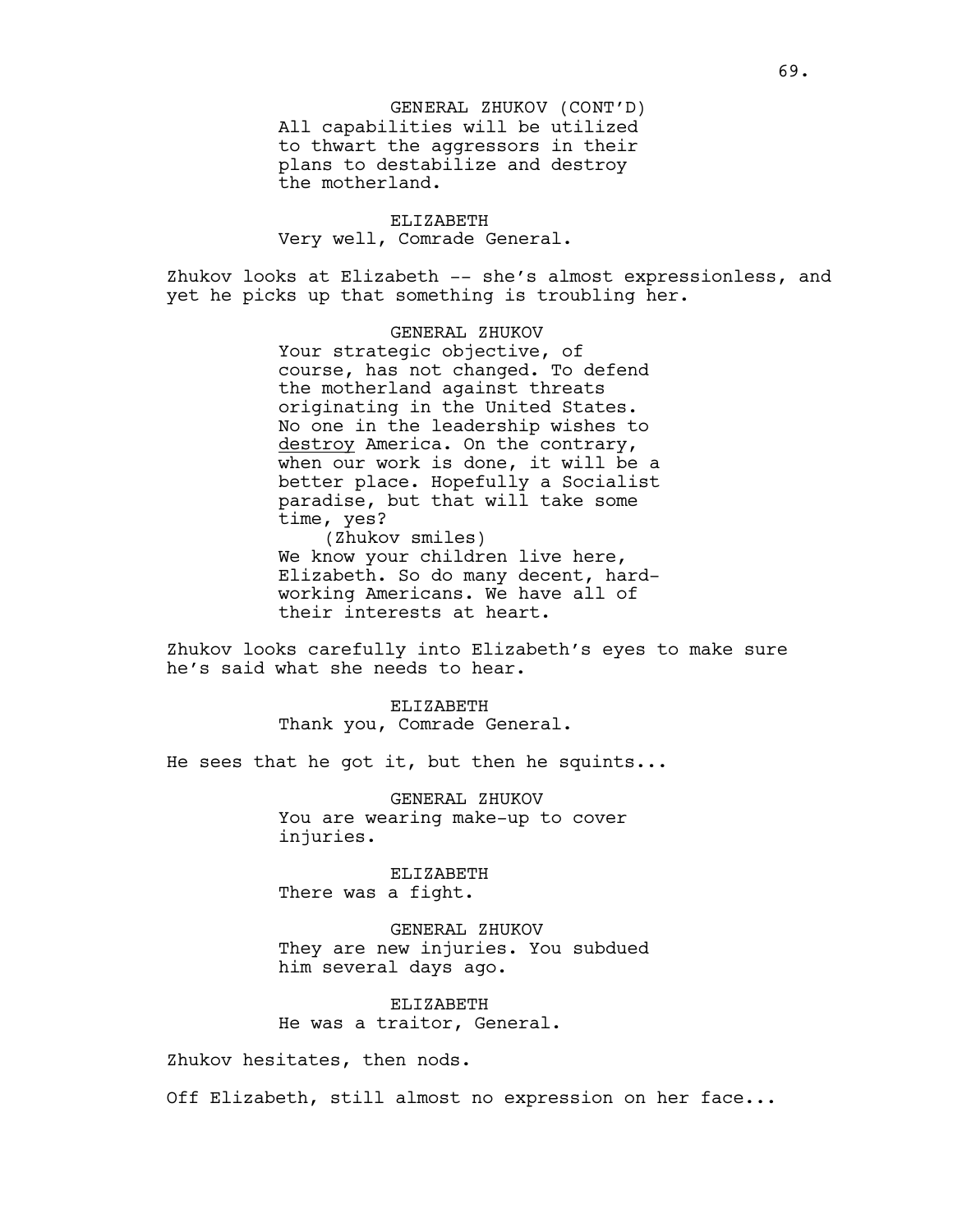All capabilities will be utilized to thwart the aggressors in their plans to destabilize and destroy the motherland. GENERAL ZHUKOV (CONT'D)

ELIZABETH Very well, Comrade General.

Zhukov looks at Elizabeth -- she's almost expressionless, and yet he picks up that something is troubling her.

> GENERAL ZHUKOV Your strategic objective, of course, has not changed. To defend the motherland against threats originating in the United States. No one in the leadership wishes to destroy America. On the contrary, when our work is done, it will be a better place. Hopefully a Socialist paradise, but that will take some time, yes? (Zhukov smiles) We know your children live here, Elizabeth. So do many decent, hardworking Americans. We have all of

their interests at heart.

Zhukov looks carefully into Elizabeth's eyes to make sure he's said what she needs to hear.

> ELIZABETH Thank you, Comrade General.

He sees that he got it, but then he squints...

GENERAL ZHUKOV You are wearing make-up to cover injuries.

ELIZABETH There was a fight.

GENERAL ZHUKOV They are new injuries. You subdued him several days ago.

ELIZABETH He was a traitor, General.

Zhukov hesitates, then nods.

Off Elizabeth, still almost no expression on her face...

69.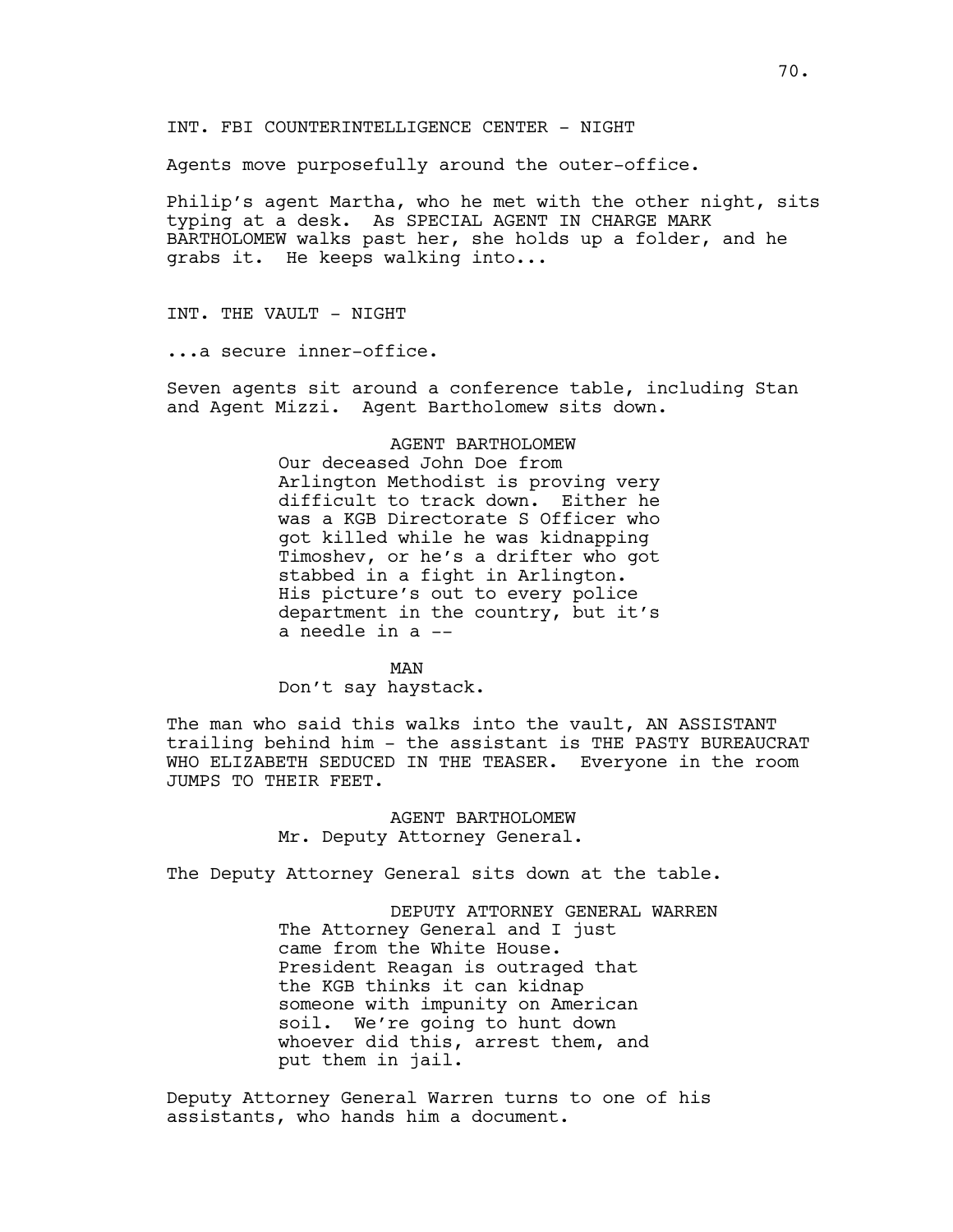# INT. FBI COUNTERINTELLIGENCE CENTER - NIGHT

Agents move purposefully around the outer-office.

Philip's agent Martha, who he met with the other night, sits typing at a desk. As SPECIAL AGENT IN CHARGE MARK BARTHOLOMEW walks past her, she holds up a folder, and he grabs it. He keeps walking into...

INT. THE VAULT - NIGHT

...a secure inner-office.

Seven agents sit around a conference table, including Stan and Agent Mizzi. Agent Bartholomew sits down.

# AGENT BARTHOLOMEW

Our deceased John Doe from Arlington Methodist is proving very difficult to track down. Either he was a KGB Directorate S Officer who got killed while he was kidnapping Timoshev, or he's a drifter who got stabbed in a fight in Arlington. His picture's out to every police department in the country, but it's a needle in a --

MAN Don't say haystack.

The man who said this walks into the vault, AN ASSISTANT trailing behind him - the assistant is THE PASTY BUREAUCRAT WHO ELIZABETH SEDUCED IN THE TEASER. Everyone in the room JUMPS TO THEIR FEET.

> AGENT BARTHOLOMEW Mr. Deputy Attorney General.

The Deputy Attorney General sits down at the table.

DEPUTY ATTORNEY GENERAL WARREN The Attorney General and I just came from the White House. President Reagan is outraged that the KGB thinks it can kidnap someone with impunity on American soil. We're going to hunt down whoever did this, arrest them, and put them in jail.

Deputy Attorney General Warren turns to one of his assistants, who hands him a document.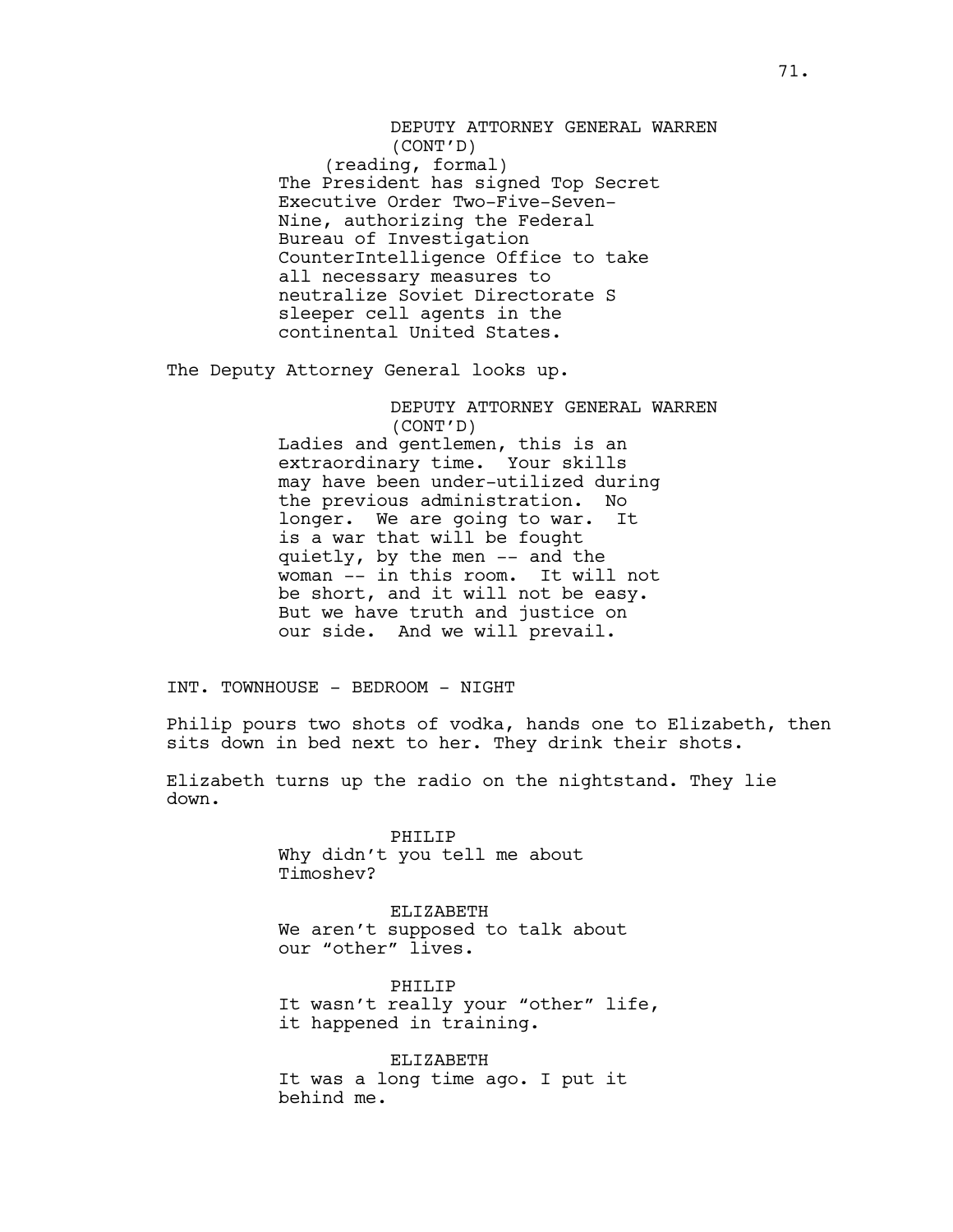DEPUTY ATTORNEY GENERAL WARREN (CONT'D) (reading, formal) The President has signed Top Secret Executive Order Two-Five-Seven-Nine, authorizing the Federal Bureau of Investigation CounterIntelligence Office to take all necessary measures to neutralize Soviet Directorate S sleeper cell agents in the continental United States.

The Deputy Attorney General looks up.

DEPUTY ATTORNEY GENERAL WARREN (CONT'D) Ladies and gentlemen, this is an extraordinary time. Your skills may have been under-utilized during the previous administration. No longer. We are going to war. It is a war that will be fought quietly, by the men -- and the woman -- in this room. It will not be short, and it will not be easy. But we have truth and justice on our side. And we will prevail.

INT. TOWNHOUSE - BEDROOM - NIGHT

Philip pours two shots of vodka, hands one to Elizabeth, then sits down in bed next to her. They drink their shots.

Elizabeth turns up the radio on the nightstand. They lie down.

> PHILIP Why didn't you tell me about Timoshev?

ELIZABETH We aren't supposed to talk about our "other" lives.

PHILIP It wasn't really your "other" life, it happened in training.

ELIZABETH It was a long time ago. I put it behind me.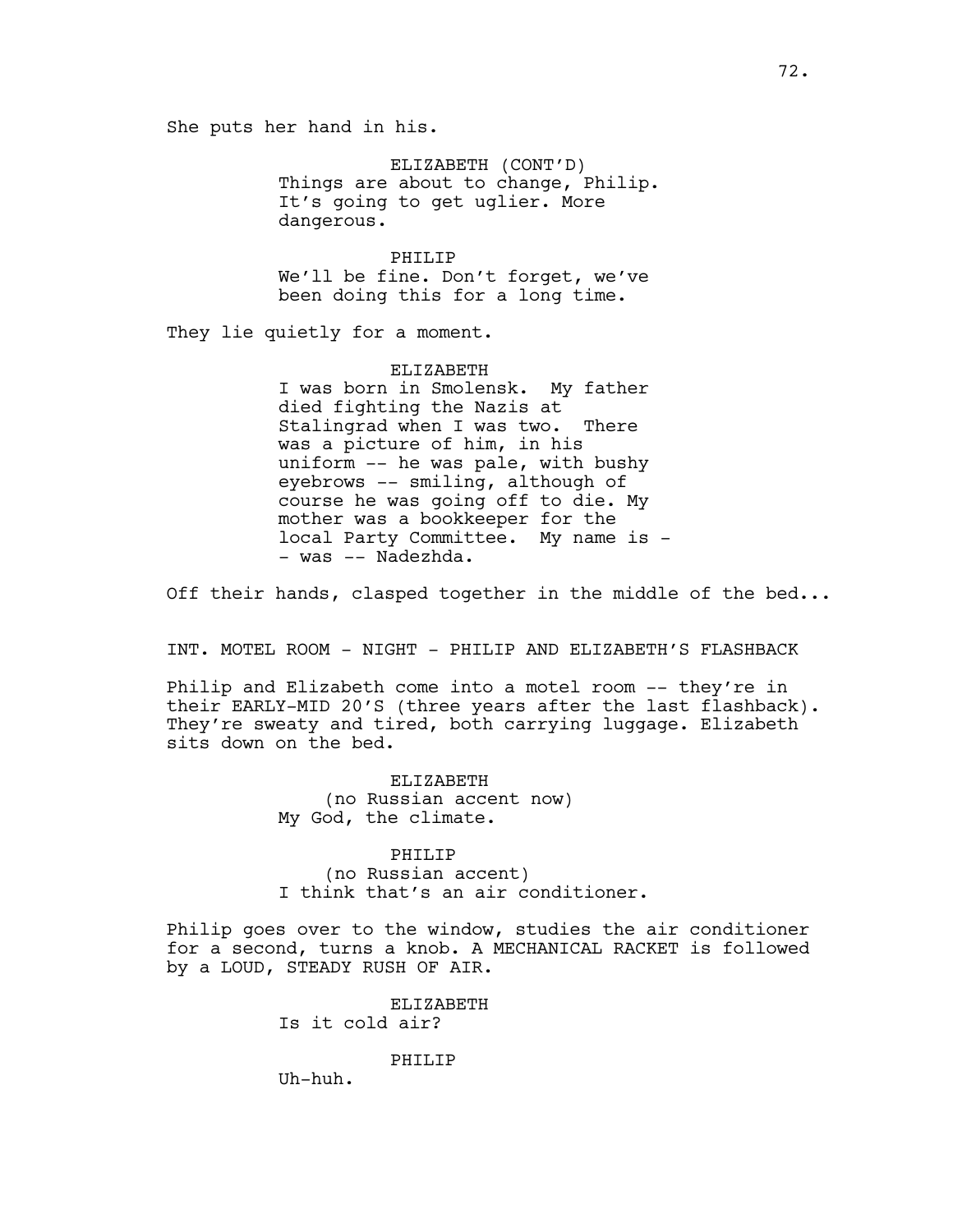She puts her hand in his.

ELIZABETH (CONT'D) Things are about to change, Philip. It's going to get uglier. More dangerous.

PHILIP We'll be fine. Don't forget, we've been doing this for a long time.

They lie quietly for a moment.

ELIZABETH I was born in Smolensk. My father died fighting the Nazis at Stalingrad when I was two. There was a picture of him, in his uniform -- he was pale, with bushy eyebrows -- smiling, although of course he was going off to die. My mother was a bookkeeper for the local Party Committee. My name is - - was -- Nadezhda.

Off their hands, clasped together in the middle of the bed...

INT. MOTEL ROOM - NIGHT - PHILIP AND ELIZABETH'S FLASHBACK

Philip and Elizabeth come into a motel room -- they're in their EARLY-MID 20'S (three years after the last flashback). They're sweaty and tired, both carrying luggage. Elizabeth sits down on the bed.

> ELIZABETH (no Russian accent now) My God, the climate.

PHILIP (no Russian accent) I think that's an air conditioner.

Philip goes over to the window, studies the air conditioner for a second, turns a knob. A MECHANICAL RACKET is followed by a LOUD, STEADY RUSH OF AIR.

> ELIZABETH Is it cold air?

> > PHILIP

Uh-huh.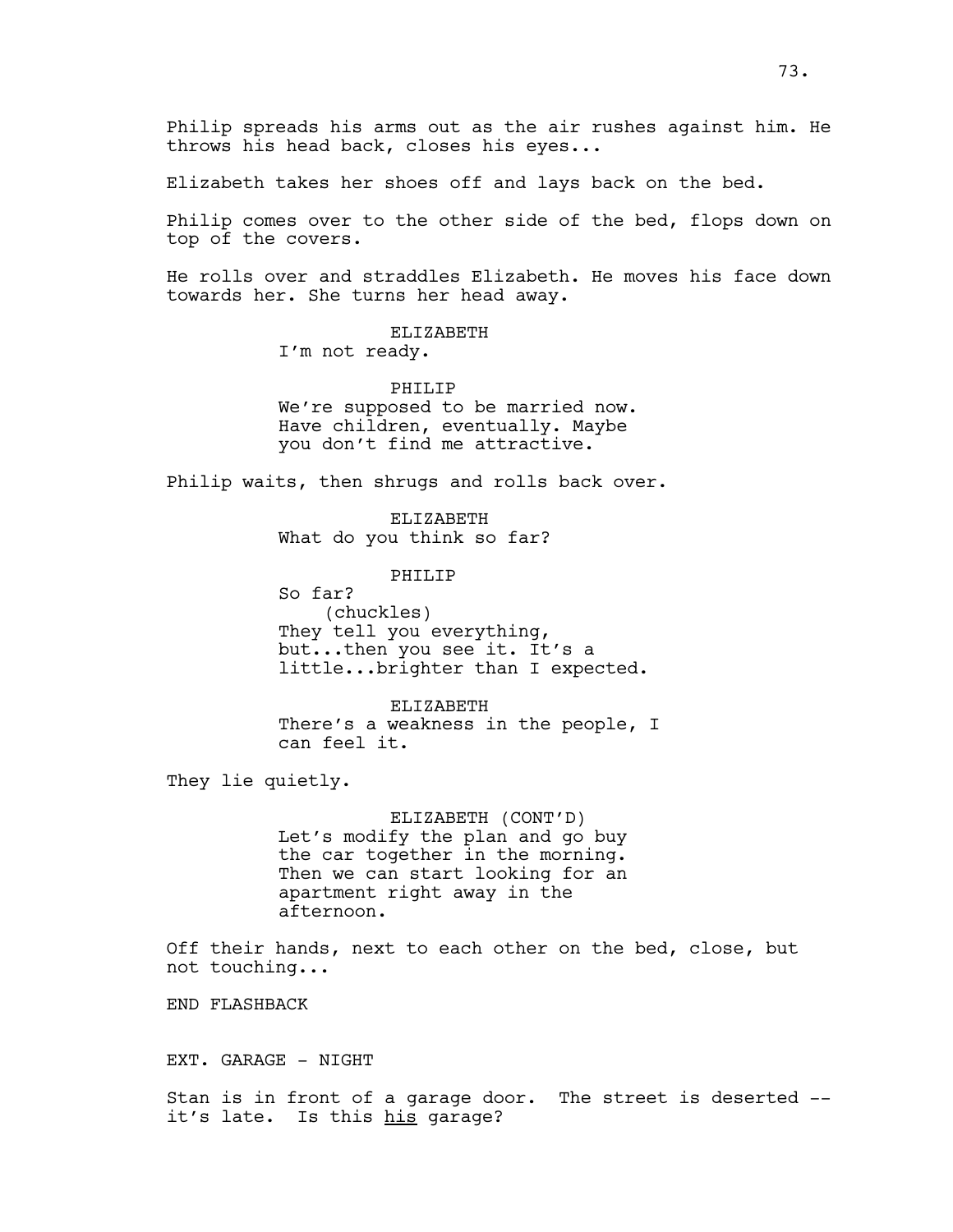Elizabeth takes her shoes off and lays back on the bed.

Philip comes over to the other side of the bed, flops down on top of the covers.

He rolls over and straddles Elizabeth. He moves his face down towards her. She turns her head away.

> ELIZABETH I'm not ready.

PHILIP We're supposed to be married now. Have children, eventually. Maybe you don't find me attractive.

Philip waits, then shrugs and rolls back over.

ELIZABETH What do you think so far?

PHILIP

So far? (chuckles) They tell you everything, but...then you see it. It's a little...brighter than I expected.

ELIZABETH There's a weakness in the people, I can feel it.

They lie quietly.

ELIZABETH (CONT'D) Let's modify the plan and go buy the car together in the morning. Then we can start looking for an apartment right away in the afternoon.

Off their hands, next to each other on the bed, close, but not touching...

END FLASHBACK

EXT. GARAGE - NIGHT

Stan is in front of a garage door. The street is deserted - it's late. Is this his garage?